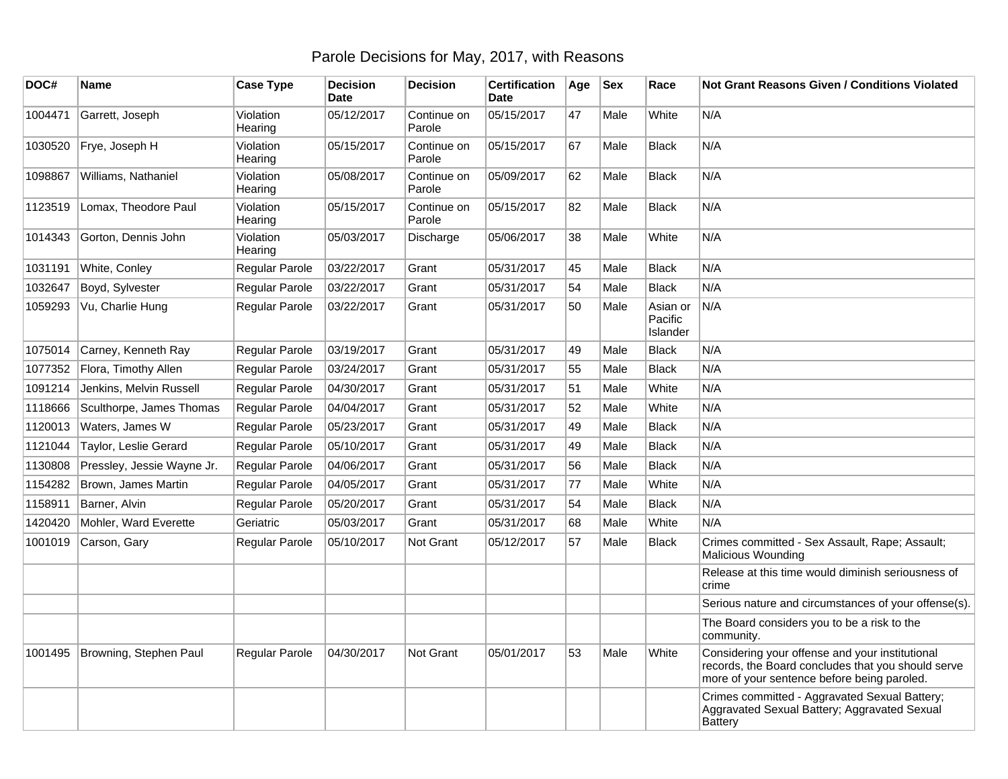## Parole Decisions for May, 2017, with Reasons

| DOC#    | <b>Name</b>                | <b>Case Type</b>      | <b>Decision</b><br><b>Date</b> | <b>Decision</b>       | <b>Certification</b><br><b>Date</b> | Age | <b>Sex</b> | Race                            | Not Grant Reasons Given / Conditions Violated                                                                                                        |
|---------|----------------------------|-----------------------|--------------------------------|-----------------------|-------------------------------------|-----|------------|---------------------------------|------------------------------------------------------------------------------------------------------------------------------------------------------|
| 1004471 | Garrett, Joseph            | Violation<br>Hearing  | 05/12/2017                     | Continue on<br>Parole | 05/15/2017                          | 47  | Male       | White                           | N/A                                                                                                                                                  |
| 1030520 | Frye, Joseph H             | Violation<br>Hearing  | 05/15/2017                     | Continue on<br>Parole | 05/15/2017                          | 67  | Male       | <b>Black</b>                    | N/A                                                                                                                                                  |
| 1098867 | Williams, Nathaniel        | Violation<br>Hearing  | 05/08/2017                     | Continue on<br>Parole | 05/09/2017                          | 62  | Male       | <b>Black</b>                    | N/A                                                                                                                                                  |
| 1123519 | Lomax, Theodore Paul       | Violation<br>Hearing  | 05/15/2017                     | Continue on<br>Parole | 05/15/2017                          | 82  | Male       | <b>Black</b>                    | N/A                                                                                                                                                  |
| 1014343 | Gorton, Dennis John        | Violation<br>Hearing  | 05/03/2017                     | Discharge             | 05/06/2017                          | 38  | Male       | White                           | N/A                                                                                                                                                  |
| 1031191 | White, Conley              | Regular Parole        | 03/22/2017                     | Grant                 | 05/31/2017                          | 45  | Male       | <b>Black</b>                    | N/A                                                                                                                                                  |
| 1032647 | Boyd, Sylvester            | Regular Parole        | 03/22/2017                     | Grant                 | 05/31/2017                          | 54  | Male       | <b>Black</b>                    | N/A                                                                                                                                                  |
| 1059293 | Vu, Charlie Hung           | Regular Parole        | 03/22/2017                     | Grant                 | 05/31/2017                          | 50  | Male       | Asian or<br>Pacific<br>Islander | N/A                                                                                                                                                  |
| 1075014 | Carney, Kenneth Ray        | Regular Parole        | 03/19/2017                     | Grant                 | 05/31/2017                          | 49  | Male       | <b>Black</b>                    | N/A                                                                                                                                                  |
| 1077352 | Flora, Timothy Allen       | Regular Parole        | 03/24/2017                     | Grant                 | 05/31/2017                          | 55  | Male       | <b>Black</b>                    | N/A                                                                                                                                                  |
| 1091214 | Jenkins, Melvin Russell    | Regular Parole        | 04/30/2017                     | Grant                 | 05/31/2017                          | 51  | Male       | White                           | N/A                                                                                                                                                  |
| 1118666 | Sculthorpe, James Thomas   | Regular Parole        | 04/04/2017                     | Grant                 | 05/31/2017                          | 52  | Male       | White                           | N/A                                                                                                                                                  |
| 1120013 | Waters, James W            | Regular Parole        | 05/23/2017                     | Grant                 | 05/31/2017                          | 49  | Male       | <b>Black</b>                    | N/A                                                                                                                                                  |
| 1121044 | Taylor, Leslie Gerard      | Regular Parole        | 05/10/2017                     | Grant                 | 05/31/2017                          | 49  | Male       | <b>Black</b>                    | N/A                                                                                                                                                  |
| 1130808 | Pressley, Jessie Wayne Jr. | <b>Regular Parole</b> | 04/06/2017                     | Grant                 | 05/31/2017                          | 56  | Male       | <b>Black</b>                    | N/A                                                                                                                                                  |
| 1154282 | Brown, James Martin        | Regular Parole        | 04/05/2017                     | Grant                 | 05/31/2017                          | 77  | Male       | White                           | N/A                                                                                                                                                  |
| 1158911 | Barner, Alvin              | Regular Parole        | 05/20/2017                     | Grant                 | 05/31/2017                          | 54  | Male       | Black                           | N/A                                                                                                                                                  |
| 1420420 | Mohler, Ward Everette      | Geriatric             | 05/03/2017                     | Grant                 | 05/31/2017                          | 68  | Male       | White                           | N/A                                                                                                                                                  |
| 1001019 | Carson, Gary               | Regular Parole        | 05/10/2017                     | Not Grant             | 05/12/2017                          | 57  | Male       | <b>Black</b>                    | Crimes committed - Sex Assault, Rape; Assault;<br><b>Malicious Wounding</b>                                                                          |
|         |                            |                       |                                |                       |                                     |     |            |                                 | Release at this time would diminish seriousness of<br>crime                                                                                          |
|         |                            |                       |                                |                       |                                     |     |            |                                 | Serious nature and circumstances of your offense(s).                                                                                                 |
|         |                            |                       |                                |                       |                                     |     |            |                                 | The Board considers you to be a risk to the<br>community.                                                                                            |
| 1001495 | Browning, Stephen Paul     | Regular Parole        | 04/30/2017                     | Not Grant             | 05/01/2017                          | 53  | Male       | White                           | Considering your offense and your institutional<br>records, the Board concludes that you should serve<br>more of your sentence before being paroled. |
|         |                            |                       |                                |                       |                                     |     |            |                                 | Crimes committed - Aggravated Sexual Battery;<br>Aggravated Sexual Battery; Aggravated Sexual<br><b>Battery</b>                                      |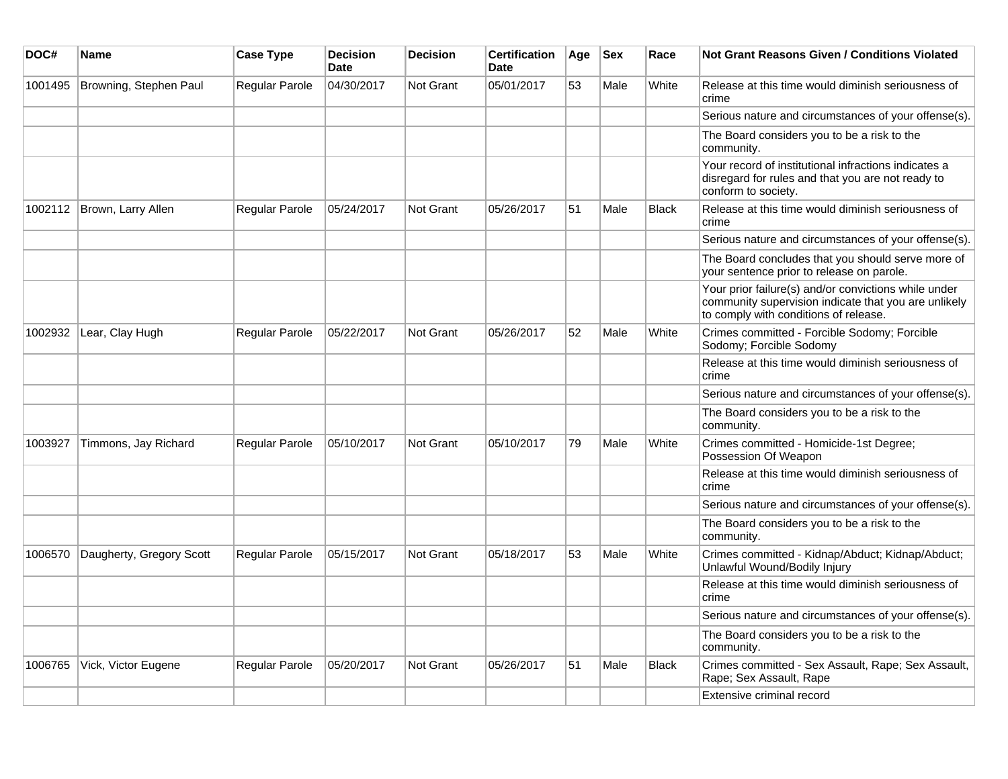| DOC#    | Name                       | <b>Case Type</b>      | <b>Decision</b><br><b>Date</b> | <b>Decision</b> | <b>Certification</b><br><b>Date</b> | Age | <b>Sex</b> | Race         | Not Grant Reasons Given / Conditions Violated                                                                                                         |
|---------|----------------------------|-----------------------|--------------------------------|-----------------|-------------------------------------|-----|------------|--------------|-------------------------------------------------------------------------------------------------------------------------------------------------------|
| 1001495 | Browning, Stephen Paul     | <b>Regular Parole</b> | 04/30/2017                     | Not Grant       | 05/01/2017                          | 53  | Male       | White        | Release at this time would diminish seriousness of<br>crime                                                                                           |
|         |                            |                       |                                |                 |                                     |     |            |              | Serious nature and circumstances of your offense(s).                                                                                                  |
|         |                            |                       |                                |                 |                                     |     |            |              | The Board considers you to be a risk to the<br>community.                                                                                             |
|         |                            |                       |                                |                 |                                     |     |            |              | Your record of institutional infractions indicates a<br>disregard for rules and that you are not ready to<br>conform to society.                      |
|         | 1002112 Brown, Larry Allen | <b>Regular Parole</b> | 05/24/2017                     | Not Grant       | 05/26/2017                          | 51  | Male       | <b>Black</b> | Release at this time would diminish seriousness of<br>crime                                                                                           |
|         |                            |                       |                                |                 |                                     |     |            |              | Serious nature and circumstances of your offense(s).                                                                                                  |
|         |                            |                       |                                |                 |                                     |     |            |              | The Board concludes that you should serve more of<br>your sentence prior to release on parole.                                                        |
|         |                            |                       |                                |                 |                                     |     |            |              | Your prior failure(s) and/or convictions while under<br>community supervision indicate that you are unlikely<br>to comply with conditions of release. |
| 1002932 | Lear, Clay Hugh            | Regular Parole        | 05/22/2017                     | Not Grant       | 05/26/2017                          | 52  | Male       | White        | Crimes committed - Forcible Sodomy; Forcible<br>Sodomy; Forcible Sodomy                                                                               |
|         |                            |                       |                                |                 |                                     |     |            |              | Release at this time would diminish seriousness of<br>crime                                                                                           |
|         |                            |                       |                                |                 |                                     |     |            |              | Serious nature and circumstances of your offense(s).                                                                                                  |
|         |                            |                       |                                |                 |                                     |     |            |              | The Board considers you to be a risk to the<br>community.                                                                                             |
| 1003927 | Timmons, Jay Richard       | <b>Regular Parole</b> | 05/10/2017                     | Not Grant       | 05/10/2017                          | 79  | Male       | White        | Crimes committed - Homicide-1st Degree;<br>Possession Of Weapon                                                                                       |
|         |                            |                       |                                |                 |                                     |     |            |              | Release at this time would diminish seriousness of<br>crime                                                                                           |
|         |                            |                       |                                |                 |                                     |     |            |              | Serious nature and circumstances of your offense(s).                                                                                                  |
|         |                            |                       |                                |                 |                                     |     |            |              | The Board considers you to be a risk to the<br>community.                                                                                             |
| 1006570 | Daugherty, Gregory Scott   | Regular Parole        | 05/15/2017                     | Not Grant       | 05/18/2017                          | 53  | Male       | White        | Crimes committed - Kidnap/Abduct; Kidnap/Abduct;<br>Unlawful Wound/Bodily Injury                                                                      |
|         |                            |                       |                                |                 |                                     |     |            |              | Release at this time would diminish seriousness of<br>crime                                                                                           |
|         |                            |                       |                                |                 |                                     |     |            |              | Serious nature and circumstances of your offense(s).                                                                                                  |
|         |                            |                       |                                |                 |                                     |     |            |              | The Board considers you to be a risk to the<br>community.                                                                                             |
| 1006765 | Vick, Victor Eugene        | Regular Parole        | 05/20/2017                     | Not Grant       | 05/26/2017                          | 51  | Male       | <b>Black</b> | Crimes committed - Sex Assault, Rape; Sex Assault,<br>Rape; Sex Assault, Rape                                                                         |
|         |                            |                       |                                |                 |                                     |     |            |              | Extensive criminal record                                                                                                                             |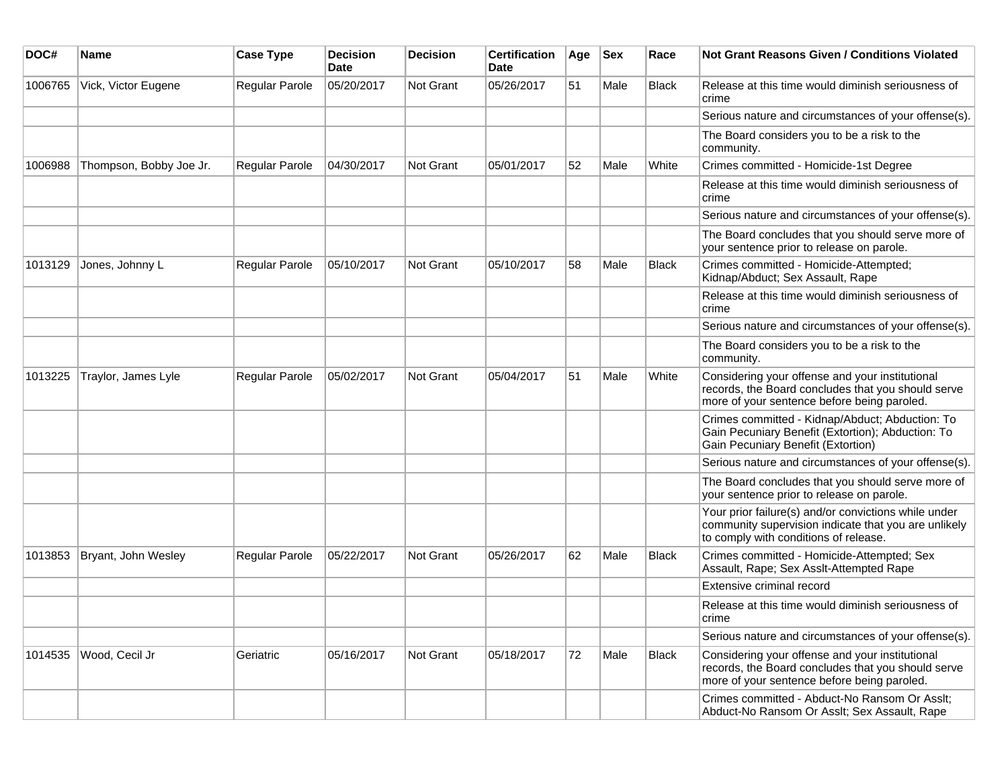| DOC#    | Name                    | <b>Case Type</b>      | <b>Decision</b><br><b>Date</b> | <b>Decision</b>  | <b>Certification</b><br>Date | Age | <b>Sex</b> | Race         | <b>Not Grant Reasons Given / Conditions Violated</b>                                                                                                  |
|---------|-------------------------|-----------------------|--------------------------------|------------------|------------------------------|-----|------------|--------------|-------------------------------------------------------------------------------------------------------------------------------------------------------|
| 1006765 | Vick, Victor Eugene     | Regular Parole        | 05/20/2017                     | Not Grant        | 05/26/2017                   | 51  | Male       | <b>Black</b> | Release at this time would diminish seriousness of<br>crime                                                                                           |
|         |                         |                       |                                |                  |                              |     |            |              | Serious nature and circumstances of your offense(s).                                                                                                  |
|         |                         |                       |                                |                  |                              |     |            |              | The Board considers you to be a risk to the<br>community.                                                                                             |
| 1006988 | Thompson, Bobby Joe Jr. | <b>Regular Parole</b> | 04/30/2017                     | <b>Not Grant</b> | 05/01/2017                   | 52  | Male       | White        | Crimes committed - Homicide-1st Degree                                                                                                                |
|         |                         |                       |                                |                  |                              |     |            |              | Release at this time would diminish seriousness of<br>crime                                                                                           |
|         |                         |                       |                                |                  |                              |     |            |              | Serious nature and circumstances of your offense(s).                                                                                                  |
|         |                         |                       |                                |                  |                              |     |            |              | The Board concludes that you should serve more of<br>your sentence prior to release on parole.                                                        |
| 1013129 | Jones, Johnny L         | Regular Parole        | 05/10/2017                     | Not Grant        | 05/10/2017                   | 58  | Male       | <b>Black</b> | Crimes committed - Homicide-Attempted;<br>Kidnap/Abduct; Sex Assault, Rape                                                                            |
|         |                         |                       |                                |                  |                              |     |            |              | Release at this time would diminish seriousness of<br>crime                                                                                           |
|         |                         |                       |                                |                  |                              |     |            |              | Serious nature and circumstances of your offense(s).                                                                                                  |
|         |                         |                       |                                |                  |                              |     |            |              | The Board considers you to be a risk to the<br>community.                                                                                             |
| 1013225 | Traylor, James Lyle     | Regular Parole        | 05/02/2017                     | <b>Not Grant</b> | 05/04/2017                   | 51  | Male       | White        | Considering your offense and your institutional<br>records, the Board concludes that you should serve<br>more of your sentence before being paroled.  |
|         |                         |                       |                                |                  |                              |     |            |              | Crimes committed - Kidnap/Abduct; Abduction: To<br>Gain Pecuniary Benefit (Extortion); Abduction: To<br>Gain Pecuniary Benefit (Extortion)            |
|         |                         |                       |                                |                  |                              |     |            |              | Serious nature and circumstances of your offense(s).                                                                                                  |
|         |                         |                       |                                |                  |                              |     |            |              | The Board concludes that you should serve more of<br>your sentence prior to release on parole.                                                        |
|         |                         |                       |                                |                  |                              |     |            |              | Your prior failure(s) and/or convictions while under<br>community supervision indicate that you are unlikely<br>to comply with conditions of release. |
| 1013853 | Bryant, John Wesley     | Regular Parole        | 05/22/2017                     | <b>Not Grant</b> | 05/26/2017                   | 62  | Male       | <b>Black</b> | Crimes committed - Homicide-Attempted; Sex<br>Assault, Rape; Sex Assit-Attempted Rape                                                                 |
|         |                         |                       |                                |                  |                              |     |            |              | Extensive criminal record                                                                                                                             |
|         |                         |                       |                                |                  |                              |     |            |              | Release at this time would diminish seriousness of<br>crime                                                                                           |
|         |                         |                       |                                |                  |                              |     |            |              | Serious nature and circumstances of your offense(s).                                                                                                  |
| 1014535 | Wood, Cecil Jr          | Geriatric             | 05/16/2017                     | Not Grant        | 05/18/2017                   | 72  | Male       | Black        | Considering your offense and your institutional<br>records, the Board concludes that you should serve<br>more of your sentence before being paroled.  |
|         |                         |                       |                                |                  |                              |     |            |              | Crimes committed - Abduct-No Ransom Or Asslt;<br>Abduct-No Ransom Or Asslt; Sex Assault, Rape                                                         |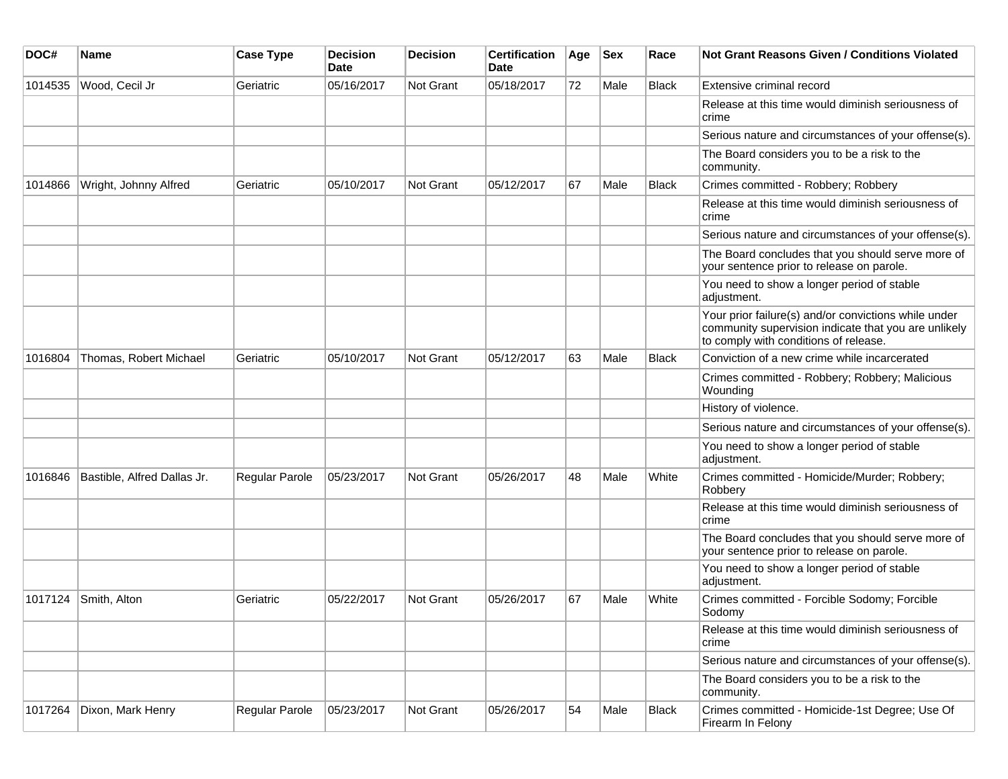| DOC#    | Name                        | <b>Case Type</b>      | <b>Decision</b><br>Date | <b>Decision</b>  | <b>Certification</b><br>Date | Age | <b>Sex</b> | Race         | <b>Not Grant Reasons Given / Conditions Violated</b>                                                                                                  |
|---------|-----------------------------|-----------------------|-------------------------|------------------|------------------------------|-----|------------|--------------|-------------------------------------------------------------------------------------------------------------------------------------------------------|
| 1014535 | Wood, Cecil Jr              | Geriatric             | 05/16/2017              | Not Grant        | 05/18/2017                   | 72  | Male       | <b>Black</b> | Extensive criminal record                                                                                                                             |
|         |                             |                       |                         |                  |                              |     |            |              | Release at this time would diminish seriousness of<br>crime                                                                                           |
|         |                             |                       |                         |                  |                              |     |            |              | Serious nature and circumstances of your offense(s).                                                                                                  |
|         |                             |                       |                         |                  |                              |     |            |              | The Board considers you to be a risk to the<br>community.                                                                                             |
| 1014866 | Wright, Johnny Alfred       | Geriatric             | 05/10/2017              | <b>Not Grant</b> | 05/12/2017                   | 67  | Male       | <b>Black</b> | Crimes committed - Robbery; Robbery                                                                                                                   |
|         |                             |                       |                         |                  |                              |     |            |              | Release at this time would diminish seriousness of<br>crime                                                                                           |
|         |                             |                       |                         |                  |                              |     |            |              | Serious nature and circumstances of your offense(s).                                                                                                  |
|         |                             |                       |                         |                  |                              |     |            |              | The Board concludes that you should serve more of<br>your sentence prior to release on parole.                                                        |
|         |                             |                       |                         |                  |                              |     |            |              | You need to show a longer period of stable<br>adjustment.                                                                                             |
|         |                             |                       |                         |                  |                              |     |            |              | Your prior failure(s) and/or convictions while under<br>community supervision indicate that you are unlikely<br>to comply with conditions of release. |
| 1016804 | Thomas, Robert Michael      | Geriatric             | 05/10/2017              | Not Grant        | 05/12/2017                   | 63  | Male       | <b>Black</b> | Conviction of a new crime while incarcerated                                                                                                          |
|         |                             |                       |                         |                  |                              |     |            |              | Crimes committed - Robbery; Robbery; Malicious<br>Wounding                                                                                            |
|         |                             |                       |                         |                  |                              |     |            |              | History of violence.                                                                                                                                  |
|         |                             |                       |                         |                  |                              |     |            |              | Serious nature and circumstances of your offense(s).                                                                                                  |
|         |                             |                       |                         |                  |                              |     |            |              | You need to show a longer period of stable<br>adjustment.                                                                                             |
| 1016846 | Bastible, Alfred Dallas Jr. | <b>Regular Parole</b> | 05/23/2017              | <b>Not Grant</b> | 05/26/2017                   | 48  | Male       | White        | Crimes committed - Homicide/Murder; Robbery;<br>Robbery                                                                                               |
|         |                             |                       |                         |                  |                              |     |            |              | Release at this time would diminish seriousness of<br>crime                                                                                           |
|         |                             |                       |                         |                  |                              |     |            |              | The Board concludes that you should serve more of<br>your sentence prior to release on parole.                                                        |
|         |                             |                       |                         |                  |                              |     |            |              | You need to show a longer period of stable<br>adjustment.                                                                                             |
| 1017124 | Smith, Alton                | Geriatric             | 05/22/2017              | <b>Not Grant</b> | 05/26/2017                   | 67  | Male       | White        | Crimes committed - Forcible Sodomy; Forcible<br>Sodomy                                                                                                |
|         |                             |                       |                         |                  |                              |     |            |              | Release at this time would diminish seriousness of<br>crime                                                                                           |
|         |                             |                       |                         |                  |                              |     |            |              | Serious nature and circumstances of your offense(s).                                                                                                  |
|         |                             |                       |                         |                  |                              |     |            |              | The Board considers you to be a risk to the<br>community.                                                                                             |
| 1017264 | Dixon, Mark Henry           | Regular Parole        | 05/23/2017              | Not Grant        | 05/26/2017                   | 54  | Male       | Black        | Crimes committed - Homicide-1st Degree; Use Of<br>Firearm In Felony                                                                                   |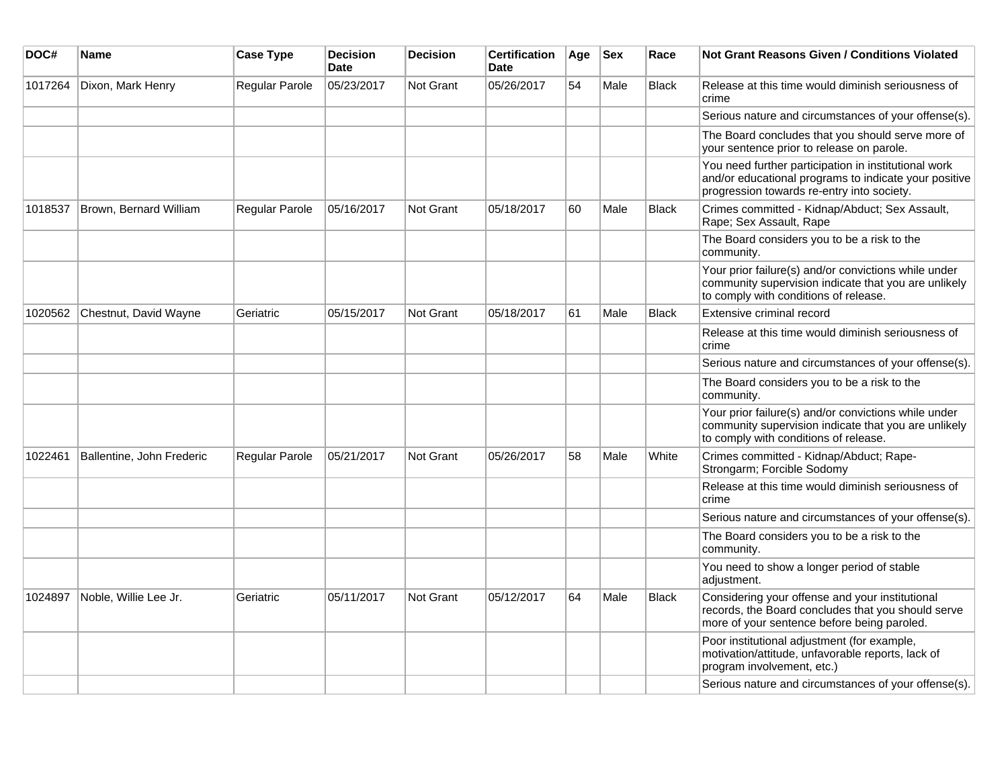| DOC#    | <b>Name</b>               | <b>Case Type</b> | <b>Decision</b><br><b>Date</b> | <b>Decision</b>  | <b>Certification</b><br><b>Date</b> | Age | <b>Sex</b> | Race         | <b>Not Grant Reasons Given / Conditions Violated</b>                                                                                                        |
|---------|---------------------------|------------------|--------------------------------|------------------|-------------------------------------|-----|------------|--------------|-------------------------------------------------------------------------------------------------------------------------------------------------------------|
| 1017264 | Dixon, Mark Henry         | Regular Parole   | 05/23/2017                     | <b>Not Grant</b> | 05/26/2017                          | 54  | Male       | <b>Black</b> | Release at this time would diminish seriousness of<br>crime                                                                                                 |
|         |                           |                  |                                |                  |                                     |     |            |              | Serious nature and circumstances of your offense(s).                                                                                                        |
|         |                           |                  |                                |                  |                                     |     |            |              | The Board concludes that you should serve more of<br>your sentence prior to release on parole.                                                              |
|         |                           |                  |                                |                  |                                     |     |            |              | You need further participation in institutional work<br>and/or educational programs to indicate your positive<br>progression towards re-entry into society. |
| 1018537 | Brown, Bernard William    | Regular Parole   | 05/16/2017                     | <b>Not Grant</b> | 05/18/2017                          | 60  | Male       | <b>Black</b> | Crimes committed - Kidnap/Abduct; Sex Assault,<br>Rape; Sex Assault, Rape                                                                                   |
|         |                           |                  |                                |                  |                                     |     |            |              | The Board considers you to be a risk to the<br>community.                                                                                                   |
|         |                           |                  |                                |                  |                                     |     |            |              | Your prior failure(s) and/or convictions while under<br>community supervision indicate that you are unlikely<br>to comply with conditions of release.       |
| 1020562 | Chestnut, David Wayne     | Geriatric        | 05/15/2017                     | <b>Not Grant</b> | 05/18/2017                          | 61  | Male       | <b>Black</b> | Extensive criminal record                                                                                                                                   |
|         |                           |                  |                                |                  |                                     |     |            |              | Release at this time would diminish seriousness of<br>crime                                                                                                 |
|         |                           |                  |                                |                  |                                     |     |            |              | Serious nature and circumstances of your offense(s).                                                                                                        |
|         |                           |                  |                                |                  |                                     |     |            |              | The Board considers you to be a risk to the<br>community.                                                                                                   |
|         |                           |                  |                                |                  |                                     |     |            |              | Your prior failure(s) and/or convictions while under<br>community supervision indicate that you are unlikely<br>to comply with conditions of release.       |
| 1022461 | Ballentine, John Frederic | Regular Parole   | 05/21/2017                     | <b>Not Grant</b> | 05/26/2017                          | 58  | Male       | White        | Crimes committed - Kidnap/Abduct; Rape-<br>Strongarm; Forcible Sodomy                                                                                       |
|         |                           |                  |                                |                  |                                     |     |            |              | Release at this time would diminish seriousness of<br>crime                                                                                                 |
|         |                           |                  |                                |                  |                                     |     |            |              | Serious nature and circumstances of your offense(s).                                                                                                        |
|         |                           |                  |                                |                  |                                     |     |            |              | The Board considers you to be a risk to the<br>community.                                                                                                   |
|         |                           |                  |                                |                  |                                     |     |            |              | You need to show a longer period of stable<br>adjustment.                                                                                                   |
| 1024897 | Noble, Willie Lee Jr.     | Geriatric        | 05/11/2017                     | <b>Not Grant</b> | 05/12/2017                          | 64  | Male       | <b>Black</b> | Considering your offense and your institutional<br>records, the Board concludes that you should serve<br>more of your sentence before being paroled.        |
|         |                           |                  |                                |                  |                                     |     |            |              | Poor institutional adjustment (for example,<br>motivation/attitude, unfavorable reports, lack of<br>program involvement, etc.)                              |
|         |                           |                  |                                |                  |                                     |     |            |              | Serious nature and circumstances of your offense(s).                                                                                                        |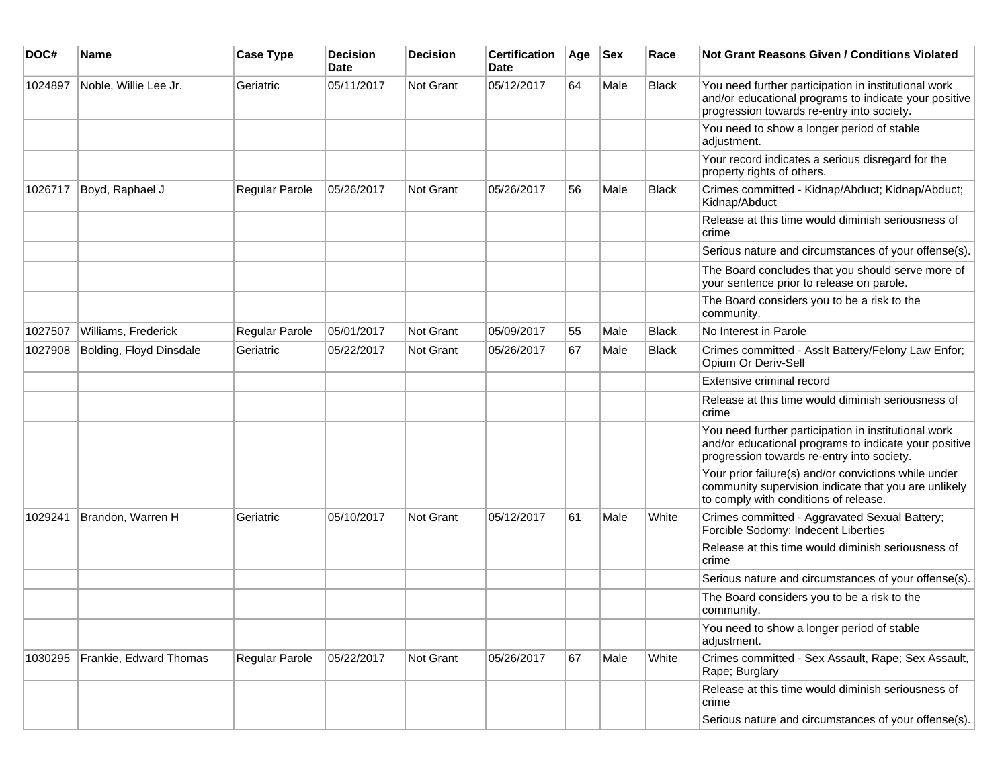| DOC#    | Name                    | <b>Case Type</b> | <b>Decision</b><br><b>Date</b> | <b>Decision</b>  | <b>Certification</b><br>Date | Age | <b>Sex</b> | Race         | Not Grant Reasons Given / Conditions Violated                                                                                                               |
|---------|-------------------------|------------------|--------------------------------|------------------|------------------------------|-----|------------|--------------|-------------------------------------------------------------------------------------------------------------------------------------------------------------|
| 1024897 | Noble, Willie Lee Jr.   | Geriatric        | 05/11/2017                     | Not Grant        | 05/12/2017                   | 64  | Male       | <b>Black</b> | You need further participation in institutional work<br>and/or educational programs to indicate your positive<br>progression towards re-entry into society. |
|         |                         |                  |                                |                  |                              |     |            |              | You need to show a longer period of stable<br>adjustment.                                                                                                   |
|         |                         |                  |                                |                  |                              |     |            |              | Your record indicates a serious disregard for the<br>property rights of others.                                                                             |
| 1026717 | Boyd, Raphael J         | Regular Parole   | 05/26/2017                     | Not Grant        | 05/26/2017                   | 56  | Male       | <b>Black</b> | Crimes committed - Kidnap/Abduct; Kidnap/Abduct;<br>Kidnap/Abduct                                                                                           |
|         |                         |                  |                                |                  |                              |     |            |              | Release at this time would diminish seriousness of<br>crime                                                                                                 |
|         |                         |                  |                                |                  |                              |     |            |              | Serious nature and circumstances of your offense(s).                                                                                                        |
|         |                         |                  |                                |                  |                              |     |            |              | The Board concludes that you should serve more of<br>your sentence prior to release on parole.                                                              |
|         |                         |                  |                                |                  |                              |     |            |              | The Board considers you to be a risk to the<br>community.                                                                                                   |
| 1027507 | Williams, Frederick     | Regular Parole   | 05/01/2017                     | <b>Not Grant</b> | 05/09/2017                   | 55  | Male       | <b>Black</b> | No Interest in Parole                                                                                                                                       |
| 1027908 | Bolding, Floyd Dinsdale | Geriatric        | 05/22/2017                     | <b>Not Grant</b> | 05/26/2017                   | 67  | Male       | <b>Black</b> | Crimes committed - Asslt Battery/Felony Law Enfor;<br>Opium Or Deriv-Sell                                                                                   |
|         |                         |                  |                                |                  |                              |     |            |              | Extensive criminal record                                                                                                                                   |
|         |                         |                  |                                |                  |                              |     |            |              | Release at this time would diminish seriousness of<br>crime                                                                                                 |
|         |                         |                  |                                |                  |                              |     |            |              | You need further participation in institutional work<br>and/or educational programs to indicate your positive<br>progression towards re-entry into society. |
|         |                         |                  |                                |                  |                              |     |            |              | Your prior failure(s) and/or convictions while under<br>community supervision indicate that you are unlikely<br>to comply with conditions of release.       |
| 1029241 | Brandon, Warren H       | Geriatric        | 05/10/2017                     | <b>Not Grant</b> | 05/12/2017                   | 61  | Male       | White        | Crimes committed - Aggravated Sexual Battery;<br>Forcible Sodomy; Indecent Liberties                                                                        |
|         |                         |                  |                                |                  |                              |     |            |              | Release at this time would diminish seriousness of<br>crime                                                                                                 |
|         |                         |                  |                                |                  |                              |     |            |              | Serious nature and circumstances of your offense(s).                                                                                                        |
|         |                         |                  |                                |                  |                              |     |            |              | The Board considers you to be a risk to the<br>community.                                                                                                   |
|         |                         |                  |                                |                  |                              |     |            |              | You need to show a longer period of stable<br>adjustment.                                                                                                   |
| 1030295 | Frankie, Edward Thomas  | Regular Parole   | 05/22/2017                     | Not Grant        | 05/26/2017                   | 67  | Male       | White        | Crimes committed - Sex Assault, Rape; Sex Assault,<br>Rape; Burglary                                                                                        |
|         |                         |                  |                                |                  |                              |     |            |              | Release at this time would diminish seriousness of<br>crime                                                                                                 |
|         |                         |                  |                                |                  |                              |     |            |              | Serious nature and circumstances of your offense(s).                                                                                                        |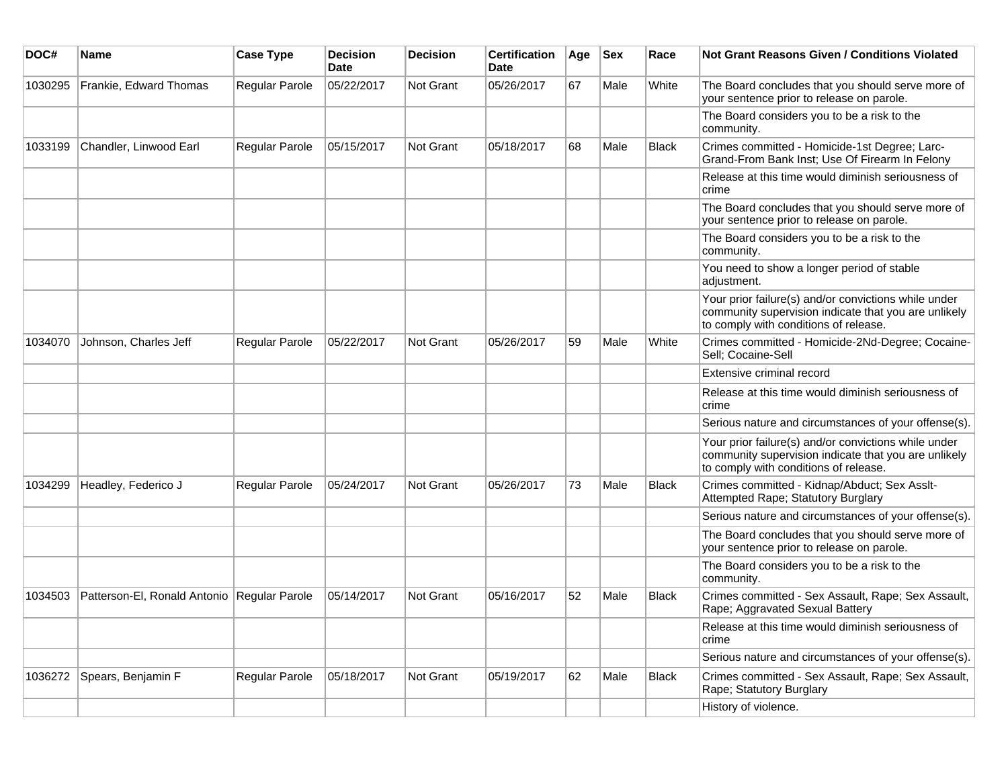| DOC#    | <b>Name</b>                                 | <b>Case Type</b> | <b>Decision</b><br><b>Date</b> | <b>Decision</b>  | <b>Certification</b><br>Date | Age | <b>Sex</b> | Race         | Not Grant Reasons Given / Conditions Violated                                                                                                         |
|---------|---------------------------------------------|------------------|--------------------------------|------------------|------------------------------|-----|------------|--------------|-------------------------------------------------------------------------------------------------------------------------------------------------------|
| 1030295 | Frankie, Edward Thomas                      | Regular Parole   | 05/22/2017                     | Not Grant        | 05/26/2017                   | 67  | Male       | White        | The Board concludes that you should serve more of<br>your sentence prior to release on parole.                                                        |
|         |                                             |                  |                                |                  |                              |     |            |              | The Board considers you to be a risk to the<br>community.                                                                                             |
| 1033199 | Chandler, Linwood Earl                      | Regular Parole   | 05/15/2017                     | Not Grant        | 05/18/2017                   | 68  | Male       | <b>Black</b> | Crimes committed - Homicide-1st Degree; Larc-<br>Grand-From Bank Inst; Use Of Firearm In Felony                                                       |
|         |                                             |                  |                                |                  |                              |     |            |              | Release at this time would diminish seriousness of<br>crime                                                                                           |
|         |                                             |                  |                                |                  |                              |     |            |              | The Board concludes that you should serve more of<br>your sentence prior to release on parole.                                                        |
|         |                                             |                  |                                |                  |                              |     |            |              | The Board considers you to be a risk to the<br>community.                                                                                             |
|         |                                             |                  |                                |                  |                              |     |            |              | You need to show a longer period of stable<br>adjustment.                                                                                             |
|         |                                             |                  |                                |                  |                              |     |            |              | Your prior failure(s) and/or convictions while under<br>community supervision indicate that you are unlikely<br>to comply with conditions of release. |
| 1034070 | Johnson, Charles Jeff                       | Regular Parole   | 05/22/2017                     | Not Grant        | 05/26/2017                   | 59  | Male       | White        | Crimes committed - Homicide-2Nd-Degree; Cocaine-<br>Sell; Cocaine-Sell                                                                                |
|         |                                             |                  |                                |                  |                              |     |            |              | Extensive criminal record                                                                                                                             |
|         |                                             |                  |                                |                  |                              |     |            |              | Release at this time would diminish seriousness of<br>crime                                                                                           |
|         |                                             |                  |                                |                  |                              |     |            |              | Serious nature and circumstances of your offense(s).                                                                                                  |
|         |                                             |                  |                                |                  |                              |     |            |              | Your prior failure(s) and/or convictions while under<br>community supervision indicate that you are unlikely<br>to comply with conditions of release. |
| 1034299 | Headley, Federico J                         | Regular Parole   | 05/24/2017                     | <b>Not Grant</b> | 05/26/2017                   | 73  | Male       | Black        | Crimes committed - Kidnap/Abduct; Sex Asslt-<br>Attempted Rape; Statutory Burglary                                                                    |
|         |                                             |                  |                                |                  |                              |     |            |              | Serious nature and circumstances of your offense(s).                                                                                                  |
|         |                                             |                  |                                |                  |                              |     |            |              | The Board concludes that you should serve more of<br>your sentence prior to release on parole.                                                        |
|         |                                             |                  |                                |                  |                              |     |            |              | The Board considers you to be a risk to the<br>community.                                                                                             |
| 1034503 | Patterson-El, Ronald Antonio Regular Parole |                  | 05/14/2017                     | <b>Not Grant</b> | 05/16/2017                   | 52  | Male       | <b>Black</b> | Crimes committed - Sex Assault, Rape; Sex Assault,<br>Rape; Aggravated Sexual Battery                                                                 |
|         |                                             |                  |                                |                  |                              |     |            |              | Release at this time would diminish seriousness of<br>crime                                                                                           |
|         |                                             |                  |                                |                  |                              |     |            |              | Serious nature and circumstances of your offense(s).                                                                                                  |
| 1036272 | Spears, Benjamin F                          | Regular Parole   | 05/18/2017                     | Not Grant        | 05/19/2017                   | 62  | Male       | <b>Black</b> | Crimes committed - Sex Assault, Rape; Sex Assault,<br>Rape; Statutory Burglary                                                                        |
|         |                                             |                  |                                |                  |                              |     |            |              | History of violence.                                                                                                                                  |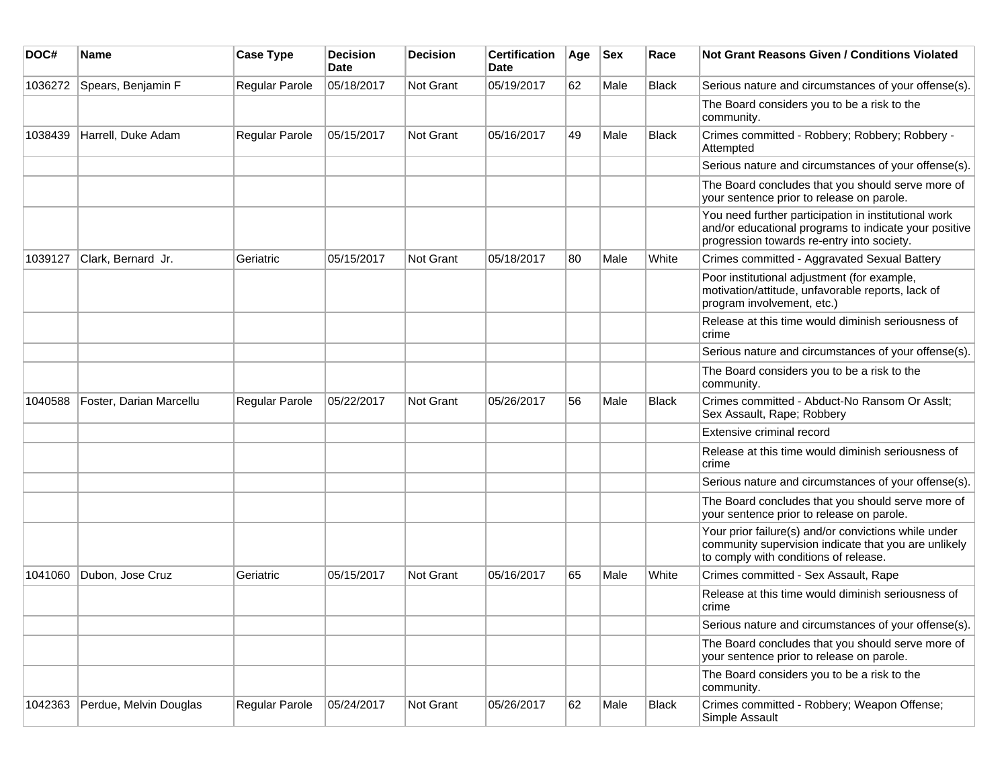| DOC#    | <b>Name</b>             | <b>Case Type</b>      | <b>Decision</b><br><b>Date</b> | <b>Decision</b> | <b>Certification</b><br>Date | Age | <b>Sex</b> | Race         | <b>Not Grant Reasons Given / Conditions Violated</b>                                                                                                        |
|---------|-------------------------|-----------------------|--------------------------------|-----------------|------------------------------|-----|------------|--------------|-------------------------------------------------------------------------------------------------------------------------------------------------------------|
| 1036272 | Spears, Benjamin F      | Regular Parole        | 05/18/2017                     | Not Grant       | 05/19/2017                   | 62  | Male       | Black        | Serious nature and circumstances of your offense(s).                                                                                                        |
|         |                         |                       |                                |                 |                              |     |            |              | The Board considers you to be a risk to the<br>community.                                                                                                   |
| 1038439 | Harrell, Duke Adam      | Regular Parole        | 05/15/2017                     | Not Grant       | 05/16/2017                   | 49  | Male       | <b>Black</b> | Crimes committed - Robbery; Robbery; Robbery -<br>Attempted                                                                                                 |
|         |                         |                       |                                |                 |                              |     |            |              | Serious nature and circumstances of your offense(s).                                                                                                        |
|         |                         |                       |                                |                 |                              |     |            |              | The Board concludes that you should serve more of<br>your sentence prior to release on parole.                                                              |
|         |                         |                       |                                |                 |                              |     |            |              | You need further participation in institutional work<br>and/or educational programs to indicate your positive<br>progression towards re-entry into society. |
| 1039127 | Clark, Bernard Jr.      | Geriatric             | 05/15/2017                     | Not Grant       | 05/18/2017                   | 80  | Male       | White        | Crimes committed - Aggravated Sexual Battery                                                                                                                |
|         |                         |                       |                                |                 |                              |     |            |              | Poor institutional adjustment (for example,<br>motivation/attitude, unfavorable reports, lack of<br>program involvement, etc.)                              |
|         |                         |                       |                                |                 |                              |     |            |              | Release at this time would diminish seriousness of<br>crime                                                                                                 |
|         |                         |                       |                                |                 |                              |     |            |              | Serious nature and circumstances of your offense(s).                                                                                                        |
|         |                         |                       |                                |                 |                              |     |            |              | The Board considers you to be a risk to the<br>community.                                                                                                   |
| 1040588 | Foster, Darian Marcellu | <b>Regular Parole</b> | 05/22/2017                     | Not Grant       | 05/26/2017                   | 56  | Male       | <b>Black</b> | Crimes committed - Abduct-No Ransom Or Asslt;<br>Sex Assault, Rape; Robbery                                                                                 |
|         |                         |                       |                                |                 |                              |     |            |              | Extensive criminal record                                                                                                                                   |
|         |                         |                       |                                |                 |                              |     |            |              | Release at this time would diminish seriousness of<br>crime                                                                                                 |
|         |                         |                       |                                |                 |                              |     |            |              | Serious nature and circumstances of your offense(s).                                                                                                        |
|         |                         |                       |                                |                 |                              |     |            |              | The Board concludes that you should serve more of<br>your sentence prior to release on parole.                                                              |
|         |                         |                       |                                |                 |                              |     |            |              | Your prior failure(s) and/or convictions while under<br>community supervision indicate that you are unlikely<br>to comply with conditions of release.       |
| 1041060 | Dubon, Jose Cruz        | Geriatric             | 05/15/2017                     | Not Grant       | 05/16/2017                   | 65  | Male       | White        | Crimes committed - Sex Assault, Rape                                                                                                                        |
|         |                         |                       |                                |                 |                              |     |            |              | Release at this time would diminish seriousness of<br>crime                                                                                                 |
|         |                         |                       |                                |                 |                              |     |            |              | Serious nature and circumstances of your offense(s).                                                                                                        |
|         |                         |                       |                                |                 |                              |     |            |              | The Board concludes that you should serve more of<br>your sentence prior to release on parole.                                                              |
|         |                         |                       |                                |                 |                              |     |            |              | The Board considers you to be a risk to the<br>community.                                                                                                   |
| 1042363 | Perdue, Melvin Douglas  | Regular Parole        | 05/24/2017                     | Not Grant       | 05/26/2017                   | 62  | Male       | <b>Black</b> | Crimes committed - Robbery; Weapon Offense;<br>Simple Assault                                                                                               |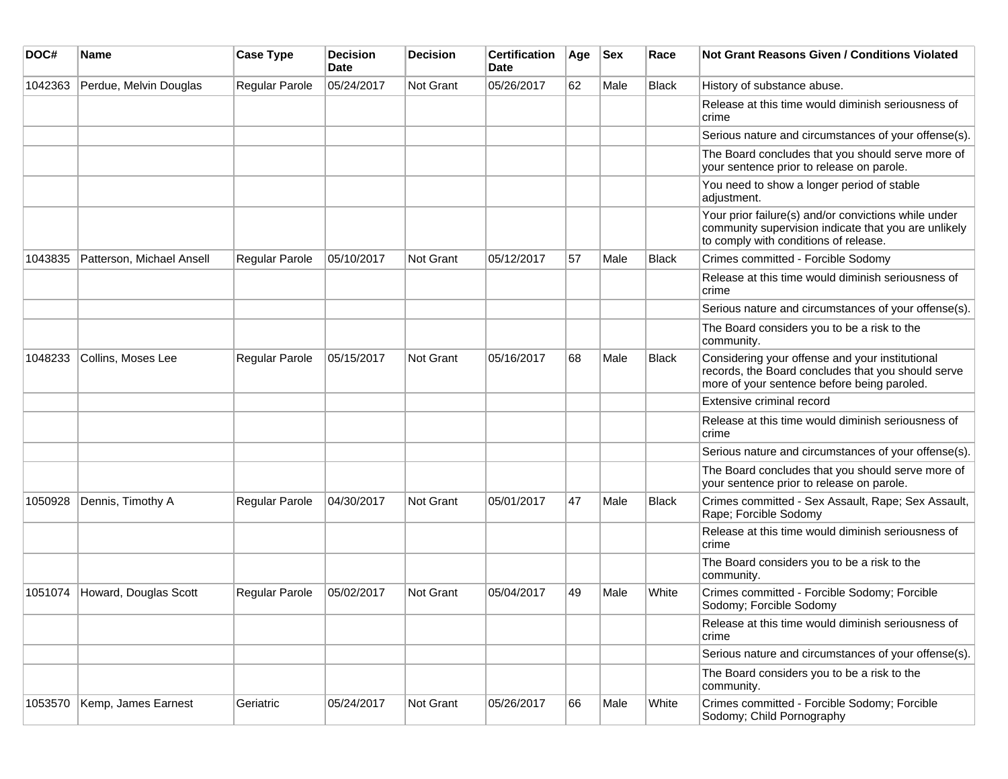| DOC#    | <b>Name</b>               | <b>Case Type</b>      | <b>Decision</b><br>Date | <b>Decision</b>  | <b>Certification</b><br>Date | Age | <b>Sex</b> | Race         | <b>Not Grant Reasons Given / Conditions Violated</b>                                                                                                  |
|---------|---------------------------|-----------------------|-------------------------|------------------|------------------------------|-----|------------|--------------|-------------------------------------------------------------------------------------------------------------------------------------------------------|
| 1042363 | Perdue, Melvin Douglas    | Regular Parole        | 05/24/2017              | <b>Not Grant</b> | 05/26/2017                   | 62  | Male       | <b>Black</b> | History of substance abuse.                                                                                                                           |
|         |                           |                       |                         |                  |                              |     |            |              | Release at this time would diminish seriousness of<br>crime                                                                                           |
|         |                           |                       |                         |                  |                              |     |            |              | Serious nature and circumstances of your offense(s).                                                                                                  |
|         |                           |                       |                         |                  |                              |     |            |              | The Board concludes that you should serve more of<br>your sentence prior to release on parole.                                                        |
|         |                           |                       |                         |                  |                              |     |            |              | You need to show a longer period of stable<br>adjustment.                                                                                             |
|         |                           |                       |                         |                  |                              |     |            |              | Your prior failure(s) and/or convictions while under<br>community supervision indicate that you are unlikely<br>to comply with conditions of release. |
| 1043835 | Patterson, Michael Ansell | Regular Parole        | 05/10/2017              | <b>Not Grant</b> | 05/12/2017                   | 57  | Male       | Black        | Crimes committed - Forcible Sodomy                                                                                                                    |
|         |                           |                       |                         |                  |                              |     |            |              | Release at this time would diminish seriousness of<br>crime                                                                                           |
|         |                           |                       |                         |                  |                              |     |            |              | Serious nature and circumstances of your offense(s).                                                                                                  |
|         |                           |                       |                         |                  |                              |     |            |              | The Board considers you to be a risk to the<br>community.                                                                                             |
| 1048233 | Collins, Moses Lee        | Regular Parole        | 05/15/2017              | <b>Not Grant</b> | 05/16/2017                   | 68  | Male       | <b>Black</b> | Considering your offense and your institutional<br>records, the Board concludes that you should serve<br>more of your sentence before being paroled.  |
|         |                           |                       |                         |                  |                              |     |            |              | Extensive criminal record                                                                                                                             |
|         |                           |                       |                         |                  |                              |     |            |              | Release at this time would diminish seriousness of<br>crime                                                                                           |
|         |                           |                       |                         |                  |                              |     |            |              | Serious nature and circumstances of your offense(s).                                                                                                  |
|         |                           |                       |                         |                  |                              |     |            |              | The Board concludes that you should serve more of<br>your sentence prior to release on parole.                                                        |
| 1050928 | Dennis, Timothy A         | Regular Parole        | 04/30/2017              | <b>Not Grant</b> | 05/01/2017                   | 47  | Male       | <b>Black</b> | Crimes committed - Sex Assault, Rape; Sex Assault,<br>Rape; Forcible Sodomy                                                                           |
|         |                           |                       |                         |                  |                              |     |            |              | Release at this time would diminish seriousness of<br>crime                                                                                           |
|         |                           |                       |                         |                  |                              |     |            |              | The Board considers you to be a risk to the<br>community.                                                                                             |
| 1051074 | Howard, Douglas Scott     | <b>Regular Parole</b> | 05/02/2017              | <b>Not Grant</b> | 05/04/2017                   | 49  | Male       | White        | Crimes committed - Forcible Sodomy; Forcible<br>Sodomy; Forcible Sodomy                                                                               |
|         |                           |                       |                         |                  |                              |     |            |              | Release at this time would diminish seriousness of<br>crime                                                                                           |
|         |                           |                       |                         |                  |                              |     |            |              | Serious nature and circumstances of your offense(s).                                                                                                  |
|         |                           |                       |                         |                  |                              |     |            |              | The Board considers you to be a risk to the<br>community.                                                                                             |
| 1053570 | Kemp, James Earnest       | Geriatric             | 05/24/2017              | Not Grant        | 05/26/2017                   | 66  | Male       | White        | Crimes committed - Forcible Sodomy; Forcible<br>Sodomy; Child Pornography                                                                             |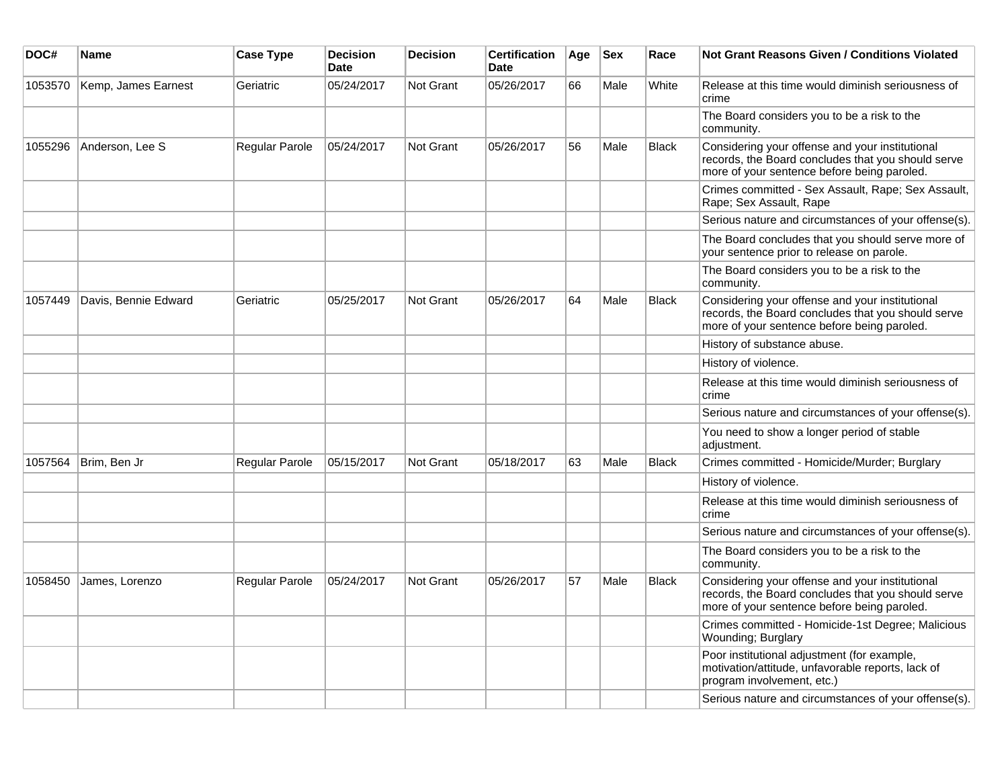| DOC#    | <b>Name</b>          | <b>Case Type</b> | <b>Decision</b><br><b>Date</b> | <b>Decision</b>  | <b>Certification</b><br><b>Date</b> | Age | $ $ Sex | Race         | <b>Not Grant Reasons Given / Conditions Violated</b>                                                                                                 |
|---------|----------------------|------------------|--------------------------------|------------------|-------------------------------------|-----|---------|--------------|------------------------------------------------------------------------------------------------------------------------------------------------------|
| 1053570 | Kemp, James Earnest  | Geriatric        | 05/24/2017                     | Not Grant        | 05/26/2017                          | 66  | Male    | White        | Release at this time would diminish seriousness of<br>crime                                                                                          |
|         |                      |                  |                                |                  |                                     |     |         |              | The Board considers you to be a risk to the<br>community.                                                                                            |
| 1055296 | Anderson, Lee S      | Regular Parole   | 05/24/2017                     | Not Grant        | 05/26/2017                          | 56  | Male    | <b>Black</b> | Considering your offense and your institutional<br>records, the Board concludes that you should serve<br>more of your sentence before being paroled. |
|         |                      |                  |                                |                  |                                     |     |         |              | Crimes committed - Sex Assault, Rape; Sex Assault,<br>Rape; Sex Assault, Rape                                                                        |
|         |                      |                  |                                |                  |                                     |     |         |              | Serious nature and circumstances of your offense(s).                                                                                                 |
|         |                      |                  |                                |                  |                                     |     |         |              | The Board concludes that you should serve more of<br>your sentence prior to release on parole.                                                       |
|         |                      |                  |                                |                  |                                     |     |         |              | The Board considers you to be a risk to the<br>community.                                                                                            |
| 1057449 | Davis, Bennie Edward | Geriatric        | 05/25/2017                     | Not Grant        | 05/26/2017                          | 64  | Male    | <b>Black</b> | Considering your offense and your institutional<br>records, the Board concludes that you should serve<br>more of your sentence before being paroled. |
|         |                      |                  |                                |                  |                                     |     |         |              | History of substance abuse.                                                                                                                          |
|         |                      |                  |                                |                  |                                     |     |         |              | History of violence.                                                                                                                                 |
|         |                      |                  |                                |                  |                                     |     |         |              | Release at this time would diminish seriousness of<br>crime                                                                                          |
|         |                      |                  |                                |                  |                                     |     |         |              | Serious nature and circumstances of your offense(s).                                                                                                 |
|         |                      |                  |                                |                  |                                     |     |         |              | You need to show a longer period of stable<br>adjustment.                                                                                            |
| 1057564 | Brim, Ben Jr         | Regular Parole   | 05/15/2017                     | <b>Not Grant</b> | 05/18/2017                          | 63  | Male    | <b>Black</b> | Crimes committed - Homicide/Murder; Burglary                                                                                                         |
|         |                      |                  |                                |                  |                                     |     |         |              | History of violence.                                                                                                                                 |
|         |                      |                  |                                |                  |                                     |     |         |              | Release at this time would diminish seriousness of<br>crime                                                                                          |
|         |                      |                  |                                |                  |                                     |     |         |              | Serious nature and circumstances of your offense(s).                                                                                                 |
|         |                      |                  |                                |                  |                                     |     |         |              | The Board considers you to be a risk to the<br>community.                                                                                            |
| 1058450 | James, Lorenzo       | Regular Parole   | 05/24/2017                     | Not Grant        | 05/26/2017                          | 57  | Male    | Black        | Considering your offense and your institutional<br>records, the Board concludes that you should serve<br>more of your sentence before being paroled. |
|         |                      |                  |                                |                  |                                     |     |         |              | Crimes committed - Homicide-1st Degree; Malicious<br>Wounding; Burglary                                                                              |
|         |                      |                  |                                |                  |                                     |     |         |              | Poor institutional adjustment (for example,<br>motivation/attitude, unfavorable reports, lack of<br>program involvement, etc.)                       |
|         |                      |                  |                                |                  |                                     |     |         |              | Serious nature and circumstances of your offense(s).                                                                                                 |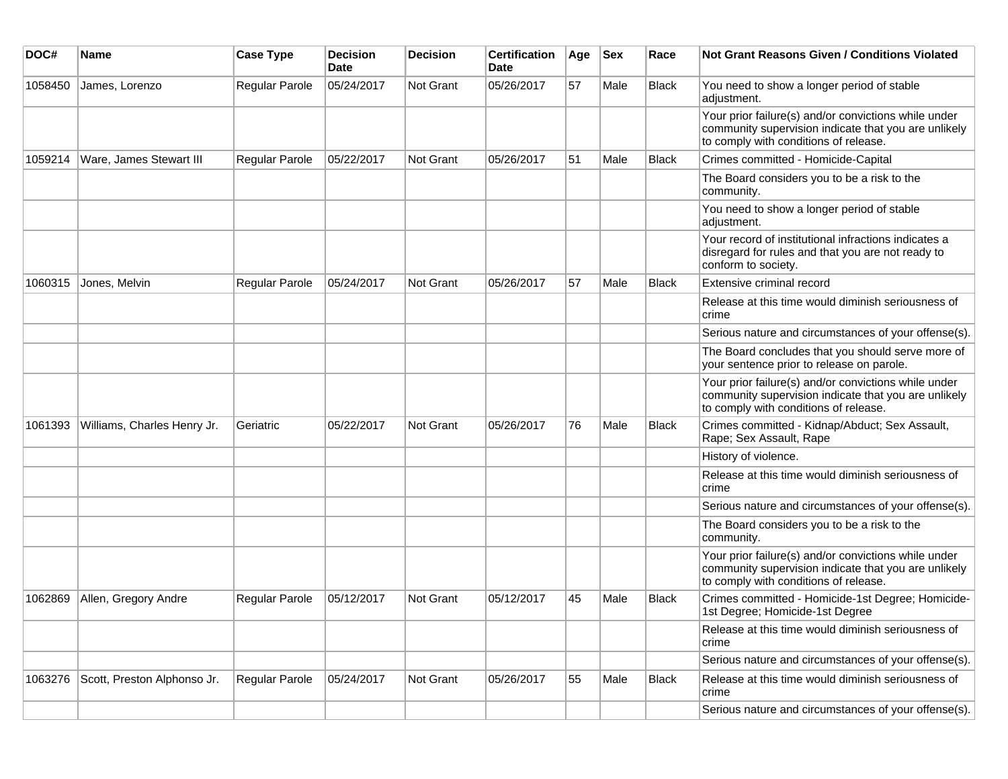| DOC#    | <b>Name</b>                 | <b>Case Type</b>      | <b>Decision</b><br>Date | <b>Decision</b> | <b>Certification</b><br>Date | Age | <b>Sex</b> | Race         | <b>Not Grant Reasons Given / Conditions Violated</b>                                                                                                  |
|---------|-----------------------------|-----------------------|-------------------------|-----------------|------------------------------|-----|------------|--------------|-------------------------------------------------------------------------------------------------------------------------------------------------------|
| 1058450 | James, Lorenzo              | Regular Parole        | 05/24/2017              | Not Grant       | 05/26/2017                   | 57  | Male       | <b>Black</b> | You need to show a longer period of stable<br>adjustment.                                                                                             |
|         |                             |                       |                         |                 |                              |     |            |              | Your prior failure(s) and/or convictions while under<br>community supervision indicate that you are unlikely<br>to comply with conditions of release. |
| 1059214 | Ware, James Stewart III     | Regular Parole        | 05/22/2017              | Not Grant       | 05/26/2017                   | 51  | Male       | <b>Black</b> | Crimes committed - Homicide-Capital                                                                                                                   |
|         |                             |                       |                         |                 |                              |     |            |              | The Board considers you to be a risk to the<br>community.                                                                                             |
|         |                             |                       |                         |                 |                              |     |            |              | You need to show a longer period of stable<br>adjustment.                                                                                             |
|         |                             |                       |                         |                 |                              |     |            |              | Your record of institutional infractions indicates a<br>disregard for rules and that you are not ready to<br>conform to society.                      |
| 1060315 | Jones, Melvin               | Regular Parole        | 05/24/2017              | Not Grant       | 05/26/2017                   | 57  | Male       | <b>Black</b> | Extensive criminal record                                                                                                                             |
|         |                             |                       |                         |                 |                              |     |            |              | Release at this time would diminish seriousness of<br>crime                                                                                           |
|         |                             |                       |                         |                 |                              |     |            |              | Serious nature and circumstances of your offense(s).                                                                                                  |
|         |                             |                       |                         |                 |                              |     |            |              | The Board concludes that you should serve more of<br>your sentence prior to release on parole.                                                        |
|         |                             |                       |                         |                 |                              |     |            |              | Your prior failure(s) and/or convictions while under<br>community supervision indicate that you are unlikely<br>to comply with conditions of release. |
| 1061393 | Williams, Charles Henry Jr. | Geriatric             | 05/22/2017              | Not Grant       | 05/26/2017                   | 76  | Male       | Black        | Crimes committed - Kidnap/Abduct; Sex Assault,<br>Rape; Sex Assault, Rape                                                                             |
|         |                             |                       |                         |                 |                              |     |            |              | History of violence.                                                                                                                                  |
|         |                             |                       |                         |                 |                              |     |            |              | Release at this time would diminish seriousness of<br>crime                                                                                           |
|         |                             |                       |                         |                 |                              |     |            |              | Serious nature and circumstances of your offense(s).                                                                                                  |
|         |                             |                       |                         |                 |                              |     |            |              | The Board considers you to be a risk to the<br>community.                                                                                             |
|         |                             |                       |                         |                 |                              |     |            |              | Your prior failure(s) and/or convictions while under<br>community supervision indicate that you are unlikely<br>to comply with conditions of release. |
| 1062869 | Allen, Gregory Andre        | <b>Regular Parole</b> | 05/12/2017              | Not Grant       | 05/12/2017                   | 45  | Male       | <b>Black</b> | Crimes committed - Homicide-1st Degree; Homicide-<br>1st Degree; Homicide-1st Degree                                                                  |
|         |                             |                       |                         |                 |                              |     |            |              | Release at this time would diminish seriousness of<br>crime                                                                                           |
|         |                             |                       |                         |                 |                              |     |            |              | Serious nature and circumstances of your offense(s).                                                                                                  |
| 1063276 | Scott, Preston Alphonso Jr. | Regular Parole        | 05/24/2017              | Not Grant       | 05/26/2017                   | 55  | Male       | Black        | Release at this time would diminish seriousness of<br>crime                                                                                           |
|         |                             |                       |                         |                 |                              |     |            |              | Serious nature and circumstances of your offense(s).                                                                                                  |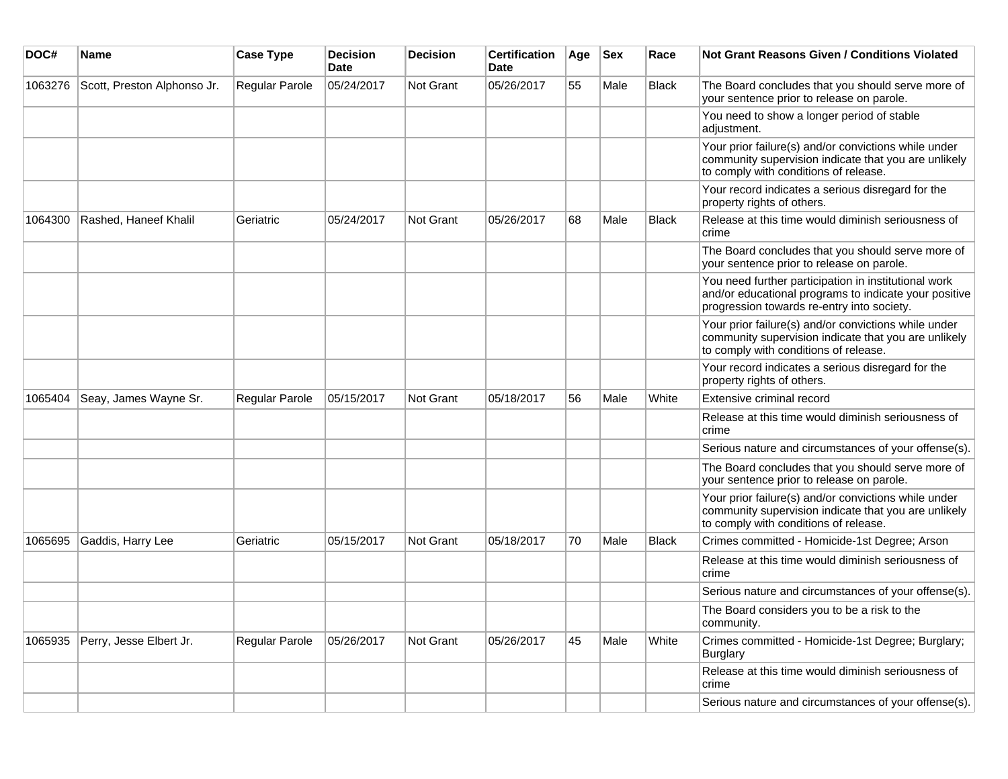| DOC#    | Name                        | <b>Case Type</b>      | <b>Decision</b><br><b>Date</b> | <b>Decision</b> | <b>Certification</b><br><b>Date</b> | Age | <b>Sex</b> | Race         | <b>Not Grant Reasons Given / Conditions Violated</b>                                                                                                        |
|---------|-----------------------------|-----------------------|--------------------------------|-----------------|-------------------------------------|-----|------------|--------------|-------------------------------------------------------------------------------------------------------------------------------------------------------------|
| 1063276 | Scott, Preston Alphonso Jr. | <b>Regular Parole</b> | 05/24/2017                     | Not Grant       | 05/26/2017                          | 55  | Male       | <b>Black</b> | The Board concludes that you should serve more of<br>your sentence prior to release on parole.                                                              |
|         |                             |                       |                                |                 |                                     |     |            |              | You need to show a longer period of stable<br>adjustment.                                                                                                   |
|         |                             |                       |                                |                 |                                     |     |            |              | Your prior failure(s) and/or convictions while under<br>community supervision indicate that you are unlikely<br>to comply with conditions of release.       |
|         |                             |                       |                                |                 |                                     |     |            |              | Your record indicates a serious disregard for the<br>property rights of others.                                                                             |
| 1064300 | Rashed, Haneef Khalil       | Geriatric             | 05/24/2017                     | Not Grant       | 05/26/2017                          | 68  | Male       | <b>Black</b> | Release at this time would diminish seriousness of<br>crime                                                                                                 |
|         |                             |                       |                                |                 |                                     |     |            |              | The Board concludes that you should serve more of<br>your sentence prior to release on parole.                                                              |
|         |                             |                       |                                |                 |                                     |     |            |              | You need further participation in institutional work<br>and/or educational programs to indicate your positive<br>progression towards re-entry into society. |
|         |                             |                       |                                |                 |                                     |     |            |              | Your prior failure(s) and/or convictions while under<br>community supervision indicate that you are unlikely<br>to comply with conditions of release.       |
|         |                             |                       |                                |                 |                                     |     |            |              | Your record indicates a serious disregard for the<br>property rights of others.                                                                             |
| 1065404 | Seay, James Wayne Sr.       | Regular Parole        | 05/15/2017                     | Not Grant       | 05/18/2017                          | 56  | Male       | White        | Extensive criminal record                                                                                                                                   |
|         |                             |                       |                                |                 |                                     |     |            |              | Release at this time would diminish seriousness of<br>crime                                                                                                 |
|         |                             |                       |                                |                 |                                     |     |            |              | Serious nature and circumstances of your offense(s).                                                                                                        |
|         |                             |                       |                                |                 |                                     |     |            |              | The Board concludes that you should serve more of<br>your sentence prior to release on parole.                                                              |
|         |                             |                       |                                |                 |                                     |     |            |              | Your prior failure(s) and/or convictions while under<br>community supervision indicate that you are unlikely<br>to comply with conditions of release.       |
| 1065695 | Gaddis, Harry Lee           | Geriatric             | 05/15/2017                     | Not Grant       | 05/18/2017                          | 70  | Male       | <b>Black</b> | Crimes committed - Homicide-1st Degree; Arson                                                                                                               |
|         |                             |                       |                                |                 |                                     |     |            |              | Release at this time would diminish seriousness of<br>crime                                                                                                 |
|         |                             |                       |                                |                 |                                     |     |            |              | Serious nature and circumstances of your offense(s).                                                                                                        |
|         |                             |                       |                                |                 |                                     |     |            |              | The Board considers you to be a risk to the<br>community.                                                                                                   |
| 1065935 | Perry, Jesse Elbert Jr.     | Regular Parole        | 05/26/2017                     | Not Grant       | 05/26/2017                          | 45  | Male       | White        | Crimes committed - Homicide-1st Degree; Burglary;<br><b>Burglary</b>                                                                                        |
|         |                             |                       |                                |                 |                                     |     |            |              | Release at this time would diminish seriousness of<br>crime                                                                                                 |
|         |                             |                       |                                |                 |                                     |     |            |              | Serious nature and circumstances of your offense(s).                                                                                                        |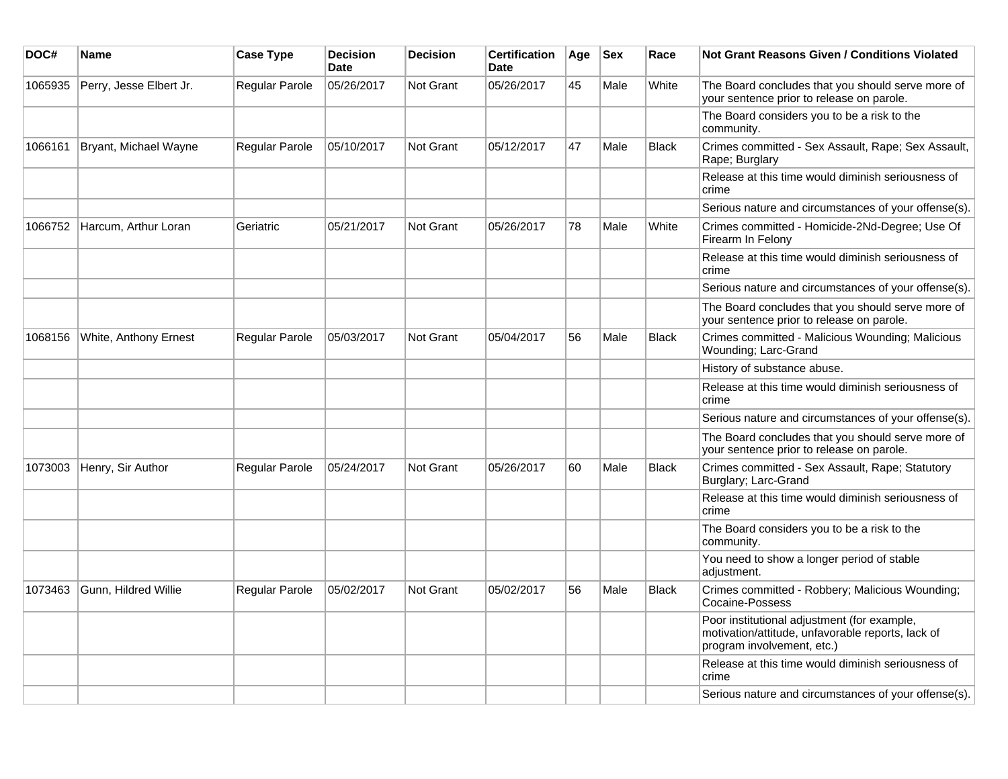| DOC#    | Name                    | <b>Case Type</b>      | <b>Decision</b><br><b>Date</b> | <b>Decision</b> | <b>Certification</b><br>Date | Age | <b>Sex</b> | Race         | Not Grant Reasons Given / Conditions Violated                                                                                  |
|---------|-------------------------|-----------------------|--------------------------------|-----------------|------------------------------|-----|------------|--------------|--------------------------------------------------------------------------------------------------------------------------------|
| 1065935 | Perry, Jesse Elbert Jr. | <b>Regular Parole</b> | 05/26/2017                     | Not Grant       | 05/26/2017                   | 45  | Male       | White        | The Board concludes that you should serve more of<br>your sentence prior to release on parole.                                 |
|         |                         |                       |                                |                 |                              |     |            |              | The Board considers you to be a risk to the<br>community.                                                                      |
| 1066161 | Bryant, Michael Wayne   | Regular Parole        | 05/10/2017                     | Not Grant       | 05/12/2017                   | 47  | Male       | <b>Black</b> | Crimes committed - Sex Assault, Rape; Sex Assault,<br>Rape; Burglary                                                           |
|         |                         |                       |                                |                 |                              |     |            |              | Release at this time would diminish seriousness of<br>crime                                                                    |
|         |                         |                       |                                |                 |                              |     |            |              | Serious nature and circumstances of your offense(s).                                                                           |
| 1066752 | Harcum, Arthur Loran    | Geriatric             | 05/21/2017                     | Not Grant       | 05/26/2017                   | 78  | Male       | White        | Crimes committed - Homicide-2Nd-Degree; Use Of<br>Firearm In Felony                                                            |
|         |                         |                       |                                |                 |                              |     |            |              | Release at this time would diminish seriousness of<br>crime                                                                    |
|         |                         |                       |                                |                 |                              |     |            |              | Serious nature and circumstances of your offense(s).                                                                           |
|         |                         |                       |                                |                 |                              |     |            |              | The Board concludes that you should serve more of<br>your sentence prior to release on parole.                                 |
| 1068156 | White, Anthony Ernest   | <b>Regular Parole</b> | 05/03/2017                     | Not Grant       | 05/04/2017                   | 56  | Male       | <b>Black</b> | Crimes committed - Malicious Wounding; Malicious<br>Wounding; Larc-Grand                                                       |
|         |                         |                       |                                |                 |                              |     |            |              | History of substance abuse.                                                                                                    |
|         |                         |                       |                                |                 |                              |     |            |              | Release at this time would diminish seriousness of<br>crime                                                                    |
|         |                         |                       |                                |                 |                              |     |            |              | Serious nature and circumstances of your offense(s).                                                                           |
|         |                         |                       |                                |                 |                              |     |            |              | The Board concludes that you should serve more of<br>your sentence prior to release on parole.                                 |
| 1073003 | Henry, Sir Author       | Regular Parole        | 05/24/2017                     | Not Grant       | 05/26/2017                   | 60  | Male       | <b>Black</b> | Crimes committed - Sex Assault, Rape; Statutory<br>Burglary; Larc-Grand                                                        |
|         |                         |                       |                                |                 |                              |     |            |              | Release at this time would diminish seriousness of<br>crime                                                                    |
|         |                         |                       |                                |                 |                              |     |            |              | The Board considers you to be a risk to the<br>community.                                                                      |
|         |                         |                       |                                |                 |                              |     |            |              | You need to show a longer period of stable<br>adjustment.                                                                      |
| 1073463 | Gunn, Hildred Willie    | Regular Parole        | 05/02/2017                     | Not Grant       | 05/02/2017                   | 56  | Male       | <b>Black</b> | Crimes committed - Robbery; Malicious Wounding;<br>Cocaine-Possess                                                             |
|         |                         |                       |                                |                 |                              |     |            |              | Poor institutional adjustment (for example,<br>motivation/attitude, unfavorable reports, lack of<br>program involvement, etc.) |
|         |                         |                       |                                |                 |                              |     |            |              | Release at this time would diminish seriousness of<br>crime                                                                    |
|         |                         |                       |                                |                 |                              |     |            |              | Serious nature and circumstances of your offense(s).                                                                           |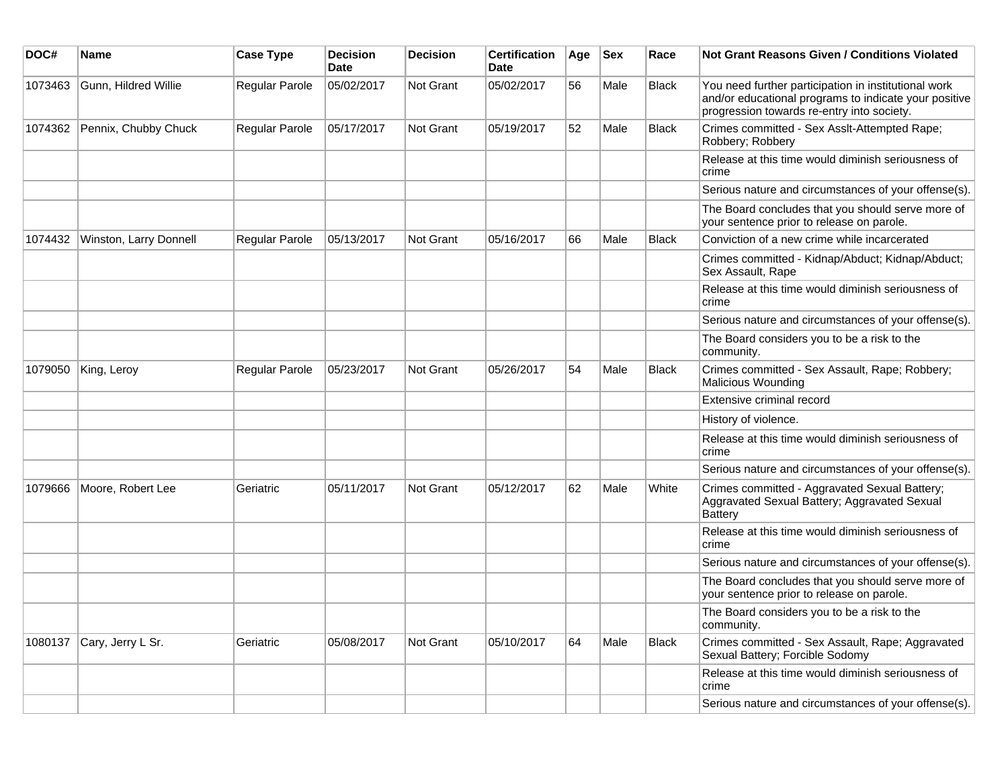| DOC#    | Name                   | <b>Case Type</b> | <b>Decision</b><br><b>Date</b> | <b>Decision</b>  | <b>Certification</b><br>Date | Age | <b>Sex</b> | Race         | Not Grant Reasons Given / Conditions Violated                                                                                                               |
|---------|------------------------|------------------|--------------------------------|------------------|------------------------------|-----|------------|--------------|-------------------------------------------------------------------------------------------------------------------------------------------------------------|
| 1073463 | Gunn, Hildred Willie   | Regular Parole   | 05/02/2017                     | Not Grant        | 05/02/2017                   | 56  | Male       | <b>Black</b> | You need further participation in institutional work<br>and/or educational programs to indicate your positive<br>progression towards re-entry into society. |
| 1074362 | Pennix, Chubby Chuck   | Regular Parole   | 05/17/2017                     | Not Grant        | 05/19/2017                   | 52  | Male       | Black        | Crimes committed - Sex Asslt-Attempted Rape;<br>Robbery; Robbery                                                                                            |
|         |                        |                  |                                |                  |                              |     |            |              | Release at this time would diminish seriousness of<br>crime                                                                                                 |
|         |                        |                  |                                |                  |                              |     |            |              | Serious nature and circumstances of your offense(s).                                                                                                        |
|         |                        |                  |                                |                  |                              |     |            |              | The Board concludes that you should serve more of<br>your sentence prior to release on parole.                                                              |
| 1074432 | Winston, Larry Donnell | Regular Parole   | 05/13/2017                     | <b>Not Grant</b> | 05/16/2017                   | 66  | Male       | <b>Black</b> | Conviction of a new crime while incarcerated                                                                                                                |
|         |                        |                  |                                |                  |                              |     |            |              | Crimes committed - Kidnap/Abduct; Kidnap/Abduct;<br>Sex Assault, Rape                                                                                       |
|         |                        |                  |                                |                  |                              |     |            |              | Release at this time would diminish seriousness of<br>crime                                                                                                 |
|         |                        |                  |                                |                  |                              |     |            |              | Serious nature and circumstances of your offense(s).                                                                                                        |
|         |                        |                  |                                |                  |                              |     |            |              | The Board considers you to be a risk to the<br>community.                                                                                                   |
| 1079050 | King, Leroy            | Regular Parole   | 05/23/2017                     | <b>Not Grant</b> | 05/26/2017                   | 54  | Male       | <b>Black</b> | Crimes committed - Sex Assault, Rape; Robbery;<br>Malicious Wounding                                                                                        |
|         |                        |                  |                                |                  |                              |     |            |              | Extensive criminal record                                                                                                                                   |
|         |                        |                  |                                |                  |                              |     |            |              | History of violence.                                                                                                                                        |
|         |                        |                  |                                |                  |                              |     |            |              | Release at this time would diminish seriousness of<br>crime                                                                                                 |
|         |                        |                  |                                |                  |                              |     |            |              | Serious nature and circumstances of your offense(s).                                                                                                        |
| 1079666 | Moore, Robert Lee      | Geriatric        | 05/11/2017                     | Not Grant        | 05/12/2017                   | 62  | Male       | White        | Crimes committed - Aggravated Sexual Battery;<br>Aggravated Sexual Battery; Aggravated Sexual<br><b>Battery</b>                                             |
|         |                        |                  |                                |                  |                              |     |            |              | Release at this time would diminish seriousness of<br>crime                                                                                                 |
|         |                        |                  |                                |                  |                              |     |            |              | Serious nature and circumstances of your offense(s).                                                                                                        |
|         |                        |                  |                                |                  |                              |     |            |              | The Board concludes that you should serve more of<br>your sentence prior to release on parole.                                                              |
|         |                        |                  |                                |                  |                              |     |            |              | The Board considers you to be a risk to the<br>community.                                                                                                   |
| 1080137 | Cary, Jerry L Sr.      | Geriatric        | 05/08/2017                     | Not Grant        | 05/10/2017                   | 64  | Male       | <b>Black</b> | Crimes committed - Sex Assault, Rape; Aggravated<br>Sexual Battery; Forcible Sodomy                                                                         |
|         |                        |                  |                                |                  |                              |     |            |              | Release at this time would diminish seriousness of<br>crime                                                                                                 |
|         |                        |                  |                                |                  |                              |     |            |              | Serious nature and circumstances of your offense(s).                                                                                                        |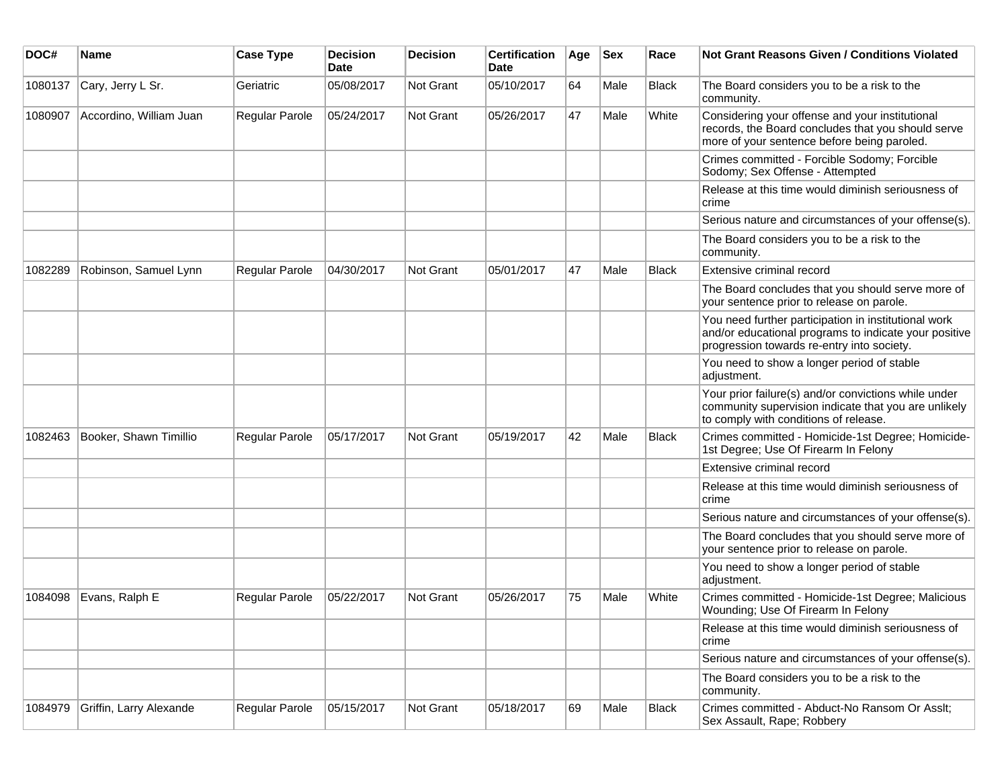| DOC#    | Name                    | <b>Case Type</b> | <b>Decision</b><br><b>Date</b> | <b>Decision</b> | <b>Certification</b><br>Date | Age | <b>Sex</b> | Race         | Not Grant Reasons Given / Conditions Violated                                                                                                               |
|---------|-------------------------|------------------|--------------------------------|-----------------|------------------------------|-----|------------|--------------|-------------------------------------------------------------------------------------------------------------------------------------------------------------|
| 1080137 | Cary, Jerry L Sr.       | Geriatric        | 05/08/2017                     | Not Grant       | 05/10/2017                   | 64  | Male       | <b>Black</b> | The Board considers you to be a risk to the<br>community.                                                                                                   |
| 1080907 | Accordino, William Juan | Regular Parole   | 05/24/2017                     | Not Grant       | 05/26/2017                   | 47  | Male       | White        | Considering your offense and your institutional<br>records, the Board concludes that you should serve<br>more of your sentence before being paroled.        |
|         |                         |                  |                                |                 |                              |     |            |              | Crimes committed - Forcible Sodomy; Forcible<br>Sodomy; Sex Offense - Attempted                                                                             |
|         |                         |                  |                                |                 |                              |     |            |              | Release at this time would diminish seriousness of<br>crime                                                                                                 |
|         |                         |                  |                                |                 |                              |     |            |              | Serious nature and circumstances of your offense(s).                                                                                                        |
|         |                         |                  |                                |                 |                              |     |            |              | The Board considers you to be a risk to the<br>community.                                                                                                   |
| 1082289 | Robinson, Samuel Lynn   | Regular Parole   | 04/30/2017                     | Not Grant       | 05/01/2017                   | 47  | Male       | <b>Black</b> | Extensive criminal record                                                                                                                                   |
|         |                         |                  |                                |                 |                              |     |            |              | The Board concludes that you should serve more of<br>your sentence prior to release on parole.                                                              |
|         |                         |                  |                                |                 |                              |     |            |              | You need further participation in institutional work<br>and/or educational programs to indicate your positive<br>progression towards re-entry into society. |
|         |                         |                  |                                |                 |                              |     |            |              | You need to show a longer period of stable<br>adjustment.                                                                                                   |
|         |                         |                  |                                |                 |                              |     |            |              | Your prior failure(s) and/or convictions while under<br>community supervision indicate that you are unlikely<br>to comply with conditions of release.       |
| 1082463 | Booker, Shawn Timillio  | Regular Parole   | 05/17/2017                     | Not Grant       | 05/19/2017                   | 42  | Male       | <b>Black</b> | Crimes committed - Homicide-1st Degree; Homicide-<br>1st Degree; Use Of Firearm In Felony                                                                   |
|         |                         |                  |                                |                 |                              |     |            |              | Extensive criminal record                                                                                                                                   |
|         |                         |                  |                                |                 |                              |     |            |              | Release at this time would diminish seriousness of<br>crime                                                                                                 |
|         |                         |                  |                                |                 |                              |     |            |              | Serious nature and circumstances of your offense(s).                                                                                                        |
|         |                         |                  |                                |                 |                              |     |            |              | The Board concludes that you should serve more of<br>your sentence prior to release on parole.                                                              |
|         |                         |                  |                                |                 |                              |     |            |              | You need to show a longer period of stable<br>adjustment.                                                                                                   |
| 1084098 | Evans, Ralph E          | Regular Parole   | 05/22/2017                     | Not Grant       | 05/26/2017                   | 75  | Male       | White        | Crimes committed - Homicide-1st Degree; Malicious<br>Wounding; Use Of Firearm In Felony                                                                     |
|         |                         |                  |                                |                 |                              |     |            |              | Release at this time would diminish seriousness of<br>crime                                                                                                 |
|         |                         |                  |                                |                 |                              |     |            |              | Serious nature and circumstances of your offense(s).                                                                                                        |
|         |                         |                  |                                |                 |                              |     |            |              | The Board considers you to be a risk to the<br>community.                                                                                                   |
| 1084979 | Griffin, Larry Alexande | Regular Parole   | 05/15/2017                     | Not Grant       | 05/18/2017                   | 69  | Male       | Black        | Crimes committed - Abduct-No Ransom Or Asslt;<br>Sex Assault, Rape; Robbery                                                                                 |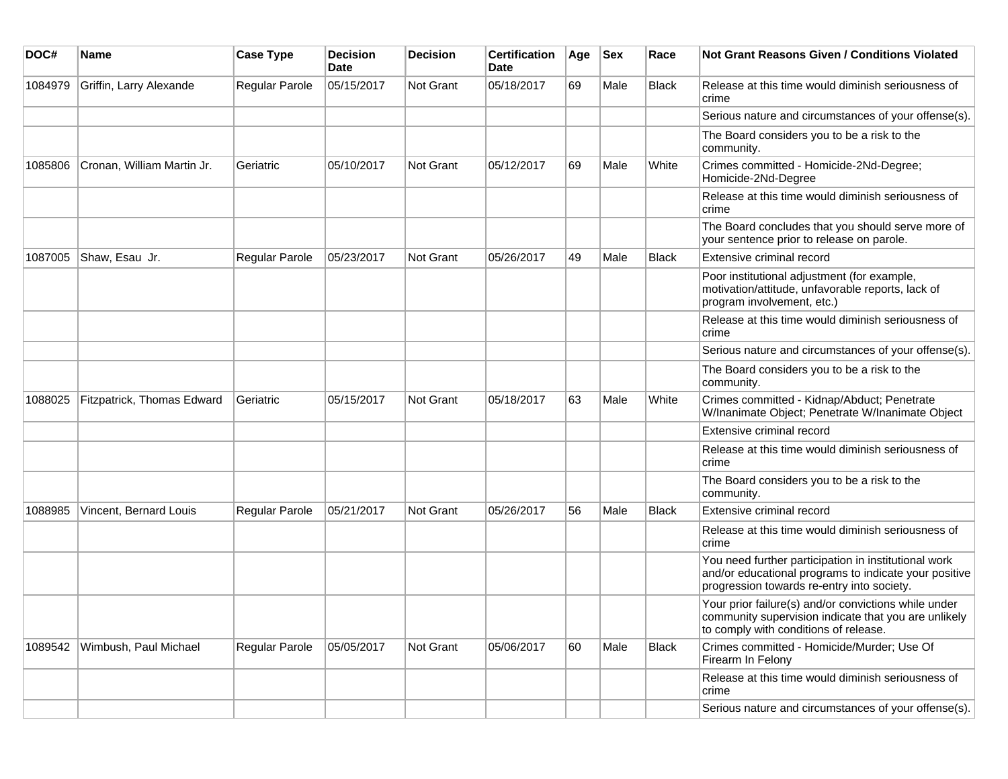| DOC#    | <b>Name</b>                | <b>Case Type</b> | <b>Decision</b><br><b>Date</b> | <b>Decision</b> | <b>Certification</b><br>Date | Age | <b>Sex</b> | Race  | Not Grant Reasons Given / Conditions Violated                                                                                                               |
|---------|----------------------------|------------------|--------------------------------|-----------------|------------------------------|-----|------------|-------|-------------------------------------------------------------------------------------------------------------------------------------------------------------|
| 1084979 | Griffin, Larry Alexande    | Regular Parole   | 05/15/2017                     | Not Grant       | 05/18/2017                   | 69  | Male       | Black | Release at this time would diminish seriousness of<br>crime                                                                                                 |
|         |                            |                  |                                |                 |                              |     |            |       | Serious nature and circumstances of your offense(s).                                                                                                        |
|         |                            |                  |                                |                 |                              |     |            |       | The Board considers you to be a risk to the<br>community.                                                                                                   |
| 1085806 | Cronan, William Martin Jr. | Geriatric        | 05/10/2017                     | Not Grant       | 05/12/2017                   | 69  | Male       | White | Crimes committed - Homicide-2Nd-Degree;<br>Homicide-2Nd-Degree                                                                                              |
|         |                            |                  |                                |                 |                              |     |            |       | Release at this time would diminish seriousness of<br>crime                                                                                                 |
|         |                            |                  |                                |                 |                              |     |            |       | The Board concludes that you should serve more of<br>your sentence prior to release on parole.                                                              |
| 1087005 | Shaw, Esau Jr.             | Regular Parole   | 05/23/2017                     | Not Grant       | 05/26/2017                   | 49  | Male       | Black | Extensive criminal record                                                                                                                                   |
|         |                            |                  |                                |                 |                              |     |            |       | Poor institutional adjustment (for example,<br>motivation/attitude, unfavorable reports, lack of<br>program involvement, etc.)                              |
|         |                            |                  |                                |                 |                              |     |            |       | Release at this time would diminish seriousness of<br>crime                                                                                                 |
|         |                            |                  |                                |                 |                              |     |            |       | Serious nature and circumstances of your offense(s).                                                                                                        |
|         |                            |                  |                                |                 |                              |     |            |       | The Board considers you to be a risk to the<br>community.                                                                                                   |
| 1088025 | Fitzpatrick, Thomas Edward | Geriatric        | 05/15/2017                     | Not Grant       | 05/18/2017                   | 63  | Male       | White | Crimes committed - Kidnap/Abduct; Penetrate<br>W/Inanimate Object; Penetrate W/Inanimate Object                                                             |
|         |                            |                  |                                |                 |                              |     |            |       | Extensive criminal record                                                                                                                                   |
|         |                            |                  |                                |                 |                              |     |            |       | Release at this time would diminish seriousness of<br>crime                                                                                                 |
|         |                            |                  |                                |                 |                              |     |            |       | The Board considers you to be a risk to the<br>community.                                                                                                   |
| 1088985 | Vincent, Bernard Louis     | Regular Parole   | 05/21/2017                     | Not Grant       | 05/26/2017                   | 56  | Male       | Black | Extensive criminal record                                                                                                                                   |
|         |                            |                  |                                |                 |                              |     |            |       | Release at this time would diminish seriousness of<br>crime                                                                                                 |
|         |                            |                  |                                |                 |                              |     |            |       | You need further participation in institutional work<br>and/or educational programs to indicate your positive<br>progression towards re-entry into society. |
|         |                            |                  |                                |                 |                              |     |            |       | Your prior failure(s) and/or convictions while under<br>community supervision indicate that you are unlikely<br>to comply with conditions of release.       |
| 1089542 | Wimbush, Paul Michael      | Regular Parole   | 05/05/2017                     | Not Grant       | 05/06/2017                   | 60  | Male       | Black | Crimes committed - Homicide/Murder; Use Of<br>Firearm In Felony                                                                                             |
|         |                            |                  |                                |                 |                              |     |            |       | Release at this time would diminish seriousness of<br>crime                                                                                                 |
|         |                            |                  |                                |                 |                              |     |            |       | Serious nature and circumstances of your offense(s).                                                                                                        |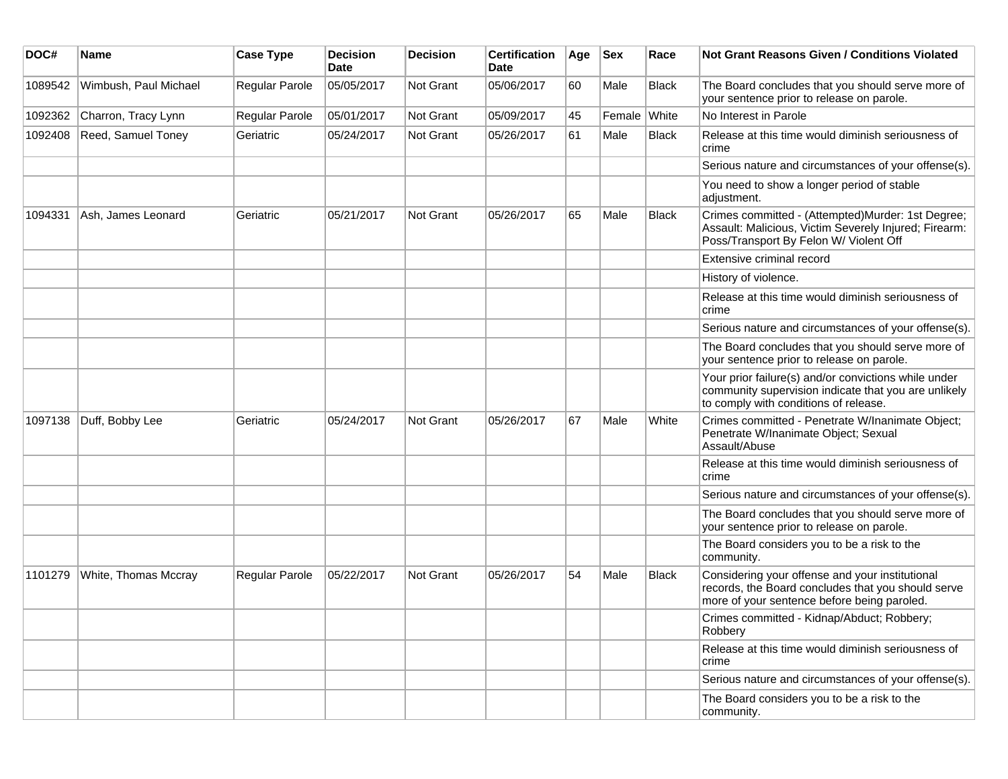| DOC#    | <b>Name</b>           | <b>Case Type</b> | <b>Decision</b><br>Date | <b>Decision</b>  | <b>Certification</b><br>Date | Age | <b>Sex</b>   | Race         | <b>Not Grant Reasons Given / Conditions Violated</b>                                                                                                  |
|---------|-----------------------|------------------|-------------------------|------------------|------------------------------|-----|--------------|--------------|-------------------------------------------------------------------------------------------------------------------------------------------------------|
| 1089542 | Wimbush, Paul Michael | Regular Parole   | 05/05/2017              | <b>Not Grant</b> | 05/06/2017                   | 60  | Male         | <b>Black</b> | The Board concludes that you should serve more of<br>your sentence prior to release on parole.                                                        |
| 1092362 | Charron, Tracy Lynn   | Regular Parole   | 05/01/2017              | Not Grant        | 05/09/2017                   | 45  | Female White |              | No Interest in Parole                                                                                                                                 |
| 1092408 | Reed, Samuel Toney    | Geriatric        | 05/24/2017              | Not Grant        | 05/26/2017                   | 61  | Male         | Black        | Release at this time would diminish seriousness of<br>crime                                                                                           |
|         |                       |                  |                         |                  |                              |     |              |              | Serious nature and circumstances of your offense(s).                                                                                                  |
|         |                       |                  |                         |                  |                              |     |              |              | You need to show a longer period of stable<br>adjustment.                                                                                             |
| 1094331 | Ash, James Leonard    | Geriatric        | 05/21/2017              | Not Grant        | 05/26/2017                   | 65  | Male         | <b>Black</b> | Crimes committed - (Attempted)Murder: 1st Degree;<br>Assault: Malicious, Victim Severely Injured; Firearm:<br>Poss/Transport By Felon W/ Violent Off  |
|         |                       |                  |                         |                  |                              |     |              |              | Extensive criminal record                                                                                                                             |
|         |                       |                  |                         |                  |                              |     |              |              | History of violence.                                                                                                                                  |
|         |                       |                  |                         |                  |                              |     |              |              | Release at this time would diminish seriousness of<br>crime                                                                                           |
|         |                       |                  |                         |                  |                              |     |              |              | Serious nature and circumstances of your offense(s).                                                                                                  |
|         |                       |                  |                         |                  |                              |     |              |              | The Board concludes that you should serve more of<br>your sentence prior to release on parole.                                                        |
|         |                       |                  |                         |                  |                              |     |              |              | Your prior failure(s) and/or convictions while under<br>community supervision indicate that you are unlikely<br>to comply with conditions of release. |
| 1097138 | Duff, Bobby Lee       | Geriatric        | 05/24/2017              | Not Grant        | 05/26/2017                   | 67  | Male         | White        | Crimes committed - Penetrate W/Inanimate Object;<br>Penetrate W/Inanimate Object; Sexual<br>Assault/Abuse                                             |
|         |                       |                  |                         |                  |                              |     |              |              | Release at this time would diminish seriousness of<br>crime                                                                                           |
|         |                       |                  |                         |                  |                              |     |              |              | Serious nature and circumstances of your offense(s).                                                                                                  |
|         |                       |                  |                         |                  |                              |     |              |              | The Board concludes that you should serve more of<br>your sentence prior to release on parole.                                                        |
|         |                       |                  |                         |                  |                              |     |              |              | The Board considers you to be a risk to the<br>community.                                                                                             |
| 1101279 | White, Thomas Mccray  | Regular Parole   | 05/22/2017              | Not Grant        | 05/26/2017                   | 54  | Male         | <b>Black</b> | Considering your offense and your institutional<br>records, the Board concludes that you should serve<br>more of your sentence before being paroled.  |
|         |                       |                  |                         |                  |                              |     |              |              | Crimes committed - Kidnap/Abduct; Robbery;<br>Robbery                                                                                                 |
|         |                       |                  |                         |                  |                              |     |              |              | Release at this time would diminish seriousness of<br>crime                                                                                           |
|         |                       |                  |                         |                  |                              |     |              |              | Serious nature and circumstances of your offense(s).                                                                                                  |
|         |                       |                  |                         |                  |                              |     |              |              | The Board considers you to be a risk to the<br>community.                                                                                             |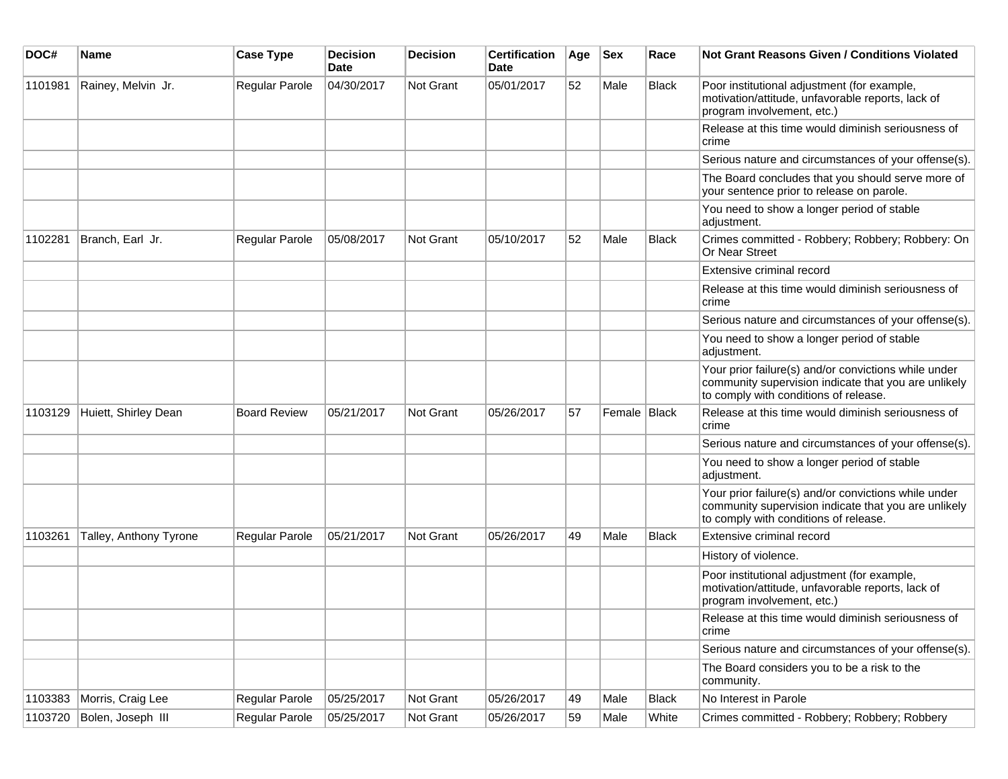| DOC#    | <b>Name</b>            | <b>Case Type</b>    | <b>Decision</b><br><b>Date</b> | <b>Decision</b> | <b>Certification</b><br>Date | Age | <b>Sex</b>     | Race         | Not Grant Reasons Given / Conditions Violated                                                                                                         |
|---------|------------------------|---------------------|--------------------------------|-----------------|------------------------------|-----|----------------|--------------|-------------------------------------------------------------------------------------------------------------------------------------------------------|
| 1101981 | Rainey, Melvin Jr.     | Regular Parole      | 04/30/2017                     | Not Grant       | 05/01/2017                   | 52  | Male           | <b>Black</b> | Poor institutional adjustment (for example,<br>motivation/attitude, unfavorable reports, lack of<br>program involvement, etc.)                        |
|         |                        |                     |                                |                 |                              |     |                |              | Release at this time would diminish seriousness of<br>crime                                                                                           |
|         |                        |                     |                                |                 |                              |     |                |              | Serious nature and circumstances of your offense(s).                                                                                                  |
|         |                        |                     |                                |                 |                              |     |                |              | The Board concludes that you should serve more of<br>your sentence prior to release on parole.                                                        |
|         |                        |                     |                                |                 |                              |     |                |              | You need to show a longer period of stable<br>adjustment.                                                                                             |
| 1102281 | Branch, Earl Jr.       | Regular Parole      | 05/08/2017                     | Not Grant       | 05/10/2017                   | 52  | Male           | <b>Black</b> | Crimes committed - Robbery; Robbery; Robbery: On<br>Or Near Street                                                                                    |
|         |                        |                     |                                |                 |                              |     |                |              | Extensive criminal record                                                                                                                             |
|         |                        |                     |                                |                 |                              |     |                |              | Release at this time would diminish seriousness of<br>crime                                                                                           |
|         |                        |                     |                                |                 |                              |     |                |              | Serious nature and circumstances of your offense(s).                                                                                                  |
|         |                        |                     |                                |                 |                              |     |                |              | You need to show a longer period of stable<br>adiustment.                                                                                             |
|         |                        |                     |                                |                 |                              |     |                |              | Your prior failure(s) and/or convictions while under<br>community supervision indicate that you are unlikely<br>to comply with conditions of release. |
| 1103129 | Huiett, Shirley Dean   | <b>Board Review</b> | 05/21/2017                     | Not Grant       | 05/26/2017                   | 57  | Female   Black |              | Release at this time would diminish seriousness of<br>crime                                                                                           |
|         |                        |                     |                                |                 |                              |     |                |              | Serious nature and circumstances of your offense(s).                                                                                                  |
|         |                        |                     |                                |                 |                              |     |                |              | You need to show a longer period of stable<br>adjustment.                                                                                             |
|         |                        |                     |                                |                 |                              |     |                |              | Your prior failure(s) and/or convictions while under<br>community supervision indicate that you are unlikely<br>to comply with conditions of release. |
| 1103261 | Talley, Anthony Tyrone | Regular Parole      | 05/21/2017                     | Not Grant       | 05/26/2017                   | 49  | Male           | <b>Black</b> | Extensive criminal record                                                                                                                             |
|         |                        |                     |                                |                 |                              |     |                |              | History of violence.                                                                                                                                  |
|         |                        |                     |                                |                 |                              |     |                |              | Poor institutional adjustment (for example,<br>motivation/attitude, unfavorable reports, lack of<br>program involvement, etc.)                        |
|         |                        |                     |                                |                 |                              |     |                |              | Release at this time would diminish seriousness of<br>crime                                                                                           |
|         |                        |                     |                                |                 |                              |     |                |              | Serious nature and circumstances of your offense(s).                                                                                                  |
|         |                        |                     |                                |                 |                              |     |                |              | The Board considers you to be a risk to the<br>community.                                                                                             |
| 1103383 | Morris, Craig Lee      | Regular Parole      | 05/25/2017                     | Not Grant       | 05/26/2017                   | 49  | Male           | <b>Black</b> | No Interest in Parole                                                                                                                                 |
| 1103720 | Bolen, Joseph III      | Regular Parole      | 05/25/2017                     | Not Grant       | 05/26/2017                   | 59  | Male           | White        | Crimes committed - Robbery; Robbery; Robbery                                                                                                          |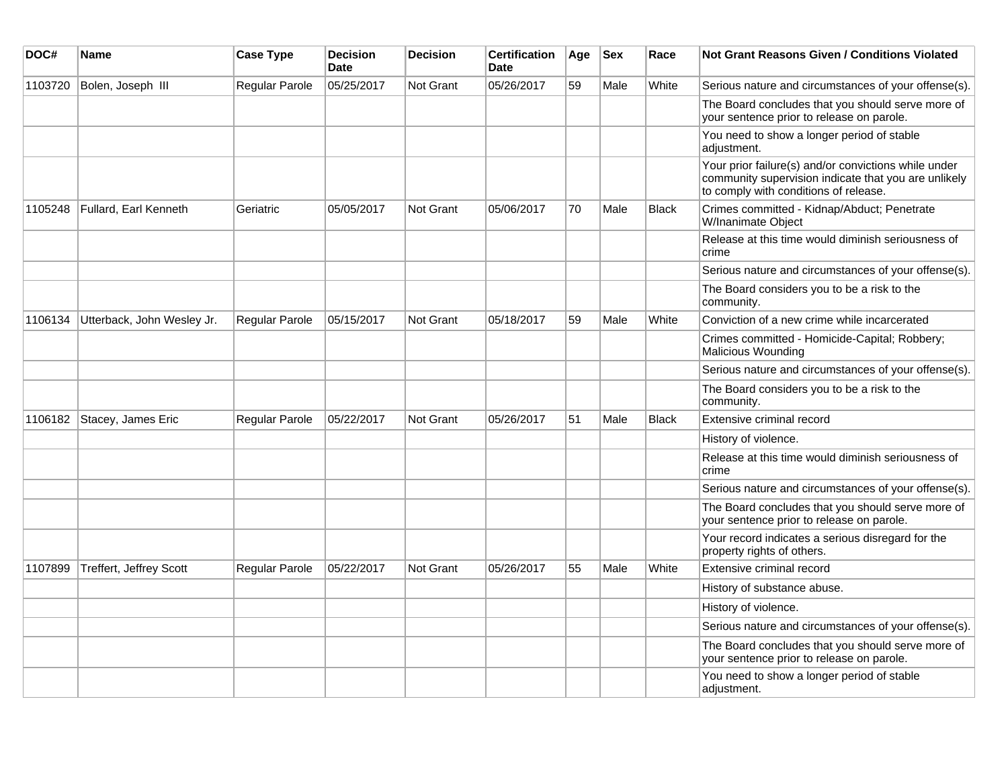| DOC#    | Name                           | <b>Case Type</b>      | <b>Decision</b><br><b>Date</b> | <b>Decision</b>  | <b>Certification</b><br>Date | Age | <b>Sex</b> | Race         | Not Grant Reasons Given / Conditions Violated                                                                                                         |
|---------|--------------------------------|-----------------------|--------------------------------|------------------|------------------------------|-----|------------|--------------|-------------------------------------------------------------------------------------------------------------------------------------------------------|
| 1103720 | Bolen, Joseph III              | Regular Parole        | 05/25/2017                     | <b>Not Grant</b> | 05/26/2017                   | 59  | Male       | White        | Serious nature and circumstances of your offense(s).                                                                                                  |
|         |                                |                       |                                |                  |                              |     |            |              | The Board concludes that you should serve more of<br>your sentence prior to release on parole.                                                        |
|         |                                |                       |                                |                  |                              |     |            |              | You need to show a longer period of stable<br>adjustment.                                                                                             |
|         |                                |                       |                                |                  |                              |     |            |              | Your prior failure(s) and/or convictions while under<br>community supervision indicate that you are unlikely<br>to comply with conditions of release. |
| 1105248 | Fullard. Earl Kenneth          | Geriatric             | 05/05/2017                     | Not Grant        | 05/06/2017                   | 70  | Male       | <b>Black</b> | Crimes committed - Kidnap/Abduct; Penetrate<br>W/Inanimate Object                                                                                     |
|         |                                |                       |                                |                  |                              |     |            |              | Release at this time would diminish seriousness of<br>crime                                                                                           |
|         |                                |                       |                                |                  |                              |     |            |              | Serious nature and circumstances of your offense(s).                                                                                                  |
|         |                                |                       |                                |                  |                              |     |            |              | The Board considers you to be a risk to the<br>community.                                                                                             |
| 1106134 | Utterback, John Wesley Jr.     | Regular Parole        | 05/15/2017                     | <b>Not Grant</b> | 05/18/2017                   | 59  | Male       | White        | Conviction of a new crime while incarcerated                                                                                                          |
|         |                                |                       |                                |                  |                              |     |            |              | Crimes committed - Homicide-Capital; Robbery;<br>Malicious Wounding                                                                                   |
|         |                                |                       |                                |                  |                              |     |            |              | Serious nature and circumstances of your offense(s).                                                                                                  |
|         |                                |                       |                                |                  |                              |     |            |              | The Board considers you to be a risk to the<br>community.                                                                                             |
| 1106182 | Stacey, James Eric             | Regular Parole        | 05/22/2017                     | <b>Not Grant</b> | 05/26/2017                   | 51  | Male       | <b>Black</b> | Extensive criminal record                                                                                                                             |
|         |                                |                       |                                |                  |                              |     |            |              | History of violence.                                                                                                                                  |
|         |                                |                       |                                |                  |                              |     |            |              | Release at this time would diminish seriousness of<br>crime                                                                                           |
|         |                                |                       |                                |                  |                              |     |            |              | Serious nature and circumstances of your offense(s).                                                                                                  |
|         |                                |                       |                                |                  |                              |     |            |              | The Board concludes that you should serve more of<br>your sentence prior to release on parole.                                                        |
|         |                                |                       |                                |                  |                              |     |            |              | Your record indicates a serious disregard for the<br>property rights of others.                                                                       |
| 1107899 | <b>Treffert, Jeffrey Scott</b> | <b>Regular Parole</b> | 05/22/2017                     | Not Grant        | 05/26/2017                   | 55  | Male       | White        | Extensive criminal record                                                                                                                             |
|         |                                |                       |                                |                  |                              |     |            |              | History of substance abuse.                                                                                                                           |
|         |                                |                       |                                |                  |                              |     |            |              | History of violence.                                                                                                                                  |
|         |                                |                       |                                |                  |                              |     |            |              | Serious nature and circumstances of your offense(s).                                                                                                  |
|         |                                |                       |                                |                  |                              |     |            |              | The Board concludes that you should serve more of<br>your sentence prior to release on parole.                                                        |
|         |                                |                       |                                |                  |                              |     |            |              | You need to show a longer period of stable<br>adjustment.                                                                                             |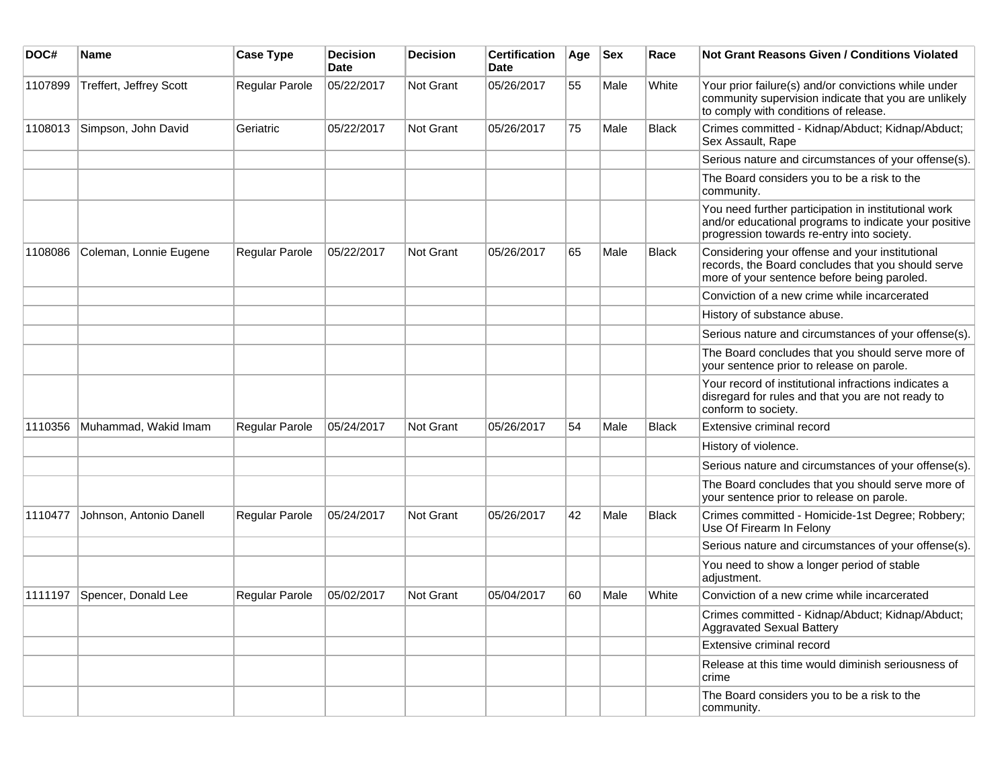| DOC#    | Name                    | <b>Case Type</b>      | <b>Decision</b><br>Date | <b>Decision</b> | <b>Certification</b><br>Date | Age | <b>Sex</b> | Race         | <b>Not Grant Reasons Given / Conditions Violated</b>                                                                                                        |
|---------|-------------------------|-----------------------|-------------------------|-----------------|------------------------------|-----|------------|--------------|-------------------------------------------------------------------------------------------------------------------------------------------------------------|
| 1107899 | Treffert, Jeffrey Scott | Regular Parole        | 05/22/2017              | Not Grant       | 05/26/2017                   | 55  | Male       | White        | Your prior failure(s) and/or convictions while under<br>community supervision indicate that you are unlikely<br>to comply with conditions of release.       |
| 1108013 | Simpson, John David     | Geriatric             | 05/22/2017              | Not Grant       | 05/26/2017                   | 75  | Male       | <b>Black</b> | Crimes committed - Kidnap/Abduct; Kidnap/Abduct;<br>Sex Assault, Rape                                                                                       |
|         |                         |                       |                         |                 |                              |     |            |              | Serious nature and circumstances of your offense(s).                                                                                                        |
|         |                         |                       |                         |                 |                              |     |            |              | The Board considers you to be a risk to the<br>community.                                                                                                   |
|         |                         |                       |                         |                 |                              |     |            |              | You need further participation in institutional work<br>and/or educational programs to indicate your positive<br>progression towards re-entry into society. |
| 1108086 | Coleman, Lonnie Eugene  | <b>Regular Parole</b> | 05/22/2017              | Not Grant       | 05/26/2017                   | 65  | Male       | <b>Black</b> | Considering your offense and your institutional<br>records, the Board concludes that you should serve<br>more of your sentence before being paroled.        |
|         |                         |                       |                         |                 |                              |     |            |              | Conviction of a new crime while incarcerated                                                                                                                |
|         |                         |                       |                         |                 |                              |     |            |              | History of substance abuse.                                                                                                                                 |
|         |                         |                       |                         |                 |                              |     |            |              | Serious nature and circumstances of your offense(s).                                                                                                        |
|         |                         |                       |                         |                 |                              |     |            |              | The Board concludes that you should serve more of<br>your sentence prior to release on parole.                                                              |
|         |                         |                       |                         |                 |                              |     |            |              | Your record of institutional infractions indicates a<br>disregard for rules and that you are not ready to<br>conform to society.                            |
| 1110356 | Muhammad, Wakid Imam    | Regular Parole        | 05/24/2017              | Not Grant       | 05/26/2017                   | 54  | Male       | Black        | Extensive criminal record                                                                                                                                   |
|         |                         |                       |                         |                 |                              |     |            |              | History of violence.                                                                                                                                        |
|         |                         |                       |                         |                 |                              |     |            |              | Serious nature and circumstances of your offense(s).                                                                                                        |
|         |                         |                       |                         |                 |                              |     |            |              | The Board concludes that you should serve more of<br>your sentence prior to release on parole.                                                              |
| 1110477 | Johnson, Antonio Danell | <b>Regular Parole</b> | 05/24/2017              | Not Grant       | 05/26/2017                   | 42  | Male       | <b>Black</b> | Crimes committed - Homicide-1st Degree; Robbery;<br>Use Of Firearm In Felony                                                                                |
|         |                         |                       |                         |                 |                              |     |            |              | Serious nature and circumstances of your offense(s).                                                                                                        |
|         |                         |                       |                         |                 |                              |     |            |              | You need to show a longer period of stable<br>adjustment.                                                                                                   |
| 1111197 | Spencer, Donald Lee     | Regular Parole        | 05/02/2017              | Not Grant       | 05/04/2017                   | 60  | Male       | White        | Conviction of a new crime while incarcerated                                                                                                                |
|         |                         |                       |                         |                 |                              |     |            |              | Crimes committed - Kidnap/Abduct; Kidnap/Abduct;<br><b>Aggravated Sexual Battery</b>                                                                        |
|         |                         |                       |                         |                 |                              |     |            |              | Extensive criminal record                                                                                                                                   |
|         |                         |                       |                         |                 |                              |     |            |              | Release at this time would diminish seriousness of<br>crime                                                                                                 |
|         |                         |                       |                         |                 |                              |     |            |              | The Board considers you to be a risk to the<br>community.                                                                                                   |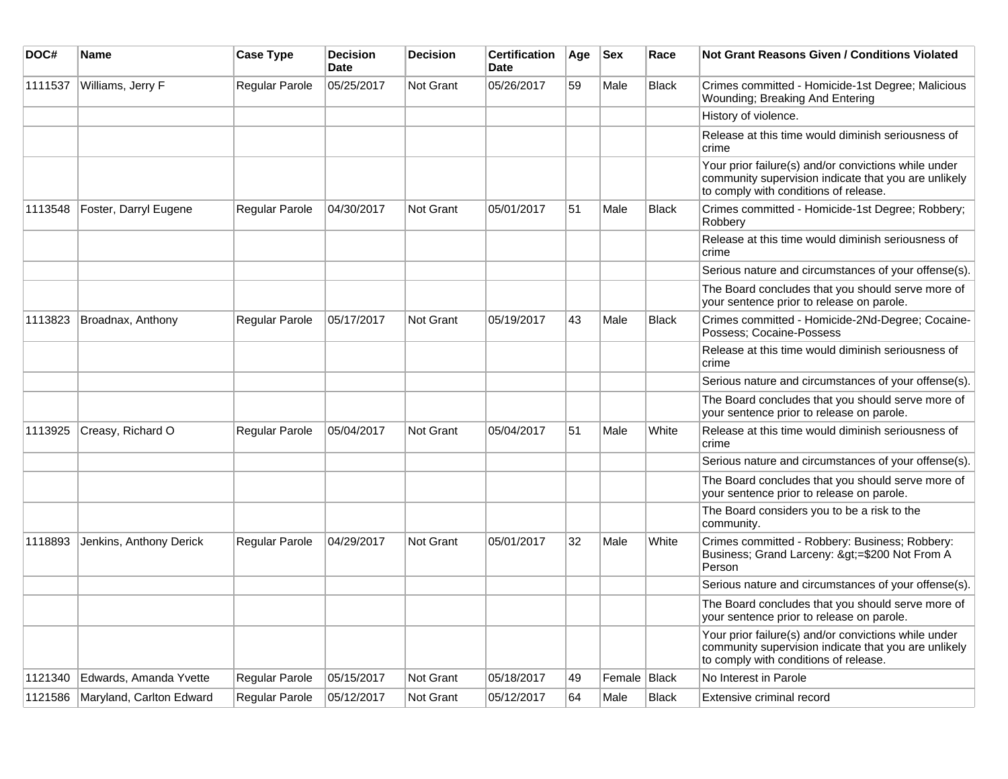| DOC#    | Name                     | <b>Case Type</b> | <b>Decision</b><br><b>Date</b> | <b>Decision</b>  | <b>Certification</b><br><b>Date</b> | Age | <b>Sex</b>   | Race         | Not Grant Reasons Given / Conditions Violated                                                                                                         |
|---------|--------------------------|------------------|--------------------------------|------------------|-------------------------------------|-----|--------------|--------------|-------------------------------------------------------------------------------------------------------------------------------------------------------|
| 1111537 | Williams, Jerry F        | Regular Parole   | 05/25/2017                     | Not Grant        | 05/26/2017                          | 59  | Male         | <b>Black</b> | Crimes committed - Homicide-1st Degree; Malicious<br>Wounding; Breaking And Entering                                                                  |
|         |                          |                  |                                |                  |                                     |     |              |              | History of violence.                                                                                                                                  |
|         |                          |                  |                                |                  |                                     |     |              |              | Release at this time would diminish seriousness of<br>crime                                                                                           |
|         |                          |                  |                                |                  |                                     |     |              |              | Your prior failure(s) and/or convictions while under<br>community supervision indicate that you are unlikely<br>to comply with conditions of release. |
| 1113548 | Foster, Darryl Eugene    | Regular Parole   | 04/30/2017                     | Not Grant        | 05/01/2017                          | 51  | Male         | <b>Black</b> | Crimes committed - Homicide-1st Degree; Robbery;<br>Robbery                                                                                           |
|         |                          |                  |                                |                  |                                     |     |              |              | Release at this time would diminish seriousness of<br>crime                                                                                           |
|         |                          |                  |                                |                  |                                     |     |              |              | Serious nature and circumstances of your offense(s).                                                                                                  |
|         |                          |                  |                                |                  |                                     |     |              |              | The Board concludes that you should serve more of<br>your sentence prior to release on parole.                                                        |
| 1113823 | Broadnax, Anthony        | Regular Parole   | 05/17/2017                     | Not Grant        | 05/19/2017                          | 43  | Male         | <b>Black</b> | Crimes committed - Homicide-2Nd-Degree; Cocaine-<br>Possess; Cocaine-Possess                                                                          |
|         |                          |                  |                                |                  |                                     |     |              |              | Release at this time would diminish seriousness of<br>crime                                                                                           |
|         |                          |                  |                                |                  |                                     |     |              |              | Serious nature and circumstances of your offense(s).                                                                                                  |
|         |                          |                  |                                |                  |                                     |     |              |              | The Board concludes that you should serve more of<br>your sentence prior to release on parole.                                                        |
| 1113925 | Creasy, Richard O        | Regular Parole   | 05/04/2017                     | Not Grant        | 05/04/2017                          | 51  | Male         | White        | Release at this time would diminish seriousness of<br>crime                                                                                           |
|         |                          |                  |                                |                  |                                     |     |              |              | Serious nature and circumstances of your offense(s).                                                                                                  |
|         |                          |                  |                                |                  |                                     |     |              |              | The Board concludes that you should serve more of<br>your sentence prior to release on parole.                                                        |
|         |                          |                  |                                |                  |                                     |     |              |              | The Board considers you to be a risk to the<br>community.                                                                                             |
| 1118893 | Jenkins, Anthony Derick  | Regular Parole   | 04/29/2017                     | <b>Not Grant</b> | 05/01/2017                          | 32  | Male         | White        | Crimes committed - Robbery: Business; Robbery:<br>Business; Grand Larceny: >=\$200 Not From A<br>Person                                               |
|         |                          |                  |                                |                  |                                     |     |              |              | Serious nature and circumstances of your offense(s).                                                                                                  |
|         |                          |                  |                                |                  |                                     |     |              |              | The Board concludes that you should serve more of<br>your sentence prior to release on parole.                                                        |
|         |                          |                  |                                |                  |                                     |     |              |              | Your prior failure(s) and/or convictions while under<br>community supervision indicate that you are unlikely<br>to comply with conditions of release. |
| 1121340 | Edwards, Amanda Yvette   | Regular Parole   | 05/15/2017                     | Not Grant        | 05/18/2017                          | 49  | Female Black |              | No Interest in Parole                                                                                                                                 |
| 1121586 | Maryland, Carlton Edward | Regular Parole   | 05/12/2017                     | Not Grant        | 05/12/2017                          | 64  | Male         | <b>Black</b> | Extensive criminal record                                                                                                                             |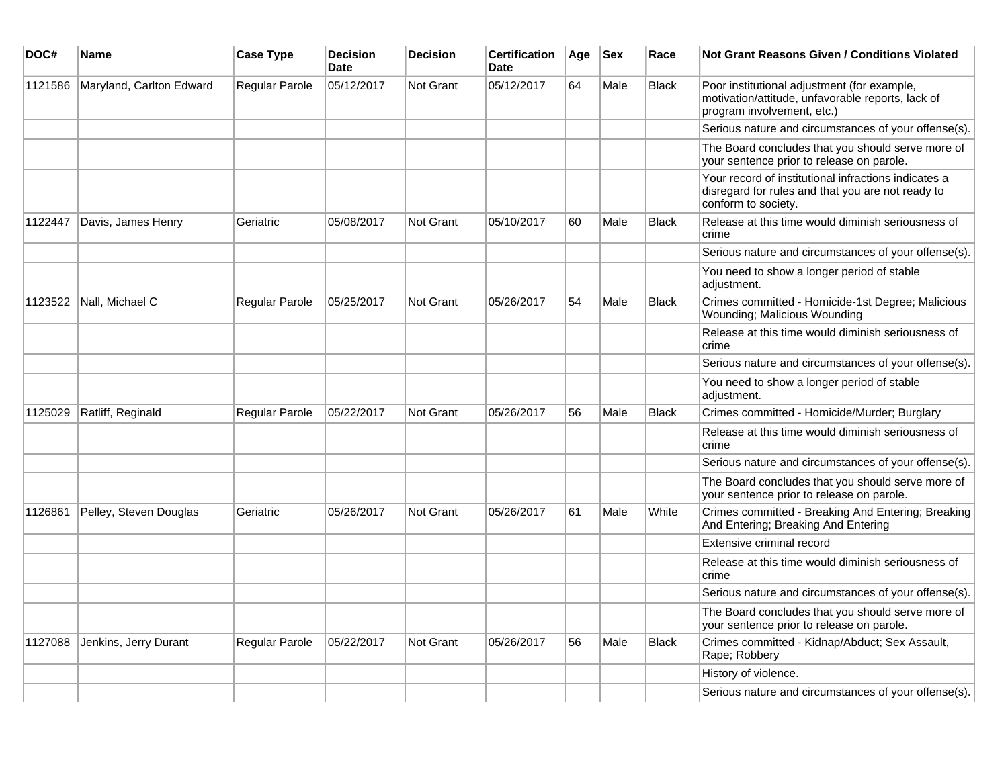| DOC#    | Name                     | <b>Case Type</b>      | <b>Decision</b><br><b>Date</b> | <b>Decision</b>  | <b>Certification</b><br><b>Date</b> | Age | <b>Sex</b> | Race         | <b>Not Grant Reasons Given / Conditions Violated</b>                                                                             |
|---------|--------------------------|-----------------------|--------------------------------|------------------|-------------------------------------|-----|------------|--------------|----------------------------------------------------------------------------------------------------------------------------------|
| 1121586 | Maryland, Carlton Edward | Regular Parole        | 05/12/2017                     | <b>Not Grant</b> | 05/12/2017                          | 64  | Male       | <b>Black</b> | Poor institutional adjustment (for example,<br>motivation/attitude, unfavorable reports, lack of<br>program involvement, etc.)   |
|         |                          |                       |                                |                  |                                     |     |            |              | Serious nature and circumstances of your offense(s).                                                                             |
|         |                          |                       |                                |                  |                                     |     |            |              | The Board concludes that you should serve more of<br>your sentence prior to release on parole.                                   |
|         |                          |                       |                                |                  |                                     |     |            |              | Your record of institutional infractions indicates a<br>disregard for rules and that you are not ready to<br>conform to society. |
| 1122447 | Davis, James Henry       | Geriatric             | 05/08/2017                     | Not Grant        | 05/10/2017                          | 60  | Male       | <b>Black</b> | Release at this time would diminish seriousness of<br>crime                                                                      |
|         |                          |                       |                                |                  |                                     |     |            |              | Serious nature and circumstances of your offense(s).                                                                             |
|         |                          |                       |                                |                  |                                     |     |            |              | You need to show a longer period of stable<br>adjustment.                                                                        |
| 1123522 | Nall, Michael C          | <b>Regular Parole</b> | 05/25/2017                     | <b>Not Grant</b> | 05/26/2017                          | 54  | Male       | Black        | Crimes committed - Homicide-1st Degree; Malicious<br>Wounding; Malicious Wounding                                                |
|         |                          |                       |                                |                  |                                     |     |            |              | Release at this time would diminish seriousness of<br>crime                                                                      |
|         |                          |                       |                                |                  |                                     |     |            |              | Serious nature and circumstances of your offense(s).                                                                             |
|         |                          |                       |                                |                  |                                     |     |            |              | You need to show a longer period of stable<br>adjustment.                                                                        |
| 1125029 | Ratliff, Reginald        | <b>Regular Parole</b> | 05/22/2017                     | <b>Not Grant</b> | 05/26/2017                          | 56  | Male       | <b>Black</b> | Crimes committed - Homicide/Murder; Burglary                                                                                     |
|         |                          |                       |                                |                  |                                     |     |            |              | Release at this time would diminish seriousness of<br>crime                                                                      |
|         |                          |                       |                                |                  |                                     |     |            |              | Serious nature and circumstances of your offense(s).                                                                             |
|         |                          |                       |                                |                  |                                     |     |            |              | The Board concludes that you should serve more of<br>your sentence prior to release on parole.                                   |
| 1126861 | Pelley, Steven Douglas   | Geriatric             | 05/26/2017                     | <b>Not Grant</b> | 05/26/2017                          | 61  | Male       | White        | Crimes committed - Breaking And Entering; Breaking<br>And Entering; Breaking And Entering                                        |
|         |                          |                       |                                |                  |                                     |     |            |              | Extensive criminal record                                                                                                        |
|         |                          |                       |                                |                  |                                     |     |            |              | Release at this time would diminish seriousness of<br>crime                                                                      |
|         |                          |                       |                                |                  |                                     |     |            |              | Serious nature and circumstances of your offense(s).                                                                             |
|         |                          |                       |                                |                  |                                     |     |            |              | The Board concludes that you should serve more of<br>your sentence prior to release on parole.                                   |
| 1127088 | Jenkins, Jerry Durant    | Regular Parole        | 05/22/2017                     | <b>Not Grant</b> | 05/26/2017                          | 56  | Male       | <b>Black</b> | Crimes committed - Kidnap/Abduct; Sex Assault,<br>Rape; Robbery                                                                  |
|         |                          |                       |                                |                  |                                     |     |            |              | History of violence.                                                                                                             |
|         |                          |                       |                                |                  |                                     |     |            |              | Serious nature and circumstances of your offense(s).                                                                             |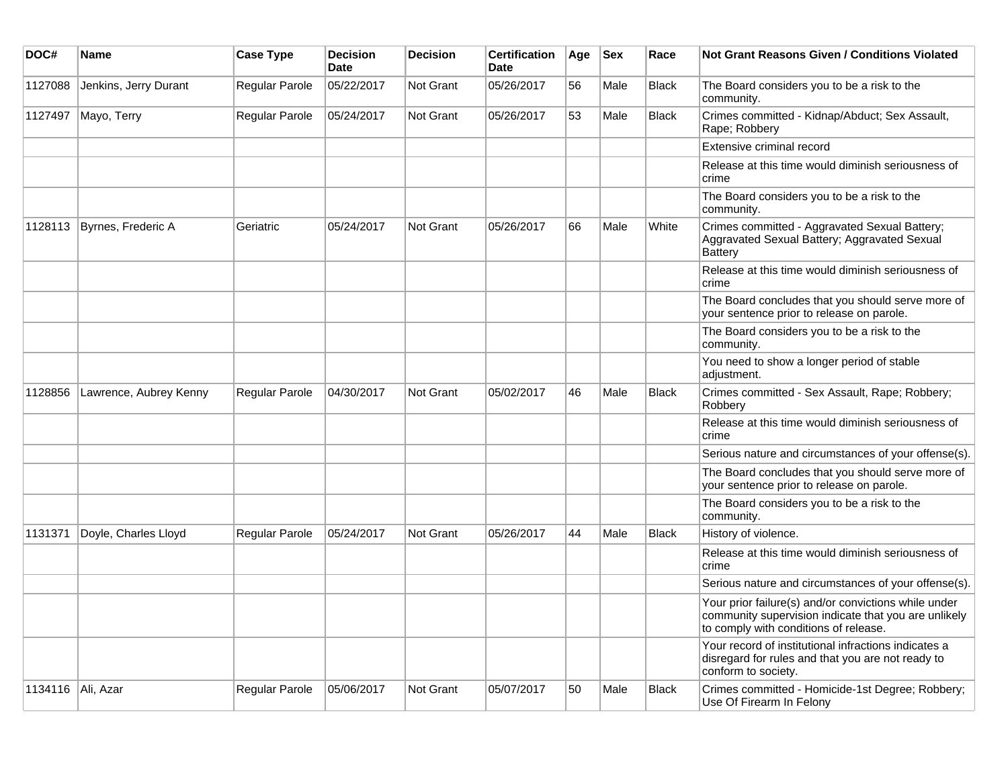| DOC#    | <b>Name</b>            | <b>Case Type</b> | <b>Decision</b><br><b>Date</b> | <b>Decision</b>  | <b>Certification</b><br><b>Date</b> | Age | <b>Sex</b> | Race         | <b>Not Grant Reasons Given / Conditions Violated</b>                                                                                                  |
|---------|------------------------|------------------|--------------------------------|------------------|-------------------------------------|-----|------------|--------------|-------------------------------------------------------------------------------------------------------------------------------------------------------|
| 1127088 | Jenkins, Jerry Durant  | Regular Parole   | 05/22/2017                     | Not Grant        | 05/26/2017                          | 56  | Male       | <b>Black</b> | The Board considers you to be a risk to the<br>community.                                                                                             |
| 1127497 | Mayo, Terry            | Regular Parole   | 05/24/2017                     | <b>Not Grant</b> | 05/26/2017                          | 53  | Male       | <b>Black</b> | Crimes committed - Kidnap/Abduct; Sex Assault,<br>Rape; Robbery                                                                                       |
|         |                        |                  |                                |                  |                                     |     |            |              | Extensive criminal record                                                                                                                             |
|         |                        |                  |                                |                  |                                     |     |            |              | Release at this time would diminish seriousness of<br>crime                                                                                           |
|         |                        |                  |                                |                  |                                     |     |            |              | The Board considers you to be a risk to the<br>community.                                                                                             |
| 1128113 | Byrnes, Frederic A     | Geriatric        | 05/24/2017                     | <b>Not Grant</b> | 05/26/2017                          | 66  | Male       | White        | Crimes committed - Aggravated Sexual Battery;<br>Aggravated Sexual Battery; Aggravated Sexual<br>Battery                                              |
|         |                        |                  |                                |                  |                                     |     |            |              | Release at this time would diminish seriousness of<br>crime                                                                                           |
|         |                        |                  |                                |                  |                                     |     |            |              | The Board concludes that you should serve more of<br>your sentence prior to release on parole.                                                        |
|         |                        |                  |                                |                  |                                     |     |            |              | The Board considers you to be a risk to the<br>community.                                                                                             |
|         |                        |                  |                                |                  |                                     |     |            |              | You need to show a longer period of stable<br>adjustment.                                                                                             |
| 1128856 | Lawrence, Aubrey Kenny | Regular Parole   | 04/30/2017                     | <b>Not Grant</b> | 05/02/2017                          | 46  | Male       | <b>Black</b> | Crimes committed - Sex Assault, Rape; Robbery;<br>Robbery                                                                                             |
|         |                        |                  |                                |                  |                                     |     |            |              | Release at this time would diminish seriousness of<br>crime                                                                                           |
|         |                        |                  |                                |                  |                                     |     |            |              | Serious nature and circumstances of your offense(s).                                                                                                  |
|         |                        |                  |                                |                  |                                     |     |            |              | The Board concludes that you should serve more of<br>your sentence prior to release on parole.                                                        |
|         |                        |                  |                                |                  |                                     |     |            |              | The Board considers you to be a risk to the<br>community.                                                                                             |
| 1131371 | Doyle, Charles Lloyd   | Regular Parole   | 05/24/2017                     | Not Grant        | 05/26/2017                          | 44  | Male       | <b>Black</b> | History of violence.                                                                                                                                  |
|         |                        |                  |                                |                  |                                     |     |            |              | Release at this time would diminish seriousness of<br>crime                                                                                           |
|         |                        |                  |                                |                  |                                     |     |            |              | Serious nature and circumstances of your offense(s).                                                                                                  |
|         |                        |                  |                                |                  |                                     |     |            |              | Your prior failure(s) and/or convictions while under<br>community supervision indicate that you are unlikely<br>to comply with conditions of release. |
|         |                        |                  |                                |                  |                                     |     |            |              | Your record of institutional infractions indicates a<br>disregard for rules and that you are not ready to<br>conform to society.                      |
| 1134116 | Ali, Azar              | Regular Parole   | 05/06/2017                     | Not Grant        | 05/07/2017                          | 50  | Male       | <b>Black</b> | Crimes committed - Homicide-1st Degree; Robbery;<br>Use Of Firearm In Felony                                                                          |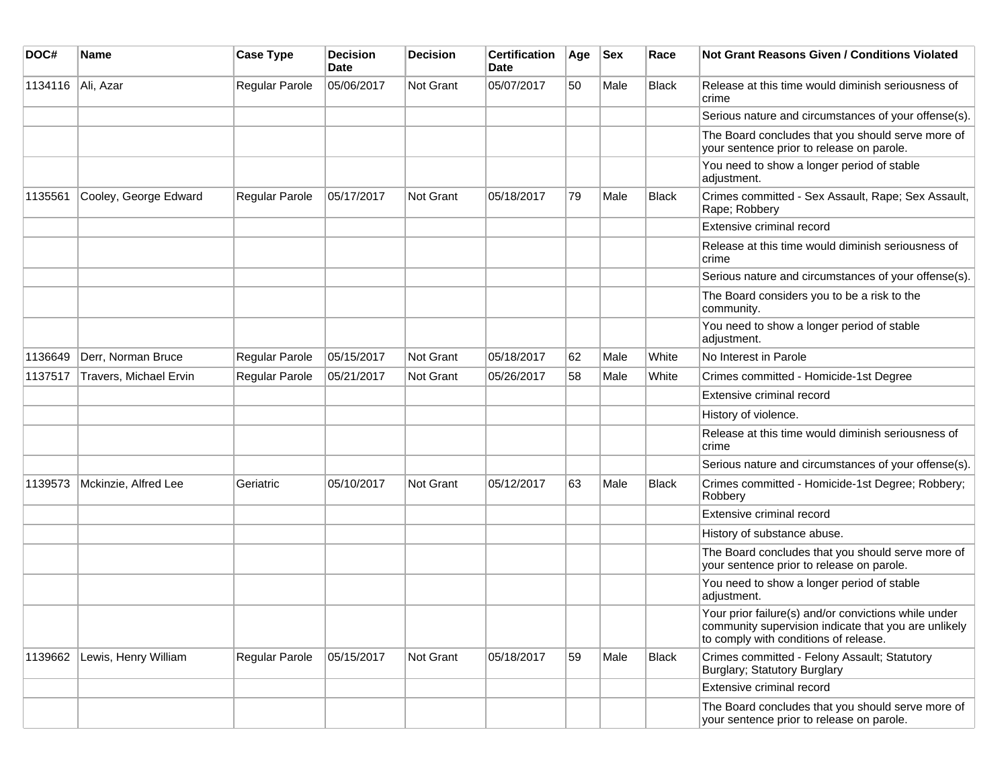| DOC#    | <b>Name</b>            | <b>Case Type</b> | <b>Decision</b><br><b>Date</b> | <b>Decision</b>  | <b>Certification</b><br>Date | Age | <b>Sex</b> | Race         | Not Grant Reasons Given / Conditions Violated                                                                                                         |
|---------|------------------------|------------------|--------------------------------|------------------|------------------------------|-----|------------|--------------|-------------------------------------------------------------------------------------------------------------------------------------------------------|
| 1134116 | Ali, Azar              | Regular Parole   | 05/06/2017                     | Not Grant        | 05/07/2017                   | 50  | Male       | Black        | Release at this time would diminish seriousness of<br>crime                                                                                           |
|         |                        |                  |                                |                  |                              |     |            |              | Serious nature and circumstances of your offense(s).                                                                                                  |
|         |                        |                  |                                |                  |                              |     |            |              | The Board concludes that you should serve more of<br>your sentence prior to release on parole.                                                        |
|         |                        |                  |                                |                  |                              |     |            |              | You need to show a longer period of stable<br>adjustment.                                                                                             |
| 1135561 | Cooley, George Edward  | Regular Parole   | 05/17/2017                     | <b>Not Grant</b> | 05/18/2017                   | 79  | Male       | <b>Black</b> | Crimes committed - Sex Assault, Rape; Sex Assault,<br>Rape; Robbery                                                                                   |
|         |                        |                  |                                |                  |                              |     |            |              | Extensive criminal record                                                                                                                             |
|         |                        |                  |                                |                  |                              |     |            |              | Release at this time would diminish seriousness of<br>crime                                                                                           |
|         |                        |                  |                                |                  |                              |     |            |              | Serious nature and circumstances of your offense(s).                                                                                                  |
|         |                        |                  |                                |                  |                              |     |            |              | The Board considers you to be a risk to the<br>community.                                                                                             |
|         |                        |                  |                                |                  |                              |     |            |              | You need to show a longer period of stable<br>adjustment.                                                                                             |
| 1136649 | Derr, Norman Bruce     | Regular Parole   | 05/15/2017                     | Not Grant        | 05/18/2017                   | 62  | Male       | White        | No Interest in Parole                                                                                                                                 |
| 1137517 | Travers, Michael Ervin | Regular Parole   | 05/21/2017                     | <b>Not Grant</b> | 05/26/2017                   | 58  | Male       | White        | Crimes committed - Homicide-1st Degree                                                                                                                |
|         |                        |                  |                                |                  |                              |     |            |              | Extensive criminal record                                                                                                                             |
|         |                        |                  |                                |                  |                              |     |            |              | History of violence.                                                                                                                                  |
|         |                        |                  |                                |                  |                              |     |            |              | Release at this time would diminish seriousness of<br>crime                                                                                           |
|         |                        |                  |                                |                  |                              |     |            |              | Serious nature and circumstances of your offense(s).                                                                                                  |
| 1139573 | Mckinzie, Alfred Lee   | Geriatric        | 05/10/2017                     | <b>Not Grant</b> | 05/12/2017                   | 63  | Male       | Black        | Crimes committed - Homicide-1st Degree; Robbery;<br>Robbery                                                                                           |
|         |                        |                  |                                |                  |                              |     |            |              | Extensive criminal record                                                                                                                             |
|         |                        |                  |                                |                  |                              |     |            |              | History of substance abuse.                                                                                                                           |
|         |                        |                  |                                |                  |                              |     |            |              | The Board concludes that you should serve more of<br>your sentence prior to release on parole.                                                        |
|         |                        |                  |                                |                  |                              |     |            |              | You need to show a longer period of stable<br>adjustment.                                                                                             |
|         |                        |                  |                                |                  |                              |     |            |              | Your prior failure(s) and/or convictions while under<br>community supervision indicate that you are unlikely<br>to comply with conditions of release. |
| 1139662 | Lewis, Henry William   | Regular Parole   | 05/15/2017                     | Not Grant        | 05/18/2017                   | 59  | Male       | <b>Black</b> | Crimes committed - Felony Assault; Statutory<br>Burglary; Statutory Burglary                                                                          |
|         |                        |                  |                                |                  |                              |     |            |              | Extensive criminal record                                                                                                                             |
|         |                        |                  |                                |                  |                              |     |            |              | The Board concludes that you should serve more of<br>your sentence prior to release on parole.                                                        |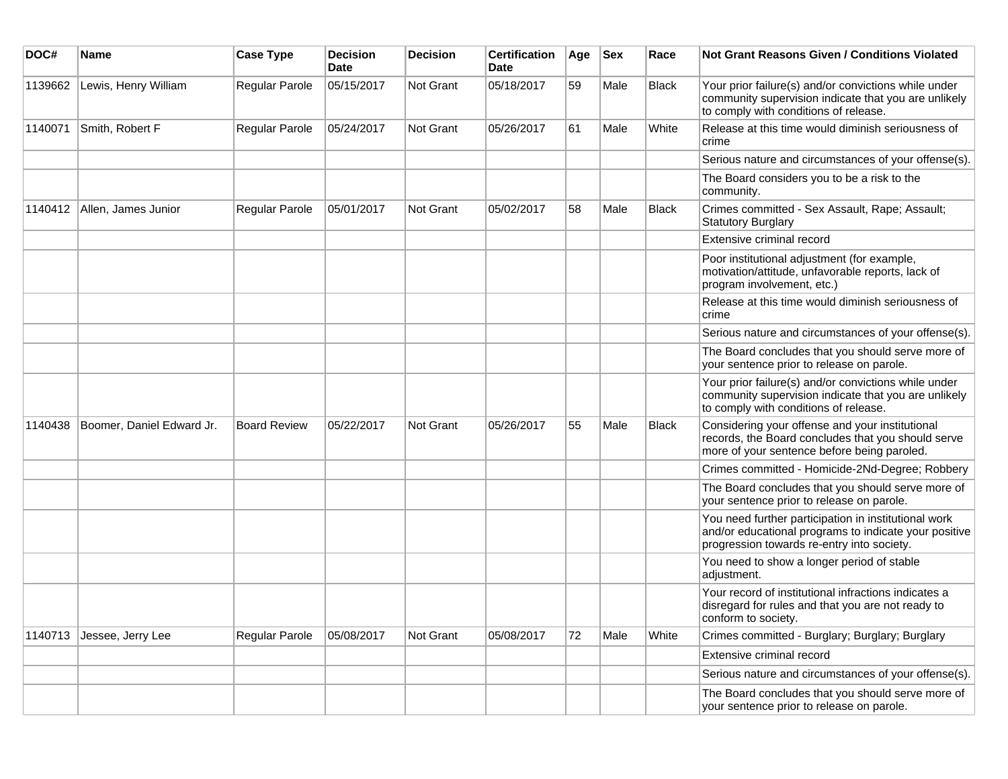| DOC#    | <b>Name</b>                 | <b>Case Type</b>      | <b>Decision</b><br><b>Date</b> | <b>Decision</b> | <b>Certification</b><br>Date | Age | <b>Sex</b> | Race         | Not Grant Reasons Given / Conditions Violated                                                                                                               |
|---------|-----------------------------|-----------------------|--------------------------------|-----------------|------------------------------|-----|------------|--------------|-------------------------------------------------------------------------------------------------------------------------------------------------------------|
| 1139662 | Lewis, Henry William        | Regular Parole        | 05/15/2017                     | Not Grant       | 05/18/2017                   | 59  | Male       | <b>Black</b> | Your prior failure(s) and/or convictions while under<br>community supervision indicate that you are unlikely<br>to comply with conditions of release.       |
| 1140071 | Smith, Robert F             | Regular Parole        | 05/24/2017                     | Not Grant       | 05/26/2017                   | 61  | Male       | White        | Release at this time would diminish seriousness of<br>crime                                                                                                 |
|         |                             |                       |                                |                 |                              |     |            |              | Serious nature and circumstances of your offense(s).                                                                                                        |
|         |                             |                       |                                |                 |                              |     |            |              | The Board considers you to be a risk to the<br>community.                                                                                                   |
|         | 1140412 Allen, James Junior | <b>Regular Parole</b> | 05/01/2017                     | Not Grant       | 05/02/2017                   | 58  | Male       | Black        | Crimes committed - Sex Assault, Rape; Assault;<br><b>Statutory Burglary</b>                                                                                 |
|         |                             |                       |                                |                 |                              |     |            |              | Extensive criminal record                                                                                                                                   |
|         |                             |                       |                                |                 |                              |     |            |              | Poor institutional adjustment (for example,<br>motivation/attitude, unfavorable reports, lack of<br>program involvement, etc.)                              |
|         |                             |                       |                                |                 |                              |     |            |              | Release at this time would diminish seriousness of<br>crime                                                                                                 |
|         |                             |                       |                                |                 |                              |     |            |              | Serious nature and circumstances of your offense(s).                                                                                                        |
|         |                             |                       |                                |                 |                              |     |            |              | The Board concludes that you should serve more of<br>your sentence prior to release on parole.                                                              |
|         |                             |                       |                                |                 |                              |     |            |              | Your prior failure(s) and/or convictions while under<br>community supervision indicate that you are unlikely<br>to comply with conditions of release.       |
| 1140438 | Boomer, Daniel Edward Jr.   | <b>Board Review</b>   | 05/22/2017                     | Not Grant       | 05/26/2017                   | 55  | Male       | <b>Black</b> | Considering your offense and your institutional<br>records, the Board concludes that you should serve<br>more of your sentence before being paroled.        |
|         |                             |                       |                                |                 |                              |     |            |              | Crimes committed - Homicide-2Nd-Degree; Robbery                                                                                                             |
|         |                             |                       |                                |                 |                              |     |            |              | The Board concludes that you should serve more of<br>your sentence prior to release on parole.                                                              |
|         |                             |                       |                                |                 |                              |     |            |              | You need further participation in institutional work<br>and/or educational programs to indicate your positive<br>progression towards re-entry into society. |
|         |                             |                       |                                |                 |                              |     |            |              | You need to show a longer period of stable<br>adjustment.                                                                                                   |
|         |                             |                       |                                |                 |                              |     |            |              | Your record of institutional infractions indicates a<br>disregard for rules and that you are not ready to<br>conform to society.                            |
| 1140713 | Jessee, Jerry Lee           | <b>Regular Parole</b> | 05/08/2017                     | Not Grant       | 05/08/2017                   | 72  | Male       | White        | Crimes committed - Burglary; Burglary; Burglary                                                                                                             |
|         |                             |                       |                                |                 |                              |     |            |              | Extensive criminal record                                                                                                                                   |
|         |                             |                       |                                |                 |                              |     |            |              | Serious nature and circumstances of your offense(s).                                                                                                        |
|         |                             |                       |                                |                 |                              |     |            |              | The Board concludes that you should serve more of<br>your sentence prior to release on parole.                                                              |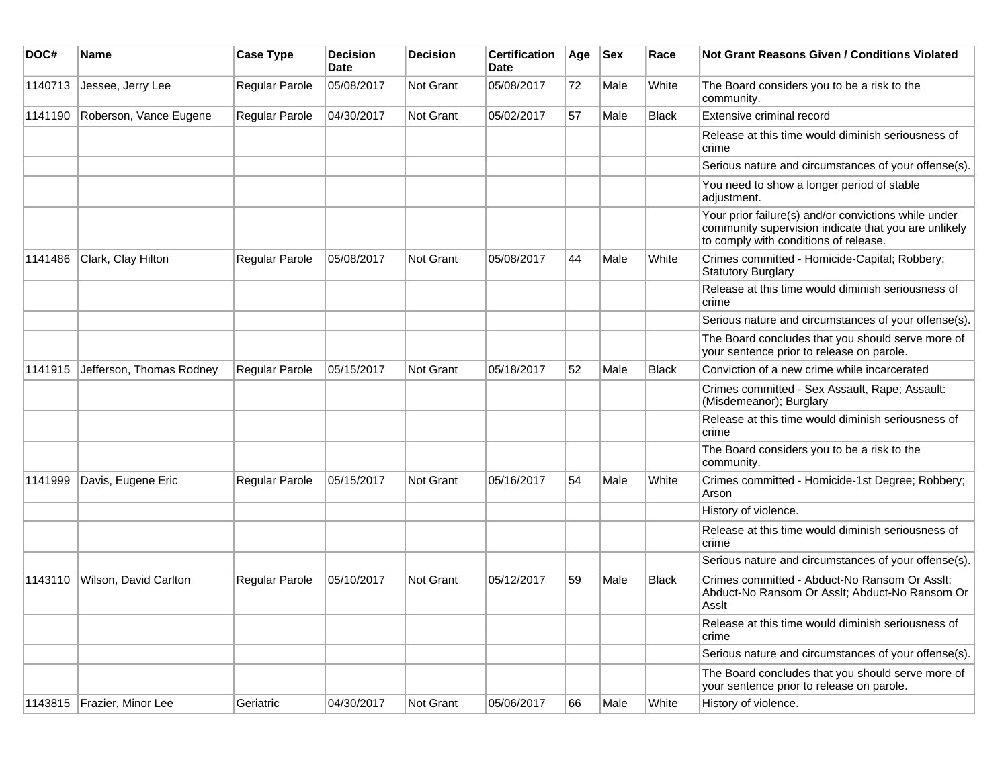| DOC#    | <b>Name</b>                  | <b>Case Type</b> | <b>Decision</b><br><b>Date</b> | <b>Decision</b>  | <b>Certification</b><br><b>Date</b> | Age | <b>Sex</b> | Race         | <b>Not Grant Reasons Given / Conditions Violated</b>                                                                                                  |
|---------|------------------------------|------------------|--------------------------------|------------------|-------------------------------------|-----|------------|--------------|-------------------------------------------------------------------------------------------------------------------------------------------------------|
| 1140713 | Jessee, Jerry Lee            | Regular Parole   | 05/08/2017                     | Not Grant        | 05/08/2017                          | 72  | Male       | White        | The Board considers you to be a risk to the<br>community.                                                                                             |
| 1141190 | Roberson, Vance Eugene       | Regular Parole   | 04/30/2017                     | Not Grant        | 05/02/2017                          | 57  | Male       | <b>Black</b> | Extensive criminal record                                                                                                                             |
|         |                              |                  |                                |                  |                                     |     |            |              | Release at this time would diminish seriousness of<br>crime                                                                                           |
|         |                              |                  |                                |                  |                                     |     |            |              | Serious nature and circumstances of your offense(s).                                                                                                  |
|         |                              |                  |                                |                  |                                     |     |            |              | You need to show a longer period of stable<br>adjustment.                                                                                             |
|         |                              |                  |                                |                  |                                     |     |            |              | Your prior failure(s) and/or convictions while under<br>community supervision indicate that you are unlikely<br>to comply with conditions of release. |
| 1141486 | Clark, Clay Hilton           | Regular Parole   | 05/08/2017                     | <b>Not Grant</b> | 05/08/2017                          | 44  | Male       | White        | Crimes committed - Homicide-Capital; Robbery;<br><b>Statutory Burglary</b>                                                                            |
|         |                              |                  |                                |                  |                                     |     |            |              | Release at this time would diminish seriousness of<br>crime                                                                                           |
|         |                              |                  |                                |                  |                                     |     |            |              | Serious nature and circumstances of your offense(s).                                                                                                  |
|         |                              |                  |                                |                  |                                     |     |            |              | The Board concludes that you should serve more of<br>your sentence prior to release on parole.                                                        |
| 1141915 | Jefferson, Thomas Rodney     | Regular Parole   | 05/15/2017                     | <b>Not Grant</b> | 05/18/2017                          | 52  | Male       | <b>Black</b> | Conviction of a new crime while incarcerated                                                                                                          |
|         |                              |                  |                                |                  |                                     |     |            |              | Crimes committed - Sex Assault, Rape; Assault:<br>(Misdemeanor); Burglary                                                                             |
|         |                              |                  |                                |                  |                                     |     |            |              | Release at this time would diminish seriousness of<br>crime                                                                                           |
|         |                              |                  |                                |                  |                                     |     |            |              | The Board considers you to be a risk to the<br>community.                                                                                             |
| 1141999 | Davis, Eugene Eric           | Regular Parole   | 05/15/2017                     | Not Grant        | 05/16/2017                          | 54  | Male       | White        | Crimes committed - Homicide-1st Degree; Robbery;<br>Arson                                                                                             |
|         |                              |                  |                                |                  |                                     |     |            |              | History of violence.                                                                                                                                  |
|         |                              |                  |                                |                  |                                     |     |            |              | Release at this time would diminish seriousness of<br>crime                                                                                           |
|         |                              |                  |                                |                  |                                     |     |            |              | Serious nature and circumstances of your offense(s).                                                                                                  |
| 1143110 | Wilson, David Carlton        | Regular Parole   | 05/10/2017                     | Not Grant        | 05/12/2017                          | 59  | Male       | Black        | Crimes committed - Abduct-No Ransom Or Asslt;<br>Abduct-No Ransom Or Asslt; Abduct-No Ransom Or<br>Asslt                                              |
|         |                              |                  |                                |                  |                                     |     |            |              | Release at this time would diminish seriousness of<br>crime                                                                                           |
|         |                              |                  |                                |                  |                                     |     |            |              | Serious nature and circumstances of your offense(s).                                                                                                  |
|         |                              |                  |                                |                  |                                     |     |            |              | The Board concludes that you should serve more of<br>your sentence prior to release on parole.                                                        |
|         | 1143815   Frazier, Minor Lee | Geriatric        | 04/30/2017                     | Not Grant        | 05/06/2017                          | 66  | Male       | White        | History of violence.                                                                                                                                  |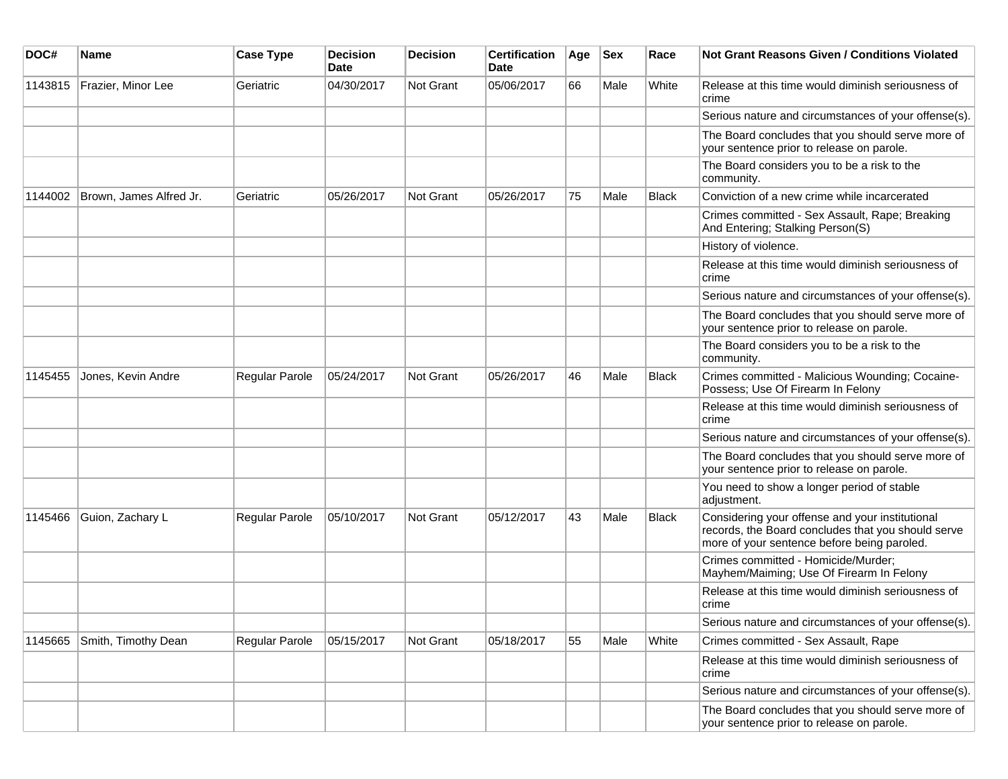| DOC#    | Name                    | <b>Case Type</b> | <b>Decision</b><br><b>Date</b> | <b>Decision</b> | <b>Certification</b><br><b>Date</b> | Age | <b>Sex</b> | Race         | <b>Not Grant Reasons Given / Conditions Violated</b>                                                                                                 |
|---------|-------------------------|------------------|--------------------------------|-----------------|-------------------------------------|-----|------------|--------------|------------------------------------------------------------------------------------------------------------------------------------------------------|
| 1143815 | Frazier, Minor Lee      | Geriatric        | 04/30/2017                     | Not Grant       | 05/06/2017                          | 66  | Male       | White        | Release at this time would diminish seriousness of<br>crime                                                                                          |
|         |                         |                  |                                |                 |                                     |     |            |              | Serious nature and circumstances of your offense(s).                                                                                                 |
|         |                         |                  |                                |                 |                                     |     |            |              | The Board concludes that you should serve more of<br>your sentence prior to release on parole.                                                       |
|         |                         |                  |                                |                 |                                     |     |            |              | The Board considers you to be a risk to the<br>community.                                                                                            |
| 1144002 | Brown, James Alfred Jr. | Geriatric        | 05/26/2017                     | Not Grant       | 05/26/2017                          | 75  | Male       | <b>Black</b> | Conviction of a new crime while incarcerated                                                                                                         |
|         |                         |                  |                                |                 |                                     |     |            |              | Crimes committed - Sex Assault, Rape; Breaking<br>And Entering; Stalking Person(S)                                                                   |
|         |                         |                  |                                |                 |                                     |     |            |              | History of violence.                                                                                                                                 |
|         |                         |                  |                                |                 |                                     |     |            |              | Release at this time would diminish seriousness of<br>crime                                                                                          |
|         |                         |                  |                                |                 |                                     |     |            |              | Serious nature and circumstances of your offense(s).                                                                                                 |
|         |                         |                  |                                |                 |                                     |     |            |              | The Board concludes that you should serve more of<br>your sentence prior to release on parole.                                                       |
|         |                         |                  |                                |                 |                                     |     |            |              | The Board considers you to be a risk to the<br>community.                                                                                            |
| 1145455 | Jones, Kevin Andre      | Regular Parole   | 05/24/2017                     | Not Grant       | 05/26/2017                          | 46  | Male       | <b>Black</b> | Crimes committed - Malicious Wounding; Cocaine-<br>Possess; Use Of Firearm In Felony                                                                 |
|         |                         |                  |                                |                 |                                     |     |            |              | Release at this time would diminish seriousness of<br>crime                                                                                          |
|         |                         |                  |                                |                 |                                     |     |            |              | Serious nature and circumstances of your offense(s).                                                                                                 |
|         |                         |                  |                                |                 |                                     |     |            |              | The Board concludes that you should serve more of<br>your sentence prior to release on parole.                                                       |
|         |                         |                  |                                |                 |                                     |     |            |              | You need to show a longer period of stable<br>adjustment.                                                                                            |
| 1145466 | Guion, Zachary L        | Regular Parole   | 05/10/2017                     | Not Grant       | 05/12/2017                          | 43  | Male       | <b>Black</b> | Considering your offense and your institutional<br>records, the Board concludes that you should serve<br>more of your sentence before being paroled. |
|         |                         |                  |                                |                 |                                     |     |            |              | Crimes committed - Homicide/Murder;<br>Mayhem/Maiming; Use Of Firearm In Felony                                                                      |
|         |                         |                  |                                |                 |                                     |     |            |              | Release at this time would diminish seriousness of<br>crime                                                                                          |
|         |                         |                  |                                |                 |                                     |     |            |              | Serious nature and circumstances of your offense(s).                                                                                                 |
| 1145665 | Smith, Timothy Dean     | Regular Parole   | 05/15/2017                     | Not Grant       | 05/18/2017                          | 55  | Male       | White        | Crimes committed - Sex Assault, Rape                                                                                                                 |
|         |                         |                  |                                |                 |                                     |     |            |              | Release at this time would diminish seriousness of<br>crime                                                                                          |
|         |                         |                  |                                |                 |                                     |     |            |              | Serious nature and circumstances of your offense(s).                                                                                                 |
|         |                         |                  |                                |                 |                                     |     |            |              | The Board concludes that you should serve more of<br>your sentence prior to release on parole.                                                       |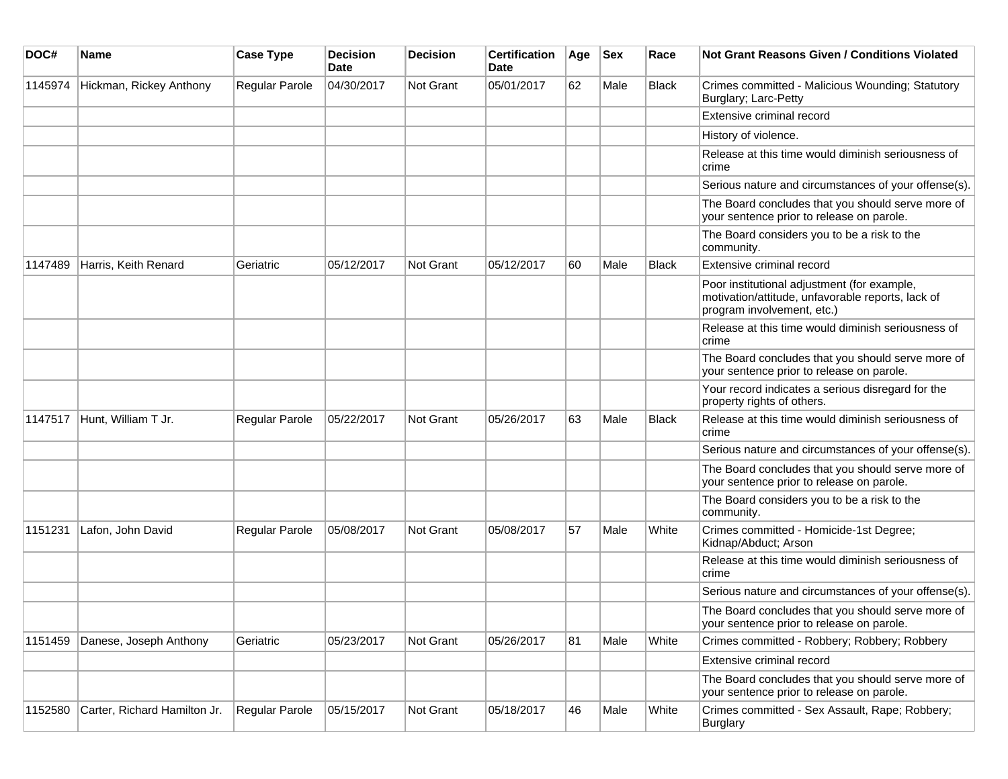| DOC#    | Name                         | <b>Case Type</b> | <b>Decision</b><br><b>Date</b> | <b>Decision</b> | <b>Certification</b><br>Date | Age | <b>Sex</b> | Race         | <b>Not Grant Reasons Given / Conditions Violated</b>                                                                           |
|---------|------------------------------|------------------|--------------------------------|-----------------|------------------------------|-----|------------|--------------|--------------------------------------------------------------------------------------------------------------------------------|
| 1145974 | Hickman, Rickey Anthony      | Regular Parole   | 04/30/2017                     | Not Grant       | 05/01/2017                   | 62  | Male       | <b>Black</b> | Crimes committed - Malicious Wounding; Statutory<br>Burglary; Larc-Petty                                                       |
|         |                              |                  |                                |                 |                              |     |            |              | Extensive criminal record                                                                                                      |
|         |                              |                  |                                |                 |                              |     |            |              | History of violence.                                                                                                           |
|         |                              |                  |                                |                 |                              |     |            |              | Release at this time would diminish seriousness of<br>crime                                                                    |
|         |                              |                  |                                |                 |                              |     |            |              | Serious nature and circumstances of your offense(s).                                                                           |
|         |                              |                  |                                |                 |                              |     |            |              | The Board concludes that you should serve more of<br>your sentence prior to release on parole.                                 |
|         |                              |                  |                                |                 |                              |     |            |              | The Board considers you to be a risk to the<br>community.                                                                      |
| 1147489 | Harris, Keith Renard         | Geriatric        | 05/12/2017                     | Not Grant       | 05/12/2017                   | 60  | Male       | <b>Black</b> | Extensive criminal record                                                                                                      |
|         |                              |                  |                                |                 |                              |     |            |              | Poor institutional adjustment (for example,<br>motivation/attitude, unfavorable reports, lack of<br>program involvement, etc.) |
|         |                              |                  |                                |                 |                              |     |            |              | Release at this time would diminish seriousness of<br>crime                                                                    |
|         |                              |                  |                                |                 |                              |     |            |              | The Board concludes that you should serve more of<br>your sentence prior to release on parole.                                 |
|         |                              |                  |                                |                 |                              |     |            |              | Your record indicates a serious disregard for the<br>property rights of others.                                                |
| 1147517 | Hunt, William T Jr.          | Regular Parole   | 05/22/2017                     | Not Grant       | 05/26/2017                   | 63  | Male       | <b>Black</b> | Release at this time would diminish seriousness of<br>crime                                                                    |
|         |                              |                  |                                |                 |                              |     |            |              | Serious nature and circumstances of your offense(s).                                                                           |
|         |                              |                  |                                |                 |                              |     |            |              | The Board concludes that you should serve more of<br>your sentence prior to release on parole.                                 |
|         |                              |                  |                                |                 |                              |     |            |              | The Board considers you to be a risk to the<br>community.                                                                      |
| 1151231 | Lafon, John David            | Regular Parole   | 05/08/2017                     | Not Grant       | 05/08/2017                   | 57  | Male       | White        | Crimes committed - Homicide-1st Degree;<br>Kidnap/Abduct; Arson                                                                |
|         |                              |                  |                                |                 |                              |     |            |              | Release at this time would diminish seriousness of<br>crime                                                                    |
|         |                              |                  |                                |                 |                              |     |            |              | Serious nature and circumstances of your offense(s).                                                                           |
|         |                              |                  |                                |                 |                              |     |            |              | The Board concludes that you should serve more of<br>your sentence prior to release on parole.                                 |
| 1151459 | Danese, Joseph Anthony       | Geriatric        | 05/23/2017                     | Not Grant       | 05/26/2017                   | 81  | Male       | White        | Crimes committed - Robbery; Robbery; Robbery                                                                                   |
|         |                              |                  |                                |                 |                              |     |            |              | Extensive criminal record                                                                                                      |
|         |                              |                  |                                |                 |                              |     |            |              | The Board concludes that you should serve more of<br>your sentence prior to release on parole.                                 |
| 1152580 | Carter, Richard Hamilton Jr. | Regular Parole   | 05/15/2017                     | Not Grant       | 05/18/2017                   | 46  | Male       | White        | Crimes committed - Sex Assault, Rape; Robbery;<br><b>Burglary</b>                                                              |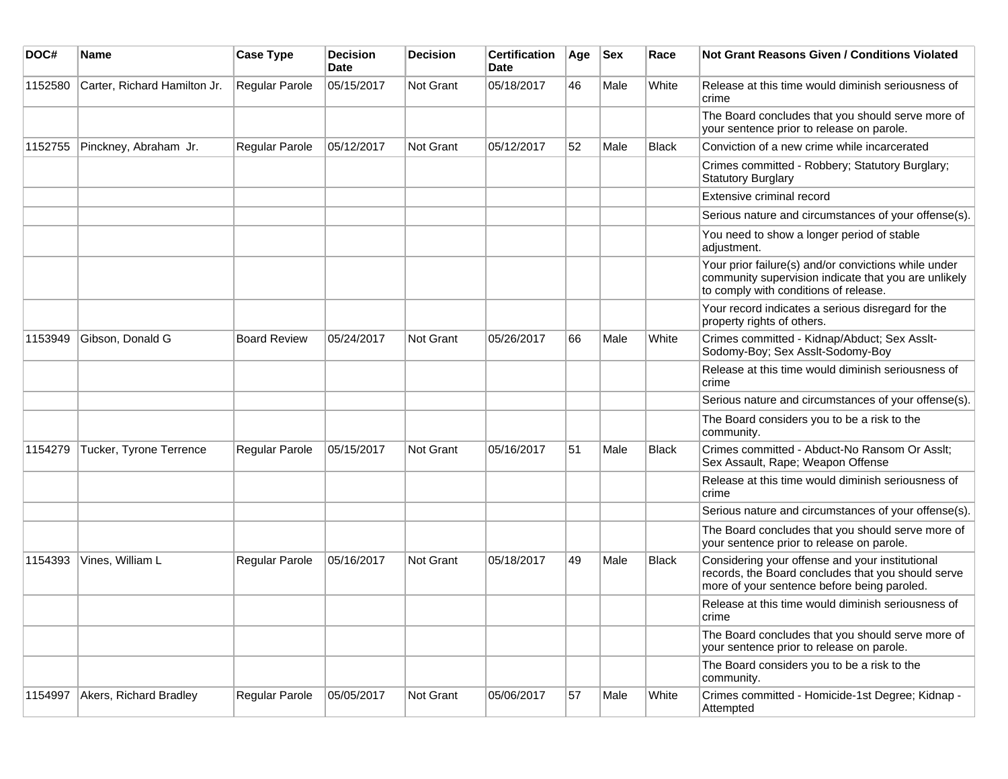| DOC#    | Name                         | <b>Case Type</b>    | <b>Decision</b><br><b>Date</b> | <b>Decision</b> | <b>Certification</b><br>Date | Age | <b>Sex</b> | Race         | <b>Not Grant Reasons Given / Conditions Violated</b>                                                                                                  |
|---------|------------------------------|---------------------|--------------------------------|-----------------|------------------------------|-----|------------|--------------|-------------------------------------------------------------------------------------------------------------------------------------------------------|
| 1152580 | Carter, Richard Hamilton Jr. | Regular Parole      | 05/15/2017                     | Not Grant       | 05/18/2017                   | 46  | Male       | White        | Release at this time would diminish seriousness of<br>crime                                                                                           |
|         |                              |                     |                                |                 |                              |     |            |              | The Board concludes that you should serve more of<br>your sentence prior to release on parole.                                                        |
| 1152755 | Pinckney, Abraham Jr.        | Regular Parole      | 05/12/2017                     | Not Grant       | 05/12/2017                   | 52  | Male       | <b>Black</b> | Conviction of a new crime while incarcerated                                                                                                          |
|         |                              |                     |                                |                 |                              |     |            |              | Crimes committed - Robbery; Statutory Burglary;<br><b>Statutory Burglary</b>                                                                          |
|         |                              |                     |                                |                 |                              |     |            |              | Extensive criminal record                                                                                                                             |
|         |                              |                     |                                |                 |                              |     |            |              | Serious nature and circumstances of your offense(s).                                                                                                  |
|         |                              |                     |                                |                 |                              |     |            |              | You need to show a longer period of stable<br>adjustment.                                                                                             |
|         |                              |                     |                                |                 |                              |     |            |              | Your prior failure(s) and/or convictions while under<br>community supervision indicate that you are unlikely<br>to comply with conditions of release. |
|         |                              |                     |                                |                 |                              |     |            |              | Your record indicates a serious disregard for the<br>property rights of others.                                                                       |
| 1153949 | Gibson, Donald G             | <b>Board Review</b> | 05/24/2017                     | Not Grant       | 05/26/2017                   | 66  | Male       | White        | Crimes committed - Kidnap/Abduct; Sex Asslt-<br>Sodomy-Boy; Sex Asslt-Sodomy-Boy                                                                      |
|         |                              |                     |                                |                 |                              |     |            |              | Release at this time would diminish seriousness of<br>crime                                                                                           |
|         |                              |                     |                                |                 |                              |     |            |              | Serious nature and circumstances of your offense(s).                                                                                                  |
|         |                              |                     |                                |                 |                              |     |            |              | The Board considers you to be a risk to the<br>community.                                                                                             |
| 1154279 | Tucker, Tyrone Terrence      | Regular Parole      | 05/15/2017                     | Not Grant       | 05/16/2017                   | 51  | Male       | <b>Black</b> | Crimes committed - Abduct-No Ransom Or Asslt;<br>Sex Assault, Rape; Weapon Offense                                                                    |
|         |                              |                     |                                |                 |                              |     |            |              | Release at this time would diminish seriousness of<br>crime                                                                                           |
|         |                              |                     |                                |                 |                              |     |            |              | Serious nature and circumstances of your offense(s).                                                                                                  |
|         |                              |                     |                                |                 |                              |     |            |              | The Board concludes that you should serve more of<br>your sentence prior to release on parole.                                                        |
| 1154393 | Vines, William L             | Regular Parole      | 05/16/2017                     | Not Grant       | 05/18/2017                   | 49  | Male       | <b>Black</b> | Considering your offense and your institutional<br>records, the Board concludes that you should serve<br>more of your sentence before being paroled.  |
|         |                              |                     |                                |                 |                              |     |            |              | Release at this time would diminish seriousness of<br>crime                                                                                           |
|         |                              |                     |                                |                 |                              |     |            |              | The Board concludes that you should serve more of<br>your sentence prior to release on parole.                                                        |
|         |                              |                     |                                |                 |                              |     |            |              | The Board considers you to be a risk to the<br>community.                                                                                             |
| 1154997 | Akers, Richard Bradley       | Regular Parole      | 05/05/2017                     | Not Grant       | 05/06/2017                   | 57  | Male       | White        | Crimes committed - Homicide-1st Degree; Kidnap -<br>Attempted                                                                                         |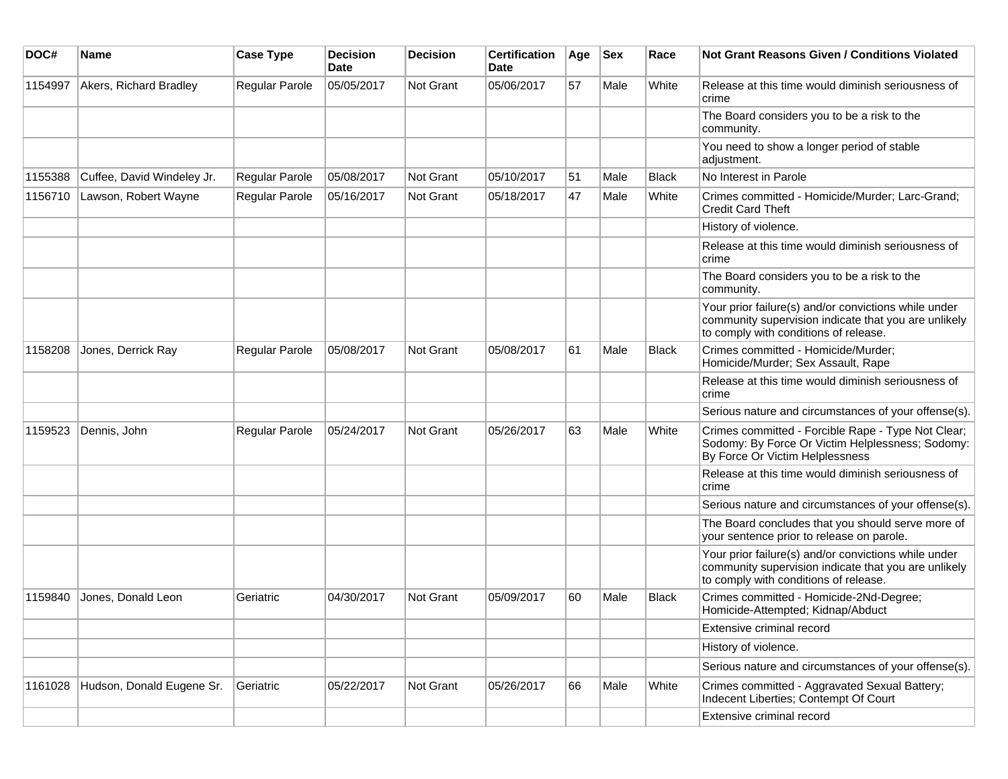| DOC#    | <b>Name</b>                | <b>Case Type</b>      | <b>Decision</b><br>Date | <b>Decision</b>  | <b>Certification</b><br><b>Date</b> | Age | <b>Sex</b> | Race         | <b>Not Grant Reasons Given / Conditions Violated</b>                                                                                                  |
|---------|----------------------------|-----------------------|-------------------------|------------------|-------------------------------------|-----|------------|--------------|-------------------------------------------------------------------------------------------------------------------------------------------------------|
| 1154997 | Akers, Richard Bradley     | Regular Parole        | 05/05/2017              | Not Grant        | 05/06/2017                          | 57  | Male       | White        | Release at this time would diminish seriousness of<br>crime                                                                                           |
|         |                            |                       |                         |                  |                                     |     |            |              | The Board considers you to be a risk to the<br>community.                                                                                             |
|         |                            |                       |                         |                  |                                     |     |            |              | You need to show a longer period of stable<br>adjustment.                                                                                             |
| 1155388 | Cuffee, David Windeley Jr. | <b>Regular Parole</b> | 05/08/2017              | <b>Not Grant</b> | 05/10/2017                          | 51  | Male       | Black        | No Interest in Parole                                                                                                                                 |
| 1156710 | Lawson, Robert Wayne       | <b>Regular Parole</b> | 05/16/2017              | <b>Not Grant</b> | 05/18/2017                          | 47  | Male       | White        | Crimes committed - Homicide/Murder; Larc-Grand;<br><b>Credit Card Theft</b>                                                                           |
|         |                            |                       |                         |                  |                                     |     |            |              | History of violence.                                                                                                                                  |
|         |                            |                       |                         |                  |                                     |     |            |              | Release at this time would diminish seriousness of<br>crime                                                                                           |
|         |                            |                       |                         |                  |                                     |     |            |              | The Board considers you to be a risk to the<br>community.                                                                                             |
|         |                            |                       |                         |                  |                                     |     |            |              | Your prior failure(s) and/or convictions while under<br>community supervision indicate that you are unlikely<br>to comply with conditions of release. |
| 1158208 | Jones, Derrick Ray         | Regular Parole        | 05/08/2017              | <b>Not Grant</b> | 05/08/2017                          | 61  | Male       | Black        | Crimes committed - Homicide/Murder;<br>Homicide/Murder; Sex Assault, Rape                                                                             |
|         |                            |                       |                         |                  |                                     |     |            |              | Release at this time would diminish seriousness of<br>crime                                                                                           |
|         |                            |                       |                         |                  |                                     |     |            |              | Serious nature and circumstances of your offense(s).                                                                                                  |
| 1159523 | Dennis, John               | <b>Regular Parole</b> | 05/24/2017              | <b>Not Grant</b> | 05/26/2017                          | 63  | Male       | White        | Crimes committed - Forcible Rape - Type Not Clear;<br>Sodomy: By Force Or Victim Helplessness; Sodomy:<br>By Force Or Victim Helplessness             |
|         |                            |                       |                         |                  |                                     |     |            |              | Release at this time would diminish seriousness of<br>crime                                                                                           |
|         |                            |                       |                         |                  |                                     |     |            |              | Serious nature and circumstances of your offense(s).                                                                                                  |
|         |                            |                       |                         |                  |                                     |     |            |              | The Board concludes that you should serve more of<br>your sentence prior to release on parole.                                                        |
|         |                            |                       |                         |                  |                                     |     |            |              | Your prior failure(s) and/or convictions while under<br>community supervision indicate that you are unlikely<br>to comply with conditions of release. |
| 1159840 | Jones, Donald Leon         | Geriatric             | 04/30/2017              | <b>Not Grant</b> | 05/09/2017                          | 60  | Male       | <b>Black</b> | Crimes committed - Homicide-2Nd-Degree;<br>Homicide-Attempted; Kidnap/Abduct                                                                          |
|         |                            |                       |                         |                  |                                     |     |            |              | Extensive criminal record                                                                                                                             |
|         |                            |                       |                         |                  |                                     |     |            |              | History of violence.                                                                                                                                  |
|         |                            |                       |                         |                  |                                     |     |            |              | Serious nature and circumstances of your offense(s).                                                                                                  |
| 1161028 | Hudson, Donald Eugene Sr.  | Geriatric             | 05/22/2017              | Not Grant        | 05/26/2017                          | 66  | Male       | White        | Crimes committed - Aggravated Sexual Battery;<br>Indecent Liberties; Contempt Of Court                                                                |
|         |                            |                       |                         |                  |                                     |     |            |              | Extensive criminal record                                                                                                                             |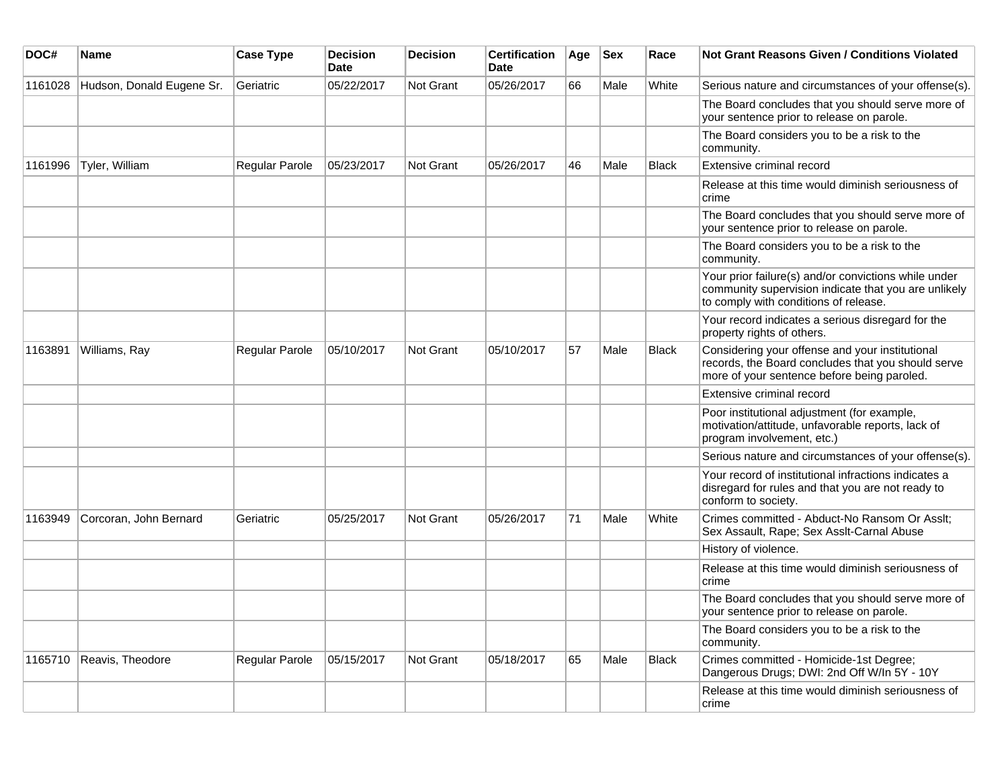| DOC#    | <b>Name</b>               | <b>Case Type</b> | <b>Decision</b><br><b>Date</b> | <b>Decision</b> | <b>Certification</b><br>Date | Age | <b>Sex</b> | Race         | Not Grant Reasons Given / Conditions Violated                                                                                                         |
|---------|---------------------------|------------------|--------------------------------|-----------------|------------------------------|-----|------------|--------------|-------------------------------------------------------------------------------------------------------------------------------------------------------|
| 1161028 | Hudson, Donald Eugene Sr. | Geriatric        | 05/22/2017                     | Not Grant       | 05/26/2017                   | 66  | Male       | White        | Serious nature and circumstances of your offense(s).                                                                                                  |
|         |                           |                  |                                |                 |                              |     |            |              | The Board concludes that you should serve more of<br>your sentence prior to release on parole.                                                        |
|         |                           |                  |                                |                 |                              |     |            |              | The Board considers you to be a risk to the<br>community.                                                                                             |
| 1161996 | Tyler, William            | Regular Parole   | 05/23/2017                     | Not Grant       | 05/26/2017                   | 46  | Male       | <b>Black</b> | Extensive criminal record                                                                                                                             |
|         |                           |                  |                                |                 |                              |     |            |              | Release at this time would diminish seriousness of<br>crime                                                                                           |
|         |                           |                  |                                |                 |                              |     |            |              | The Board concludes that you should serve more of<br>your sentence prior to release on parole.                                                        |
|         |                           |                  |                                |                 |                              |     |            |              | The Board considers you to be a risk to the<br>community.                                                                                             |
|         |                           |                  |                                |                 |                              |     |            |              | Your prior failure(s) and/or convictions while under<br>community supervision indicate that you are unlikely<br>to comply with conditions of release. |
|         |                           |                  |                                |                 |                              |     |            |              | Your record indicates a serious disregard for the<br>property rights of others.                                                                       |
| 1163891 | Williams, Ray             | Regular Parole   | 05/10/2017                     | Not Grant       | 05/10/2017                   | 57  | Male       | Black        | Considering your offense and your institutional<br>records, the Board concludes that you should serve<br>more of your sentence before being paroled.  |
|         |                           |                  |                                |                 |                              |     |            |              | Extensive criminal record                                                                                                                             |
|         |                           |                  |                                |                 |                              |     |            |              | Poor institutional adjustment (for example,<br>motivation/attitude, unfavorable reports, lack of<br>program involvement, etc.)                        |
|         |                           |                  |                                |                 |                              |     |            |              | Serious nature and circumstances of your offense(s).                                                                                                  |
|         |                           |                  |                                |                 |                              |     |            |              | Your record of institutional infractions indicates a<br>disregard for rules and that you are not ready to<br>conform to society.                      |
| 1163949 | Corcoran, John Bernard    | Geriatric        | 05/25/2017                     | Not Grant       | 05/26/2017                   | 71  | Male       | White        | Crimes committed - Abduct-No Ransom Or Asslt;<br>Sex Assault, Rape; Sex Asslt-Carnal Abuse                                                            |
|         |                           |                  |                                |                 |                              |     |            |              | History of violence.                                                                                                                                  |
|         |                           |                  |                                |                 |                              |     |            |              | Release at this time would diminish seriousness of<br>crime                                                                                           |
|         |                           |                  |                                |                 |                              |     |            |              | The Board concludes that you should serve more of<br>your sentence prior to release on parole.                                                        |
|         |                           |                  |                                |                 |                              |     |            |              | The Board considers you to be a risk to the<br>community.                                                                                             |
| 1165710 | Reavis, Theodore          | Regular Parole   | 05/15/2017                     | Not Grant       | 05/18/2017                   | 65  | Male       | Black        | Crimes committed - Homicide-1st Degree;<br>Dangerous Drugs; DWI: 2nd Off W/In 5Y - 10Y                                                                |
|         |                           |                  |                                |                 |                              |     |            |              | Release at this time would diminish seriousness of<br>crime                                                                                           |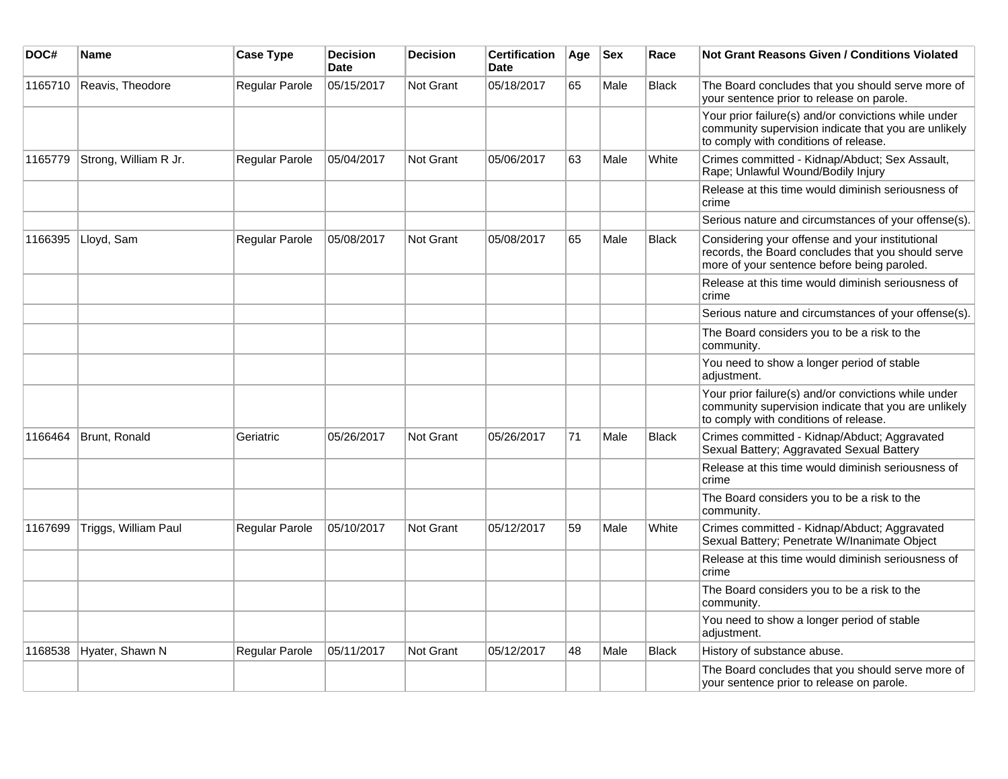| DOC#    | Name                  | <b>Case Type</b>      | <b>Decision</b><br><b>Date</b> | <b>Decision</b>  | <b>Certification</b><br><b>Date</b> | Age | <b>Sex</b> | Race         | <b>Not Grant Reasons Given / Conditions Violated</b>                                                                                                  |
|---------|-----------------------|-----------------------|--------------------------------|------------------|-------------------------------------|-----|------------|--------------|-------------------------------------------------------------------------------------------------------------------------------------------------------|
| 1165710 | Reavis, Theodore      | <b>Regular Parole</b> | 05/15/2017                     | Not Grant        | 05/18/2017                          | 65  | Male       | <b>Black</b> | The Board concludes that you should serve more of<br>your sentence prior to release on parole.                                                        |
|         |                       |                       |                                |                  |                                     |     |            |              | Your prior failure(s) and/or convictions while under<br>community supervision indicate that you are unlikely<br>to comply with conditions of release. |
| 1165779 | Strong, William R Jr. | Regular Parole        | 05/04/2017                     | <b>Not Grant</b> | 05/06/2017                          | 63  | Male       | White        | Crimes committed - Kidnap/Abduct; Sex Assault,<br>Rape; Unlawful Wound/Bodily Injury                                                                  |
|         |                       |                       |                                |                  |                                     |     |            |              | Release at this time would diminish seriousness of<br>crime                                                                                           |
|         |                       |                       |                                |                  |                                     |     |            |              | Serious nature and circumstances of your offense(s).                                                                                                  |
| 1166395 | Lloyd, Sam            | Regular Parole        | 05/08/2017                     | <b>Not Grant</b> | 05/08/2017                          | 65  | Male       | <b>Black</b> | Considering your offense and your institutional<br>records, the Board concludes that you should serve<br>more of your sentence before being paroled.  |
|         |                       |                       |                                |                  |                                     |     |            |              | Release at this time would diminish seriousness of<br>crime                                                                                           |
|         |                       |                       |                                |                  |                                     |     |            |              | Serious nature and circumstances of your offense(s).                                                                                                  |
|         |                       |                       |                                |                  |                                     |     |            |              | The Board considers you to be a risk to the<br>community.                                                                                             |
|         |                       |                       |                                |                  |                                     |     |            |              | You need to show a longer period of stable<br>adjustment.                                                                                             |
|         |                       |                       |                                |                  |                                     |     |            |              | Your prior failure(s) and/or convictions while under<br>community supervision indicate that you are unlikely<br>to comply with conditions of release. |
| 1166464 | Brunt, Ronald         | Geriatric             | 05/26/2017                     | <b>Not Grant</b> | 05/26/2017                          | 71  | Male       | <b>Black</b> | Crimes committed - Kidnap/Abduct; Aggravated<br>Sexual Battery; Aggravated Sexual Battery                                                             |
|         |                       |                       |                                |                  |                                     |     |            |              | Release at this time would diminish seriousness of<br>crime                                                                                           |
|         |                       |                       |                                |                  |                                     |     |            |              | The Board considers you to be a risk to the<br>community.                                                                                             |
| 1167699 | Triggs, William Paul  | Regular Parole        | 05/10/2017                     | <b>Not Grant</b> | 05/12/2017                          | 59  | Male       | White        | Crimes committed - Kidnap/Abduct; Aggravated<br>Sexual Battery; Penetrate W/Inanimate Object                                                          |
|         |                       |                       |                                |                  |                                     |     |            |              | Release at this time would diminish seriousness of<br>crime                                                                                           |
|         |                       |                       |                                |                  |                                     |     |            |              | The Board considers you to be a risk to the<br>community.                                                                                             |
|         |                       |                       |                                |                  |                                     |     |            |              | You need to show a longer period of stable<br>adjustment.                                                                                             |
| 1168538 | Hyater, Shawn N       | Regular Parole        | 05/11/2017                     | <b>Not Grant</b> | 05/12/2017                          | 48  | Male       | <b>Black</b> | History of substance abuse.                                                                                                                           |
|         |                       |                       |                                |                  |                                     |     |            |              | The Board concludes that you should serve more of<br>your sentence prior to release on parole.                                                        |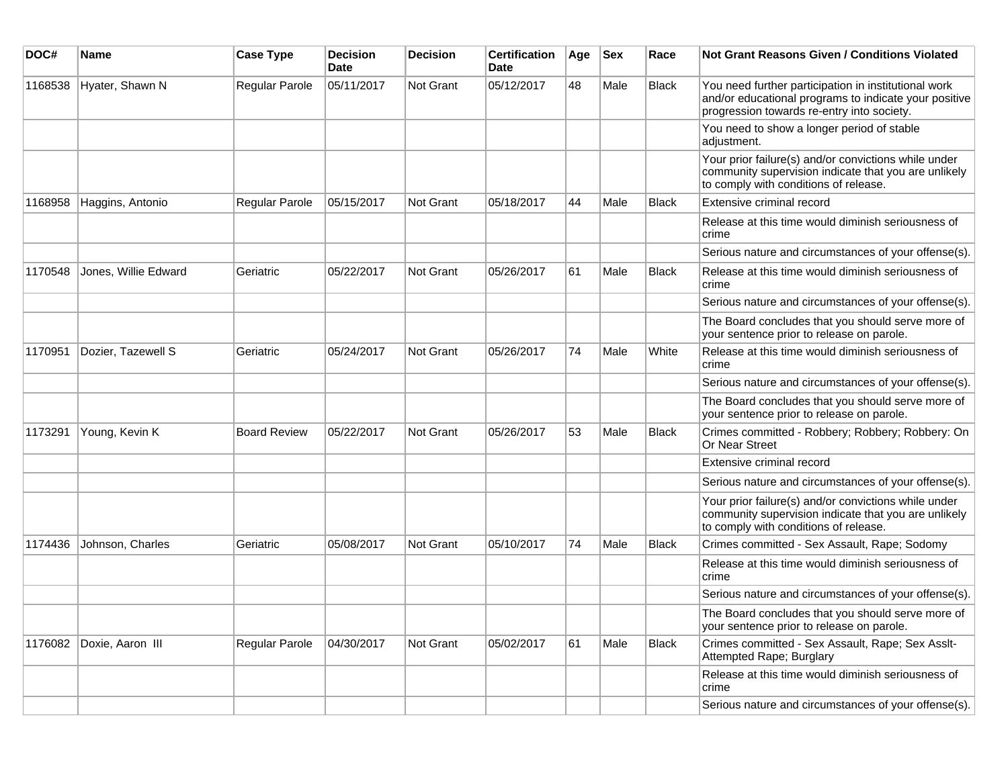| DOC#    | Name                 | <b>Case Type</b>    | <b>Decision</b><br>Date | <b>Decision</b>  | <b>Certification</b><br>Date | Age | <b>Sex</b> | Race         | Not Grant Reasons Given / Conditions Violated                                                                                                               |
|---------|----------------------|---------------------|-------------------------|------------------|------------------------------|-----|------------|--------------|-------------------------------------------------------------------------------------------------------------------------------------------------------------|
| 1168538 | Hyater, Shawn N      | Regular Parole      | 05/11/2017              | Not Grant        | 05/12/2017                   | 48  | Male       | Black        | You need further participation in institutional work<br>and/or educational programs to indicate your positive<br>progression towards re-entry into society. |
|         |                      |                     |                         |                  |                              |     |            |              | You need to show a longer period of stable<br>adjustment.                                                                                                   |
|         |                      |                     |                         |                  |                              |     |            |              | Your prior failure(s) and/or convictions while under<br>community supervision indicate that you are unlikely<br>to comply with conditions of release.       |
| 1168958 | Haggins, Antonio     | Regular Parole      | 05/15/2017              | <b>Not Grant</b> | 05/18/2017                   | 44  | Male       | <b>Black</b> | Extensive criminal record                                                                                                                                   |
|         |                      |                     |                         |                  |                              |     |            |              | Release at this time would diminish seriousness of<br>crime                                                                                                 |
|         |                      |                     |                         |                  |                              |     |            |              | Serious nature and circumstances of your offense(s).                                                                                                        |
| 1170548 | Jones, Willie Edward | Geriatric           | 05/22/2017              | <b>Not Grant</b> | 05/26/2017                   | 61  | Male       | <b>Black</b> | Release at this time would diminish seriousness of<br>crime                                                                                                 |
|         |                      |                     |                         |                  |                              |     |            |              | Serious nature and circumstances of your offense(s).                                                                                                        |
|         |                      |                     |                         |                  |                              |     |            |              | The Board concludes that you should serve more of<br>your sentence prior to release on parole.                                                              |
| 1170951 | Dozier, Tazewell S   | Geriatric           | 05/24/2017              | <b>Not Grant</b> | 05/26/2017                   | 74  | Male       | White        | Release at this time would diminish seriousness of<br>crime                                                                                                 |
|         |                      |                     |                         |                  |                              |     |            |              | Serious nature and circumstances of your offense(s).                                                                                                        |
|         |                      |                     |                         |                  |                              |     |            |              | The Board concludes that you should serve more of<br>your sentence prior to release on parole.                                                              |
| 1173291 | Young, Kevin K       | <b>Board Review</b> | 05/22/2017              | <b>Not Grant</b> | 05/26/2017                   | 53  | Male       | <b>Black</b> | Crimes committed - Robbery; Robbery; Robbery: On<br>Or Near Street                                                                                          |
|         |                      |                     |                         |                  |                              |     |            |              | Extensive criminal record                                                                                                                                   |
|         |                      |                     |                         |                  |                              |     |            |              | Serious nature and circumstances of your offense(s).                                                                                                        |
|         |                      |                     |                         |                  |                              |     |            |              | Your prior failure(s) and/or convictions while under<br>community supervision indicate that you are unlikely<br>to comply with conditions of release.       |
| 1174436 | Johnson, Charles     | Geriatric           | 05/08/2017              | <b>Not Grant</b> | 05/10/2017                   | 74  | Male       | <b>Black</b> | Crimes committed - Sex Assault, Rape; Sodomy                                                                                                                |
|         |                      |                     |                         |                  |                              |     |            |              | Release at this time would diminish seriousness of<br>crime                                                                                                 |
|         |                      |                     |                         |                  |                              |     |            |              | Serious nature and circumstances of your offense(s).                                                                                                        |
|         |                      |                     |                         |                  |                              |     |            |              | The Board concludes that you should serve more of<br>your sentence prior to release on parole.                                                              |
| 1176082 | Doxie, Aaron III     | Regular Parole      | 04/30/2017              | Not Grant        | 05/02/2017                   | 61  | Male       | Black        | Crimes committed - Sex Assault, Rape; Sex Asslt-<br>Attempted Rape; Burglary                                                                                |
|         |                      |                     |                         |                  |                              |     |            |              | Release at this time would diminish seriousness of<br>crime                                                                                                 |
|         |                      |                     |                         |                  |                              |     |            |              | Serious nature and circumstances of your offense(s).                                                                                                        |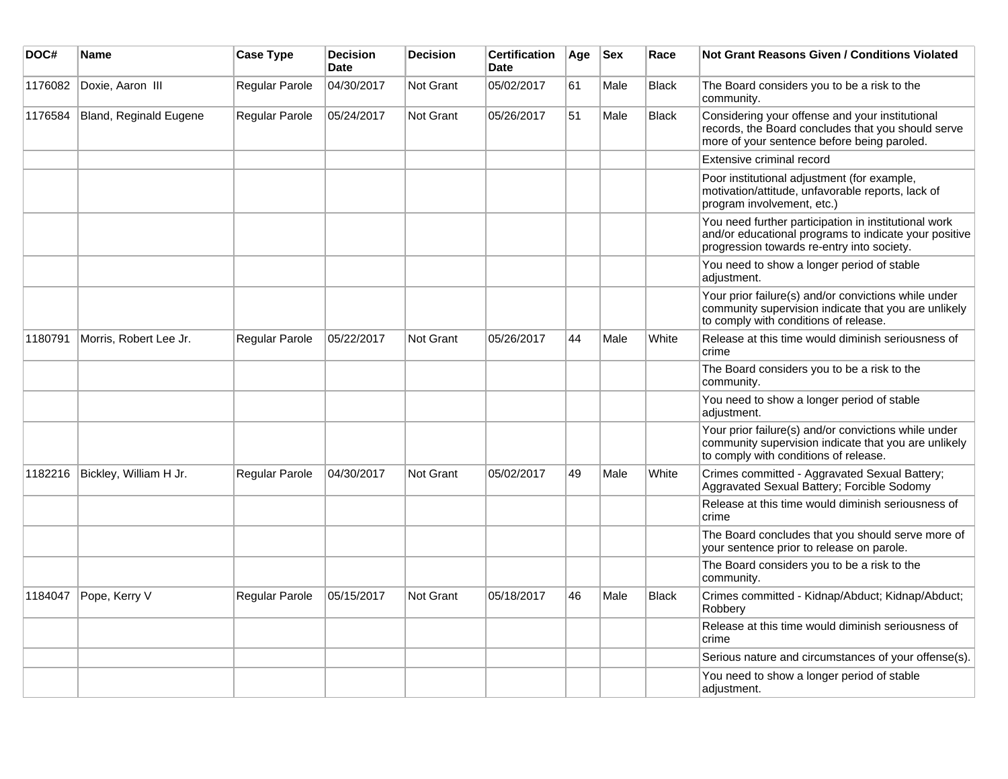| DOC#    | Name                   | <b>Case Type</b> | <b>Decision</b><br><b>Date</b> | <b>Decision</b> | <b>Certification</b><br><b>Date</b> | Age | <b>Sex</b> | Race         | Not Grant Reasons Given / Conditions Violated                                                                                                               |
|---------|------------------------|------------------|--------------------------------|-----------------|-------------------------------------|-----|------------|--------------|-------------------------------------------------------------------------------------------------------------------------------------------------------------|
| 1176082 | Doxie, Aaron III       | Regular Parole   | 04/30/2017                     | Not Grant       | 05/02/2017                          | 61  | Male       | <b>Black</b> | The Board considers you to be a risk to the<br>community.                                                                                                   |
| 1176584 | Bland, Reginald Eugene | Regular Parole   | 05/24/2017                     | Not Grant       | 05/26/2017                          | 51  | Male       | <b>Black</b> | Considering your offense and your institutional<br>records, the Board concludes that you should serve<br>more of your sentence before being paroled.        |
|         |                        |                  |                                |                 |                                     |     |            |              | Extensive criminal record                                                                                                                                   |
|         |                        |                  |                                |                 |                                     |     |            |              | Poor institutional adjustment (for example,<br>motivation/attitude, unfavorable reports, lack of<br>program involvement, etc.)                              |
|         |                        |                  |                                |                 |                                     |     |            |              | You need further participation in institutional work<br>and/or educational programs to indicate your positive<br>progression towards re-entry into society. |
|         |                        |                  |                                |                 |                                     |     |            |              | You need to show a longer period of stable<br>adjustment.                                                                                                   |
|         |                        |                  |                                |                 |                                     |     |            |              | Your prior failure(s) and/or convictions while under<br>community supervision indicate that you are unlikely<br>to comply with conditions of release.       |
| 1180791 | Morris, Robert Lee Jr. | Regular Parole   | 05/22/2017                     | Not Grant       | 05/26/2017                          | 44  | Male       | White        | Release at this time would diminish seriousness of<br>crime                                                                                                 |
|         |                        |                  |                                |                 |                                     |     |            |              | The Board considers you to be a risk to the<br>community.                                                                                                   |
|         |                        |                  |                                |                 |                                     |     |            |              | You need to show a longer period of stable<br>adjustment.                                                                                                   |
|         |                        |                  |                                |                 |                                     |     |            |              | Your prior failure(s) and/or convictions while under<br>community supervision indicate that you are unlikely<br>to comply with conditions of release.       |
| 1182216 | Bickley, William H Jr. | Regular Parole   | 04/30/2017                     | Not Grant       | 05/02/2017                          | 49  | Male       | White        | Crimes committed - Aggravated Sexual Battery;<br>Aggravated Sexual Battery; Forcible Sodomy                                                                 |
|         |                        |                  |                                |                 |                                     |     |            |              | Release at this time would diminish seriousness of<br>crime                                                                                                 |
|         |                        |                  |                                |                 |                                     |     |            |              | The Board concludes that you should serve more of<br>your sentence prior to release on parole.                                                              |
|         |                        |                  |                                |                 |                                     |     |            |              | The Board considers you to be a risk to the<br>community.                                                                                                   |
| 1184047 | Pope, Kerry V          | Regular Parole   | 05/15/2017                     | Not Grant       | 05/18/2017                          | 46  | Male       | <b>Black</b> | Crimes committed - Kidnap/Abduct; Kidnap/Abduct;<br>Robbery                                                                                                 |
|         |                        |                  |                                |                 |                                     |     |            |              | Release at this time would diminish seriousness of<br>crime                                                                                                 |
|         |                        |                  |                                |                 |                                     |     |            |              | Serious nature and circumstances of your offense(s).                                                                                                        |
|         |                        |                  |                                |                 |                                     |     |            |              | You need to show a longer period of stable<br>adjustment.                                                                                                   |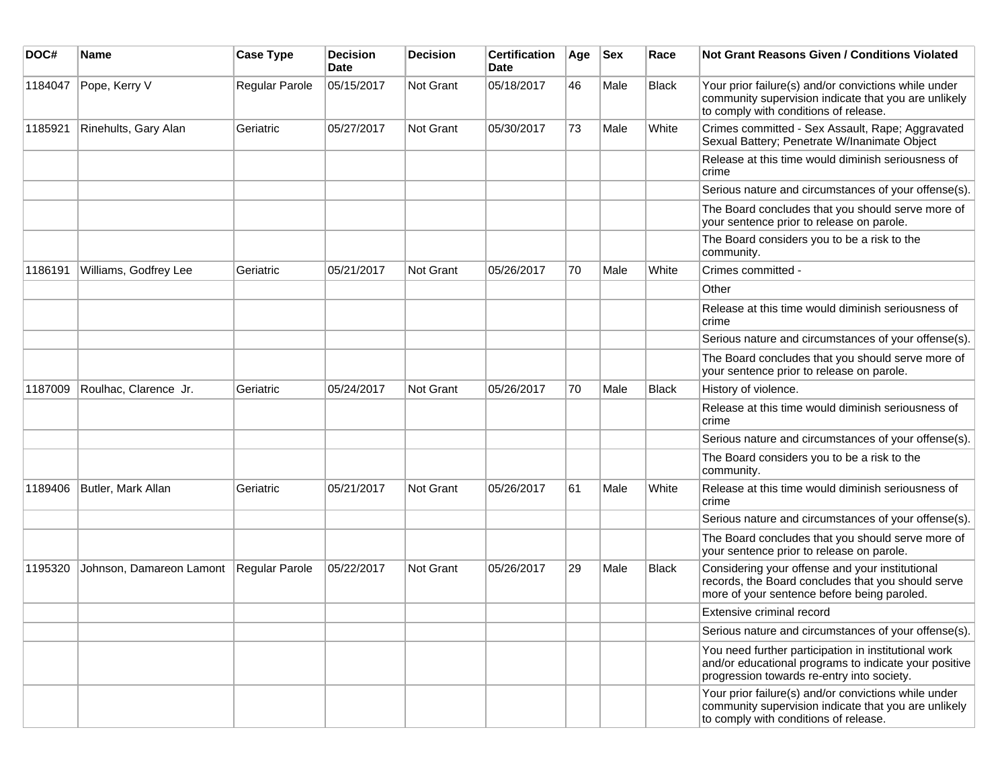| DOC#    | Name                                    | <b>Case Type</b> | <b>Decision</b><br><b>Date</b> | <b>Decision</b>  | <b>Certification</b><br>Date | Age | <b>Sex</b> | Race         | Not Grant Reasons Given / Conditions Violated                                                                                                               |
|---------|-----------------------------------------|------------------|--------------------------------|------------------|------------------------------|-----|------------|--------------|-------------------------------------------------------------------------------------------------------------------------------------------------------------|
| 1184047 | Pope, Kerry V                           | Regular Parole   | 05/15/2017                     | Not Grant        | 05/18/2017                   | 46  | Male       | <b>Black</b> | Your prior failure(s) and/or convictions while under<br>community supervision indicate that you are unlikely<br>to comply with conditions of release.       |
| 1185921 | Rinehults, Gary Alan                    | Geriatric        | 05/27/2017                     | Not Grant        | 05/30/2017                   | 73  | Male       | White        | Crimes committed - Sex Assault, Rape; Aggravated<br>Sexual Battery; Penetrate W/Inanimate Object                                                            |
|         |                                         |                  |                                |                  |                              |     |            |              | Release at this time would diminish seriousness of<br>crime                                                                                                 |
|         |                                         |                  |                                |                  |                              |     |            |              | Serious nature and circumstances of your offense(s).                                                                                                        |
|         |                                         |                  |                                |                  |                              |     |            |              | The Board concludes that you should serve more of<br>your sentence prior to release on parole.                                                              |
|         |                                         |                  |                                |                  |                              |     |            |              | The Board considers you to be a risk to the<br>community.                                                                                                   |
| 1186191 | Williams, Godfrey Lee                   | Geriatric        | 05/21/2017                     | <b>Not Grant</b> | 05/26/2017                   | 70  | Male       | White        | Crimes committed -                                                                                                                                          |
|         |                                         |                  |                                |                  |                              |     |            |              | Other                                                                                                                                                       |
|         |                                         |                  |                                |                  |                              |     |            |              | Release at this time would diminish seriousness of<br>crime                                                                                                 |
|         |                                         |                  |                                |                  |                              |     |            |              | Serious nature and circumstances of your offense(s).                                                                                                        |
|         |                                         |                  |                                |                  |                              |     |            |              | The Board concludes that you should serve more of<br>your sentence prior to release on parole.                                                              |
| 1187009 | Roulhac, Clarence Jr.                   | Geriatric        | 05/24/2017                     | Not Grant        | 05/26/2017                   | 70  | Male       | <b>Black</b> | History of violence.                                                                                                                                        |
|         |                                         |                  |                                |                  |                              |     |            |              | Release at this time would diminish seriousness of<br>crime                                                                                                 |
|         |                                         |                  |                                |                  |                              |     |            |              | Serious nature and circumstances of your offense(s).                                                                                                        |
|         |                                         |                  |                                |                  |                              |     |            |              | The Board considers you to be a risk to the<br>community.                                                                                                   |
| 1189406 | Butler, Mark Allan                      | Geriatric        | 05/21/2017                     | Not Grant        | 05/26/2017                   | 61  | Male       | White        | Release at this time would diminish seriousness of<br>crime                                                                                                 |
|         |                                         |                  |                                |                  |                              |     |            |              | Serious nature and circumstances of your offense(s).                                                                                                        |
|         |                                         |                  |                                |                  |                              |     |            |              | The Board concludes that you should serve more of<br>your sentence prior to release on parole.                                                              |
| 1195320 | Johnson, Damareon Lamont Regular Parole |                  | 05/22/2017                     | Not Grant        | 05/26/2017                   | 29  | Male       | <b>Black</b> | Considering your offense and your institutional<br>records, the Board concludes that you should serve<br>more of your sentence before being paroled.        |
|         |                                         |                  |                                |                  |                              |     |            |              | Extensive criminal record                                                                                                                                   |
|         |                                         |                  |                                |                  |                              |     |            |              | Serious nature and circumstances of your offense(s).                                                                                                        |
|         |                                         |                  |                                |                  |                              |     |            |              | You need further participation in institutional work<br>and/or educational programs to indicate your positive<br>progression towards re-entry into society. |
|         |                                         |                  |                                |                  |                              |     |            |              | Your prior failure(s) and/or convictions while under<br>community supervision indicate that you are unlikely<br>to comply with conditions of release.       |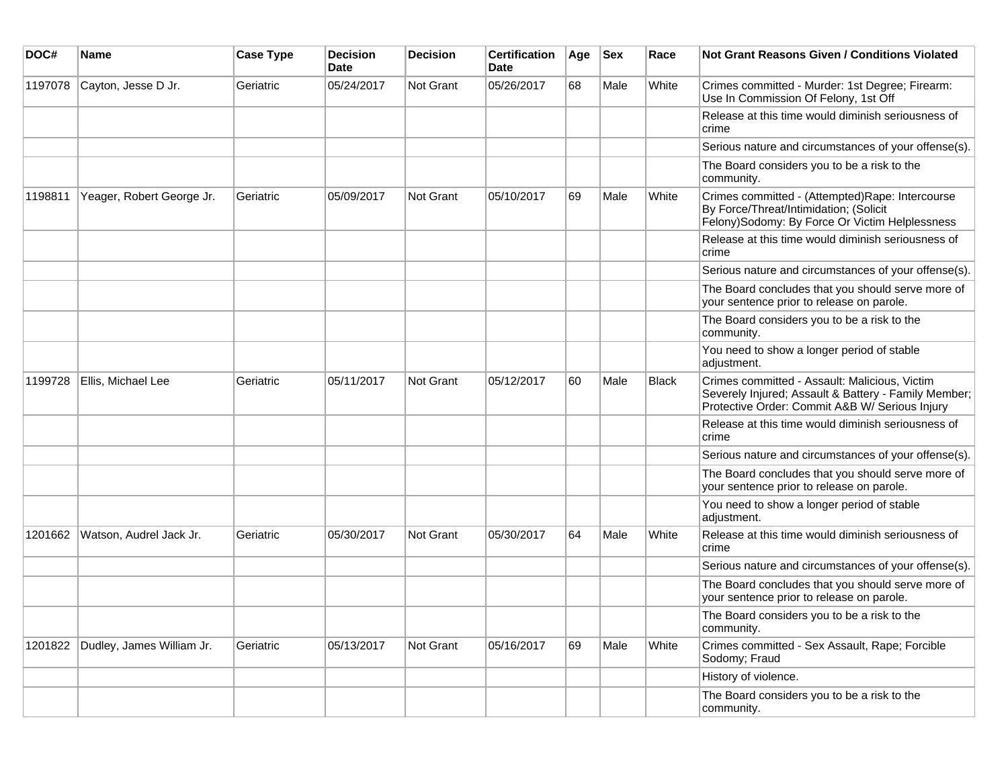| DOC#    | <b>Name</b>               | <b>Case Type</b> | <b>Decision</b><br><b>Date</b> | <b>Decision</b>  | <b>Certification</b><br>Date | Age | <b>Sex</b> | Race         | <b>Not Grant Reasons Given / Conditions Violated</b>                                                                                                    |
|---------|---------------------------|------------------|--------------------------------|------------------|------------------------------|-----|------------|--------------|---------------------------------------------------------------------------------------------------------------------------------------------------------|
| 1197078 | Cayton, Jesse D Jr.       | Geriatric        | 05/24/2017                     | Not Grant        | 05/26/2017                   | 68  | Male       | White        | Crimes committed - Murder: 1st Degree; Firearm:<br>Use In Commission Of Felony, 1st Off                                                                 |
|         |                           |                  |                                |                  |                              |     |            |              | Release at this time would diminish seriousness of<br>crime                                                                                             |
|         |                           |                  |                                |                  |                              |     |            |              | Serious nature and circumstances of your offense(s).                                                                                                    |
|         |                           |                  |                                |                  |                              |     |            |              | The Board considers you to be a risk to the<br>community.                                                                                               |
| 1198811 | Yeager, Robert George Jr. | Geriatric        | 05/09/2017                     | <b>Not Grant</b> | 05/10/2017                   | 69  | Male       | White        | Crimes committed - (Attempted)Rape: Intercourse<br>By Force/Threat/Intimidation; (Solicit<br>Felony)Sodomy: By Force Or Victim Helplessness             |
|         |                           |                  |                                |                  |                              |     |            |              | Release at this time would diminish seriousness of<br>crime                                                                                             |
|         |                           |                  |                                |                  |                              |     |            |              | Serious nature and circumstances of your offense(s).                                                                                                    |
|         |                           |                  |                                |                  |                              |     |            |              | The Board concludes that you should serve more of<br>your sentence prior to release on parole.                                                          |
|         |                           |                  |                                |                  |                              |     |            |              | The Board considers you to be a risk to the<br>community.                                                                                               |
|         |                           |                  |                                |                  |                              |     |            |              | You need to show a longer period of stable<br>adjustment.                                                                                               |
| 1199728 | Ellis, Michael Lee        | Geriatric        | 05/11/2017                     | <b>Not Grant</b> | 05/12/2017                   | 60  | Male       | <b>Black</b> | Crimes committed - Assault: Malicious, Victim<br>Severely Injured; Assault & Battery - Family Member;<br>Protective Order: Commit A&B W/ Serious Injury |
|         |                           |                  |                                |                  |                              |     |            |              | Release at this time would diminish seriousness of<br>crime                                                                                             |
|         |                           |                  |                                |                  |                              |     |            |              | Serious nature and circumstances of your offense(s).                                                                                                    |
|         |                           |                  |                                |                  |                              |     |            |              | The Board concludes that you should serve more of<br>your sentence prior to release on parole.                                                          |
|         |                           |                  |                                |                  |                              |     |            |              | You need to show a longer period of stable<br>adjustment.                                                                                               |
| 1201662 | Watson, Audrel Jack Jr.   | Geriatric        | 05/30/2017                     | Not Grant        | 05/30/2017                   | 64  | Male       | White        | Release at this time would diminish seriousness of<br>crime                                                                                             |
|         |                           |                  |                                |                  |                              |     |            |              | Serious nature and circumstances of your offense(s).                                                                                                    |
|         |                           |                  |                                |                  |                              |     |            |              | The Board concludes that you should serve more of<br>your sentence prior to release on parole.                                                          |
|         |                           |                  |                                |                  |                              |     |            |              | The Board considers you to be a risk to the<br>community.                                                                                               |
| 1201822 | Dudley, James William Jr. | Geriatric        | 05/13/2017                     | Not Grant        | 05/16/2017                   | 69  | Male       | White        | Crimes committed - Sex Assault, Rape; Forcible<br>Sodomy; Fraud                                                                                         |
|         |                           |                  |                                |                  |                              |     |            |              | History of violence.                                                                                                                                    |
|         |                           |                  |                                |                  |                              |     |            |              | The Board considers you to be a risk to the<br>community.                                                                                               |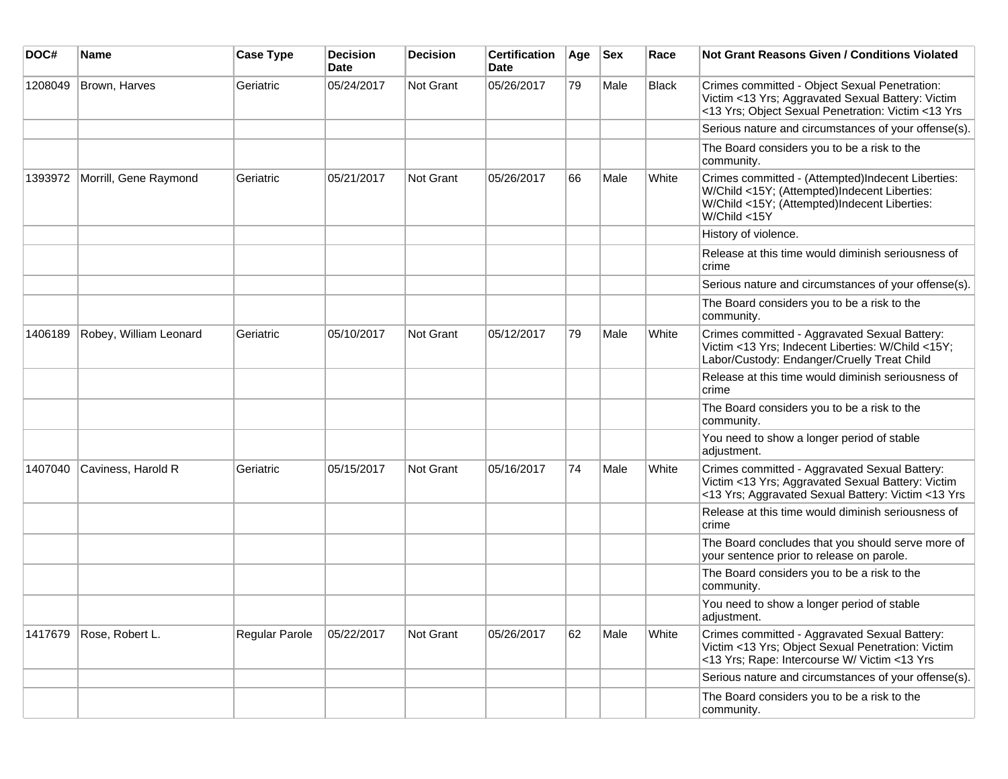| DOC#    | <b>Name</b>            | <b>Case Type</b>      | <b>Decision</b><br><b>Date</b> | <b>Decision</b> | <b>Certification</b><br>Date | Age | <b>Sex</b> | Race  | <b>Not Grant Reasons Given / Conditions Violated</b>                                                                                                              |
|---------|------------------------|-----------------------|--------------------------------|-----------------|------------------------------|-----|------------|-------|-------------------------------------------------------------------------------------------------------------------------------------------------------------------|
| 1208049 | Brown, Harves          | Geriatric             | 05/24/2017                     | Not Grant       | 05/26/2017                   | 79  | Male       | Black | Crimes committed - Object Sexual Penetration:<br>Victim <13 Yrs; Aggravated Sexual Battery: Victim<br><13 Yrs; Object Sexual Penetration: Victim <13 Yrs          |
|         |                        |                       |                                |                 |                              |     |            |       | Serious nature and circumstances of your offense(s).                                                                                                              |
|         |                        |                       |                                |                 |                              |     |            |       | The Board considers you to be a risk to the<br>community.                                                                                                         |
| 1393972 | Morrill, Gene Raymond  | Geriatric             | 05/21/2017                     | Not Grant       | 05/26/2017                   | 66  | Male       | White | Crimes committed - (Attempted)Indecent Liberties:<br>W/Child <15Y; (Attempted)Indecent Liberties:<br>W/Child <15Y; (Attempted)Indecent Liberties:<br>W/Child <15Y |
|         |                        |                       |                                |                 |                              |     |            |       | History of violence.                                                                                                                                              |
|         |                        |                       |                                |                 |                              |     |            |       | Release at this time would diminish seriousness of<br>crime                                                                                                       |
|         |                        |                       |                                |                 |                              |     |            |       | Serious nature and circumstances of your offense(s).                                                                                                              |
|         |                        |                       |                                |                 |                              |     |            |       | The Board considers you to be a risk to the<br>community.                                                                                                         |
| 1406189 | Robey, William Leonard | Geriatric             | 05/10/2017                     | Not Grant       | 05/12/2017                   | 79  | Male       | White | Crimes committed - Aggravated Sexual Battery:<br>Victim <13 Yrs; Indecent Liberties: W/Child <15Y;<br>Labor/Custody: Endanger/Cruelly Treat Child                 |
|         |                        |                       |                                |                 |                              |     |            |       | Release at this time would diminish seriousness of<br>crime                                                                                                       |
|         |                        |                       |                                |                 |                              |     |            |       | The Board considers you to be a risk to the<br>community.                                                                                                         |
|         |                        |                       |                                |                 |                              |     |            |       | You need to show a longer period of stable<br>adjustment.                                                                                                         |
| 1407040 | Caviness, Harold R     | Geriatric             | 05/15/2017                     | Not Grant       | 05/16/2017                   | 74  | Male       | White | Crimes committed - Aggravated Sexual Battery:<br>Victim <13 Yrs; Aggravated Sexual Battery: Victim<br><13 Yrs; Aggravated Sexual Battery: Victim <13 Yrs          |
|         |                        |                       |                                |                 |                              |     |            |       | Release at this time would diminish seriousness of<br>crime                                                                                                       |
|         |                        |                       |                                |                 |                              |     |            |       | The Board concludes that you should serve more of<br>your sentence prior to release on parole.                                                                    |
|         |                        |                       |                                |                 |                              |     |            |       | The Board considers you to be a risk to the<br>community.                                                                                                         |
|         |                        |                       |                                |                 |                              |     |            |       | You need to show a longer period of stable<br>adjustment.                                                                                                         |
| 1417679 | Rose, Robert L.        | <b>Regular Parole</b> | 05/22/2017                     | Not Grant       | 05/26/2017                   | 62  | Male       | White | Crimes committed - Aggravated Sexual Battery:<br>Victim <13 Yrs; Object Sexual Penetration: Victim<br><13 Yrs; Rape: Intercourse W/ Victim <13 Yrs                |
|         |                        |                       |                                |                 |                              |     |            |       | Serious nature and circumstances of your offense(s).                                                                                                              |
|         |                        |                       |                                |                 |                              |     |            |       | The Board considers you to be a risk to the<br>community.                                                                                                         |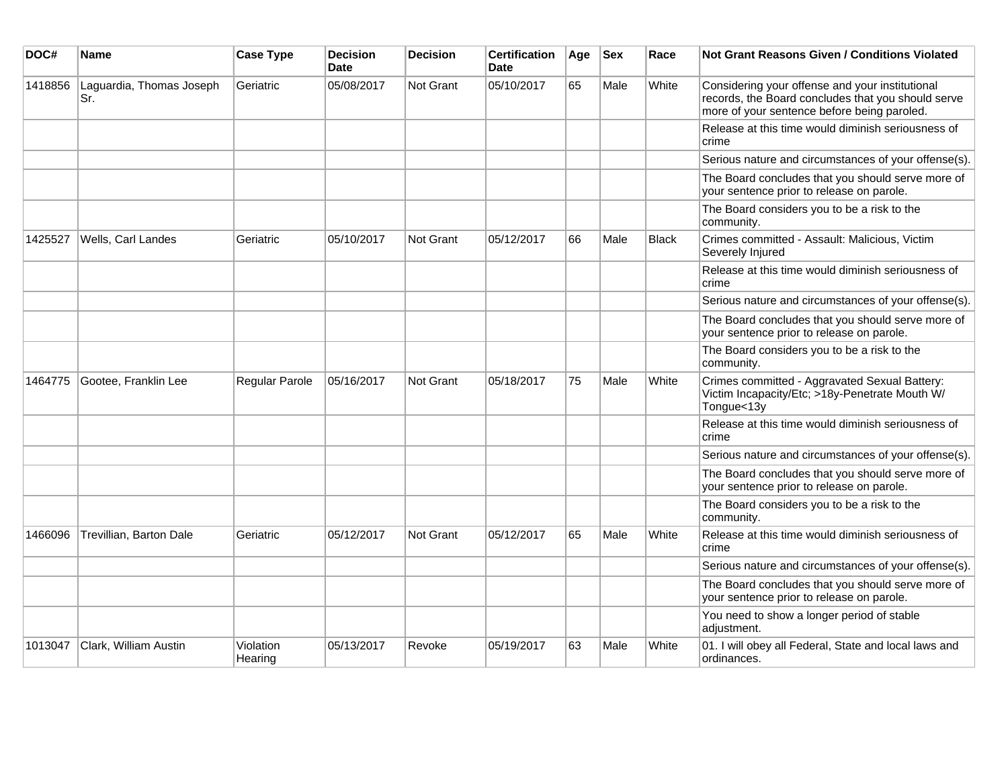| DOC#    | Name                            | <b>Case Type</b>     | <b>Decision</b><br><b>Date</b> | <b>Decision</b>  | <b>Certification</b><br>Date | Age | <b>Sex</b> | Race         | <b>Not Grant Reasons Given / Conditions Violated</b>                                                                                                 |
|---------|---------------------------------|----------------------|--------------------------------|------------------|------------------------------|-----|------------|--------------|------------------------------------------------------------------------------------------------------------------------------------------------------|
| 1418856 | Laguardia, Thomas Joseph<br>Sr. | Geriatric            | 05/08/2017                     | <b>Not Grant</b> | 05/10/2017                   | 65  | Male       | White        | Considering your offense and your institutional<br>records, the Board concludes that you should serve<br>more of your sentence before being paroled. |
|         |                                 |                      |                                |                  |                              |     |            |              | Release at this time would diminish seriousness of<br>crime                                                                                          |
|         |                                 |                      |                                |                  |                              |     |            |              | Serious nature and circumstances of your offense(s).                                                                                                 |
|         |                                 |                      |                                |                  |                              |     |            |              | The Board concludes that you should serve more of<br>your sentence prior to release on parole.                                                       |
|         |                                 |                      |                                |                  |                              |     |            |              | The Board considers you to be a risk to the<br>community.                                                                                            |
| 1425527 | Wells, Carl Landes              | Geriatric            | 05/10/2017                     | <b>Not Grant</b> | 05/12/2017                   | 66  | Male       | <b>Black</b> | Crimes committed - Assault: Malicious, Victim<br>Severely Injured                                                                                    |
|         |                                 |                      |                                |                  |                              |     |            |              | Release at this time would diminish seriousness of<br>crime                                                                                          |
|         |                                 |                      |                                |                  |                              |     |            |              | Serious nature and circumstances of your offense(s).                                                                                                 |
|         |                                 |                      |                                |                  |                              |     |            |              | The Board concludes that you should serve more of<br>your sentence prior to release on parole.                                                       |
|         |                                 |                      |                                |                  |                              |     |            |              | The Board considers you to be a risk to the<br>community.                                                                                            |
| 1464775 | Gootee, Franklin Lee            | Regular Parole       | 05/16/2017                     | <b>Not Grant</b> | 05/18/2017                   | 75  | Male       | White        | Crimes committed - Aggravated Sexual Battery:<br>Victim Incapacity/Etc; >18y-Penetrate Mouth W/<br>Tongue<13y                                        |
|         |                                 |                      |                                |                  |                              |     |            |              | Release at this time would diminish seriousness of<br>crime                                                                                          |
|         |                                 |                      |                                |                  |                              |     |            |              | Serious nature and circumstances of your offense(s).                                                                                                 |
|         |                                 |                      |                                |                  |                              |     |            |              | The Board concludes that you should serve more of<br>your sentence prior to release on parole.                                                       |
|         |                                 |                      |                                |                  |                              |     |            |              | The Board considers you to be a risk to the<br>community.                                                                                            |
| 1466096 | Trevillian, Barton Dale         | Geriatric            | 05/12/2017                     | <b>Not Grant</b> | 05/12/2017                   | 65  | Male       | White        | Release at this time would diminish seriousness of<br>crime                                                                                          |
|         |                                 |                      |                                |                  |                              |     |            |              | Serious nature and circumstances of your offense(s).                                                                                                 |
|         |                                 |                      |                                |                  |                              |     |            |              | The Board concludes that you should serve more of<br>your sentence prior to release on parole.                                                       |
|         |                                 |                      |                                |                  |                              |     |            |              | You need to show a longer period of stable<br>adjustment.                                                                                            |
| 1013047 | Clark, William Austin           | Violation<br>Hearing | 05/13/2017                     | Revoke           | 05/19/2017                   | 63  | Male       | White        | 01. I will obey all Federal, State and local laws and<br>ordinances.                                                                                 |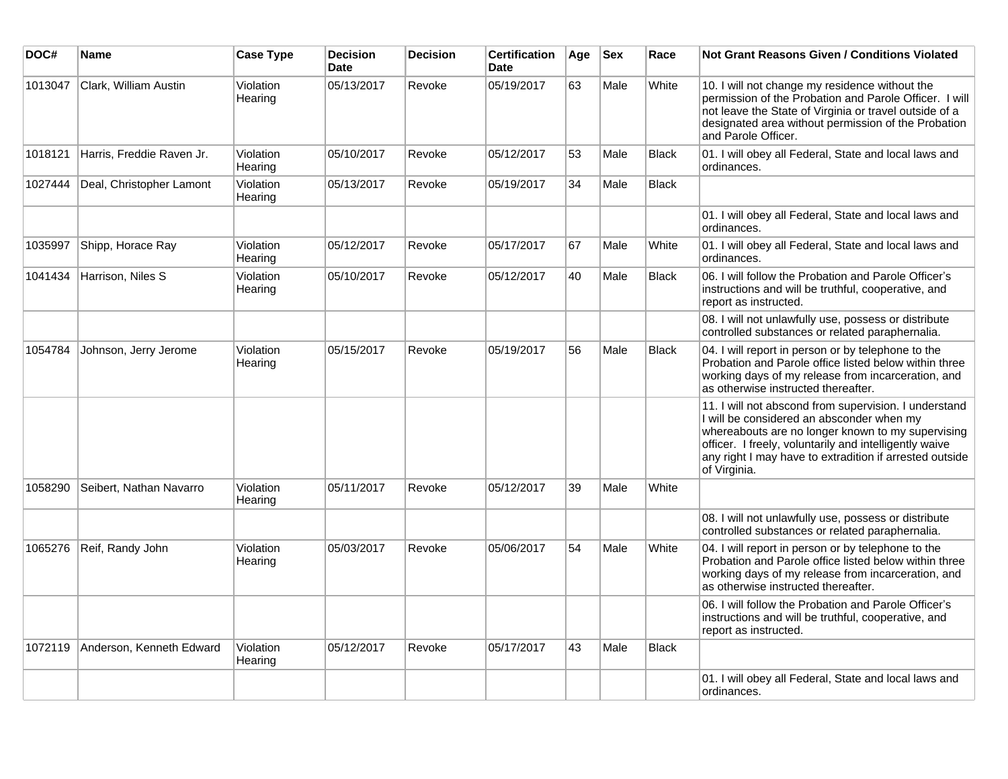| DOC#    | Name                      | <b>Case Type</b>     | <b>Decision</b><br><b>Date</b> | <b>Decision</b> | <b>Certification</b><br><b>Date</b> | Age | <b>Sex</b> | Race         | Not Grant Reasons Given / Conditions Violated                                                                                                                                                                                                                                                |
|---------|---------------------------|----------------------|--------------------------------|-----------------|-------------------------------------|-----|------------|--------------|----------------------------------------------------------------------------------------------------------------------------------------------------------------------------------------------------------------------------------------------------------------------------------------------|
| 1013047 | Clark, William Austin     | Violation<br>Hearing | 05/13/2017                     | Revoke          | 05/19/2017                          | 63  | Male       | White        | 10. I will not change my residence without the<br>permission of the Probation and Parole Officer. I will<br>not leave the State of Virginia or travel outside of a<br>designated area without permission of the Probation<br>and Parole Officer.                                             |
| 1018121 | Harris, Freddie Raven Jr. | Violation<br>Hearing | 05/10/2017                     | Revoke          | 05/12/2017                          | 53  | Male       | <b>Black</b> | 01. I will obey all Federal, State and local laws and<br>ordinances.                                                                                                                                                                                                                         |
| 1027444 | Deal, Christopher Lamont  | Violation<br>Hearing | 05/13/2017                     | Revoke          | 05/19/2017                          | 34  | Male       | <b>Black</b> |                                                                                                                                                                                                                                                                                              |
|         |                           |                      |                                |                 |                                     |     |            |              | 01. I will obey all Federal, State and local laws and<br>ordinances.                                                                                                                                                                                                                         |
| 1035997 | Shipp, Horace Ray         | Violation<br>Hearing | 05/12/2017                     | Revoke          | 05/17/2017                          | 67  | Male       | White        | 01. I will obey all Federal, State and local laws and<br>ordinances.                                                                                                                                                                                                                         |
| 1041434 | Harrison, Niles S         | Violation<br>Hearing | 05/10/2017                     | Revoke          | 05/12/2017                          | 40  | Male       | <b>Black</b> | 06. I will follow the Probation and Parole Officer's<br>instructions and will be truthful, cooperative, and<br>report as instructed.                                                                                                                                                         |
|         |                           |                      |                                |                 |                                     |     |            |              | 08. I will not unlawfully use, possess or distribute<br>controlled substances or related paraphernalia.                                                                                                                                                                                      |
| 1054784 | Johnson, Jerry Jerome     | Violation<br>Hearing | 05/15/2017                     | Revoke          | 05/19/2017                          | 56  | Male       | <b>Black</b> | 04. I will report in person or by telephone to the<br>Probation and Parole office listed below within three<br>working days of my release from incarceration, and<br>as otherwise instructed thereafter.                                                                                     |
|         |                           |                      |                                |                 |                                     |     |            |              | 11. I will not abscond from supervision. I understand<br>I will be considered an absconder when my<br>whereabouts are no longer known to my supervising<br>officer. I freely, voluntarily and intelligently waive<br>any right I may have to extradition if arrested outside<br>of Virginia. |
| 1058290 | Seibert, Nathan Navarro   | Violation<br>Hearing | 05/11/2017                     | Revoke          | 05/12/2017                          | 39  | Male       | White        |                                                                                                                                                                                                                                                                                              |
|         |                           |                      |                                |                 |                                     |     |            |              | 08. I will not unlawfully use, possess or distribute<br>controlled substances or related paraphernalia.                                                                                                                                                                                      |
| 1065276 | Reif, Randy John          | Violation<br>Hearing | 05/03/2017                     | Revoke          | 05/06/2017                          | 54  | Male       | White        | 04. I will report in person or by telephone to the<br>Probation and Parole office listed below within three<br>working days of my release from incarceration, and<br>as otherwise instructed thereafter.                                                                                     |
|         |                           |                      |                                |                 |                                     |     |            |              | 06. I will follow the Probation and Parole Officer's<br>instructions and will be truthful, cooperative, and<br>report as instructed.                                                                                                                                                         |
| 1072119 | Anderson, Kenneth Edward  | Violation<br>Hearing | 05/12/2017                     | Revoke          | 05/17/2017                          | 43  | Male       | <b>Black</b> |                                                                                                                                                                                                                                                                                              |
|         |                           |                      |                                |                 |                                     |     |            |              | 01. I will obey all Federal, State and local laws and<br>ordinances.                                                                                                                                                                                                                         |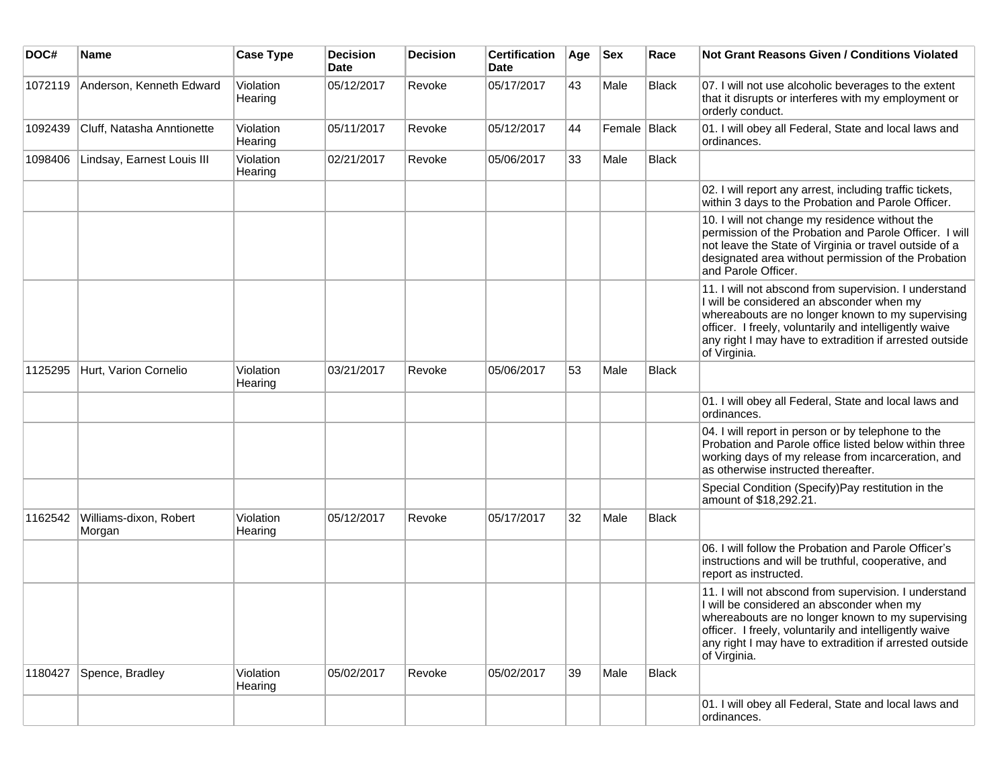| DOC#    | Name                             | <b>Case Type</b>     | <b>Decision</b><br><b>Date</b> | <b>Decision</b> | <b>Certification</b><br><b>Date</b> | Age | <b>Sex</b>     | Race         | Not Grant Reasons Given / Conditions Violated                                                                                                                                                                                                                                                |
|---------|----------------------------------|----------------------|--------------------------------|-----------------|-------------------------------------|-----|----------------|--------------|----------------------------------------------------------------------------------------------------------------------------------------------------------------------------------------------------------------------------------------------------------------------------------------------|
| 1072119 | Anderson, Kenneth Edward         | Violation<br>Hearing | 05/12/2017                     | Revoke          | 05/17/2017                          | 43  | Male           | Black        | 07. I will not use alcoholic beverages to the extent<br>that it disrupts or interferes with my employment or<br>orderly conduct.                                                                                                                                                             |
| 1092439 | Cluff, Natasha Anntionette       | Violation<br>Hearing | 05/11/2017                     | Revoke          | 05/12/2017                          | 44  | Female   Black |              | 01. I will obey all Federal, State and local laws and<br>ordinances.                                                                                                                                                                                                                         |
| 1098406 | Lindsay, Earnest Louis III       | Violation<br>Hearing | 02/21/2017                     | Revoke          | 05/06/2017                          | 33  | Male           | Black        |                                                                                                                                                                                                                                                                                              |
|         |                                  |                      |                                |                 |                                     |     |                |              | 02. I will report any arrest, including traffic tickets,<br>within 3 days to the Probation and Parole Officer.                                                                                                                                                                               |
|         |                                  |                      |                                |                 |                                     |     |                |              | 10. I will not change my residence without the<br>permission of the Probation and Parole Officer. I will<br>not leave the State of Virginia or travel outside of a<br>designated area without permission of the Probation<br>and Parole Officer.                                             |
|         |                                  |                      |                                |                 |                                     |     |                |              | 11. I will not abscond from supervision. I understand<br>I will be considered an absconder when my<br>whereabouts are no longer known to my supervising<br>officer. I freely, voluntarily and intelligently waive<br>any right I may have to extradition if arrested outside<br>of Virginia. |
| 1125295 | Hurt, Varion Cornelio            | Violation<br>Hearing | 03/21/2017                     | Revoke          | 05/06/2017                          | 53  | Male           | <b>Black</b> |                                                                                                                                                                                                                                                                                              |
|         |                                  |                      |                                |                 |                                     |     |                |              | 01. I will obey all Federal, State and local laws and<br>ordinances.                                                                                                                                                                                                                         |
|         |                                  |                      |                                |                 |                                     |     |                |              | 04. I will report in person or by telephone to the<br>Probation and Parole office listed below within three<br>working days of my release from incarceration, and<br>as otherwise instructed thereafter.                                                                                     |
|         |                                  |                      |                                |                 |                                     |     |                |              | Special Condition (Specify)Pay restitution in the<br>amount of \$18,292.21.                                                                                                                                                                                                                  |
| 1162542 | Williams-dixon, Robert<br>Morgan | Violation<br>Hearing | 05/12/2017                     | Revoke          | 05/17/2017                          | 32  | Male           | Black        |                                                                                                                                                                                                                                                                                              |
|         |                                  |                      |                                |                 |                                     |     |                |              | 06. I will follow the Probation and Parole Officer's<br>instructions and will be truthful, cooperative, and<br>report as instructed.                                                                                                                                                         |
|         |                                  |                      |                                |                 |                                     |     |                |              | 11. I will not abscond from supervision. I understand<br>I will be considered an absconder when my<br>whereabouts are no longer known to my supervising<br>officer. I freely, voluntarily and intelligently waive<br>any right I may have to extradition if arrested outside<br>of Virginia. |
| 1180427 | Spence, Bradley                  | Violation<br>Hearing | 05/02/2017                     | Revoke          | 05/02/2017                          | 39  | Male           | Black        |                                                                                                                                                                                                                                                                                              |
|         |                                  |                      |                                |                 |                                     |     |                |              | 01. I will obey all Federal, State and local laws and<br>ordinances.                                                                                                                                                                                                                         |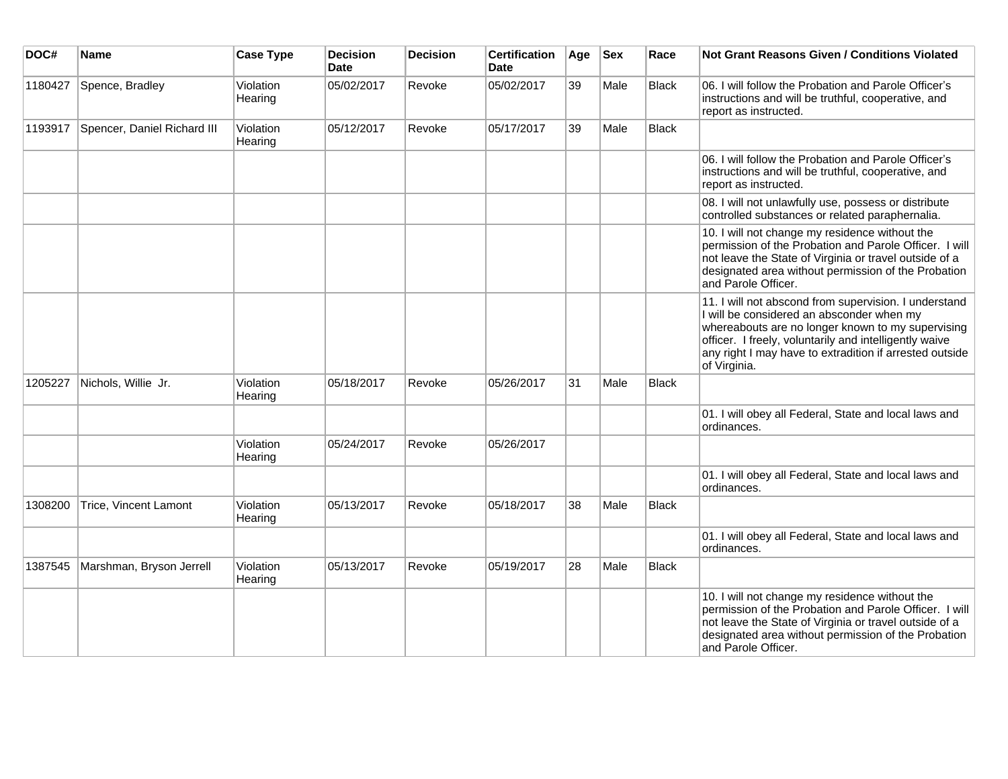| DOC#    | Name                        | <b>Case Type</b>     | <b>Decision</b><br><b>Date</b> | <b>Decision</b> | <b>Certification</b><br><b>Date</b> | Age | <b>Sex</b> | Race         | Not Grant Reasons Given / Conditions Violated                                                                                                                                                                                                                                                |
|---------|-----------------------------|----------------------|--------------------------------|-----------------|-------------------------------------|-----|------------|--------------|----------------------------------------------------------------------------------------------------------------------------------------------------------------------------------------------------------------------------------------------------------------------------------------------|
| 1180427 | Spence, Bradley             | Violation<br>Hearing | 05/02/2017                     | Revoke          | 05/02/2017                          | 39  | Male       | Black        | 06. I will follow the Probation and Parole Officer's<br>instructions and will be truthful, cooperative, and<br>report as instructed.                                                                                                                                                         |
| 1193917 | Spencer, Daniel Richard III | Violation<br>Hearing | 05/12/2017                     | Revoke          | 05/17/2017                          | 39  | Male       | Black        |                                                                                                                                                                                                                                                                                              |
|         |                             |                      |                                |                 |                                     |     |            |              | 06. I will follow the Probation and Parole Officer's<br>instructions and will be truthful, cooperative, and<br>report as instructed.                                                                                                                                                         |
|         |                             |                      |                                |                 |                                     |     |            |              | 08. I will not unlawfully use, possess or distribute<br>controlled substances or related paraphernalia.                                                                                                                                                                                      |
|         |                             |                      |                                |                 |                                     |     |            |              | 10. I will not change my residence without the<br>permission of the Probation and Parole Officer. I will<br>not leave the State of Virginia or travel outside of a<br>designated area without permission of the Probation<br>and Parole Officer.                                             |
|         |                             |                      |                                |                 |                                     |     |            |              | 11. I will not abscond from supervision. I understand<br>I will be considered an absconder when my<br>whereabouts are no longer known to my supervising<br>officer. I freely, voluntarily and intelligently waive<br>any right I may have to extradition if arrested outside<br>of Virginia. |
| 1205227 | Nichols, Willie Jr.         | Violation<br>Hearing | 05/18/2017                     | Revoke          | 05/26/2017                          | 31  | Male       | <b>Black</b> |                                                                                                                                                                                                                                                                                              |
|         |                             |                      |                                |                 |                                     |     |            |              | 01. I will obey all Federal, State and local laws and<br>ordinances.                                                                                                                                                                                                                         |
|         |                             | Violation<br>Hearing | 05/24/2017                     | Revoke          | 05/26/2017                          |     |            |              |                                                                                                                                                                                                                                                                                              |
|         |                             |                      |                                |                 |                                     |     |            |              | 01. I will obey all Federal, State and local laws and<br>ordinances.                                                                                                                                                                                                                         |
| 1308200 | Trice, Vincent Lamont       | Violation<br>Hearing | 05/13/2017                     | Revoke          | 05/18/2017                          | 38  | Male       | <b>Black</b> |                                                                                                                                                                                                                                                                                              |
|         |                             |                      |                                |                 |                                     |     |            |              | 01. I will obey all Federal, State and local laws and<br>ordinances.                                                                                                                                                                                                                         |
| 1387545 | Marshman, Bryson Jerrell    | Violation<br>Hearing | 05/13/2017                     | Revoke          | 05/19/2017                          | 28  | Male       | <b>Black</b> |                                                                                                                                                                                                                                                                                              |
|         |                             |                      |                                |                 |                                     |     |            |              | 10. I will not change my residence without the<br>permission of the Probation and Parole Officer. I will<br>not leave the State of Virginia or travel outside of a<br>designated area without permission of the Probation<br>and Parole Officer.                                             |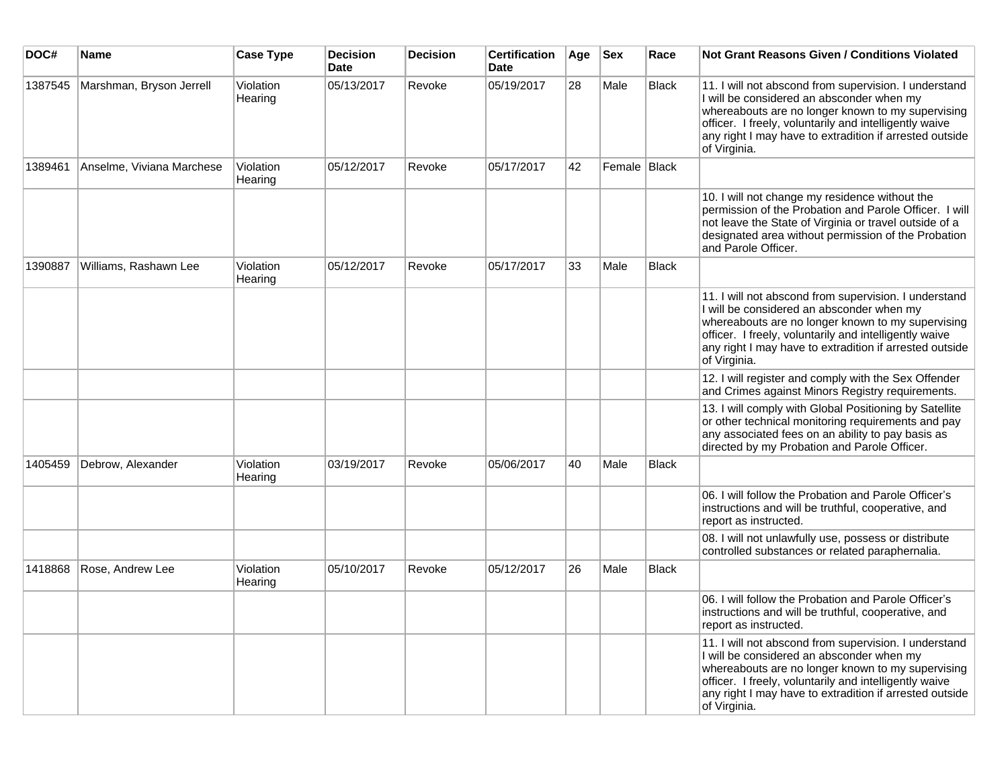| DOC#    | <b>Name</b>               | <b>Case Type</b>     | <b>Decision</b><br><b>Date</b> | <b>Decision</b> | <b>Certification</b><br>Date | Age | <b>Sex</b>   | Race         | Not Grant Reasons Given / Conditions Violated                                                                                                                                                                                                                                                |
|---------|---------------------------|----------------------|--------------------------------|-----------------|------------------------------|-----|--------------|--------------|----------------------------------------------------------------------------------------------------------------------------------------------------------------------------------------------------------------------------------------------------------------------------------------------|
| 1387545 | Marshman, Bryson Jerrell  | Violation<br>Hearing | 05/13/2017                     | Revoke          | 05/19/2017                   | 28  | Male         | Black        | 11. I will not abscond from supervision. I understand<br>I will be considered an absconder when my<br>whereabouts are no longer known to my supervising<br>officer. I freely, voluntarily and intelligently waive<br>any right I may have to extradition if arrested outside<br>of Virginia. |
| 1389461 | Anselme, Viviana Marchese | Violation<br>Hearing | 05/12/2017                     | Revoke          | 05/17/2017                   | 42  | Female Black |              |                                                                                                                                                                                                                                                                                              |
|         |                           |                      |                                |                 |                              |     |              |              | 10. I will not change my residence without the<br>permission of the Probation and Parole Officer. I will<br>not leave the State of Virginia or travel outside of a<br>designated area without permission of the Probation<br>and Parole Officer.                                             |
| 1390887 | Williams, Rashawn Lee     | Violation<br>Hearing | 05/12/2017                     | Revoke          | 05/17/2017                   | 33  | Male         | <b>Black</b> |                                                                                                                                                                                                                                                                                              |
|         |                           |                      |                                |                 |                              |     |              |              | 11. I will not abscond from supervision. I understand<br>I will be considered an absconder when my<br>whereabouts are no longer known to my supervising<br>officer. I freely, voluntarily and intelligently waive<br>any right I may have to extradition if arrested outside<br>of Virginia. |
|         |                           |                      |                                |                 |                              |     |              |              | 12. I will register and comply with the Sex Offender<br>and Crimes against Minors Registry requirements.                                                                                                                                                                                     |
|         |                           |                      |                                |                 |                              |     |              |              | 13. I will comply with Global Positioning by Satellite<br>or other technical monitoring requirements and pay<br>any associated fees on an ability to pay basis as<br>directed by my Probation and Parole Officer.                                                                            |
| 1405459 | Debrow, Alexander         | Violation<br>Hearing | 03/19/2017                     | Revoke          | 05/06/2017                   | 40  | Male         | <b>Black</b> |                                                                                                                                                                                                                                                                                              |
|         |                           |                      |                                |                 |                              |     |              |              | 06. I will follow the Probation and Parole Officer's<br>instructions and will be truthful, cooperative, and<br>report as instructed.                                                                                                                                                         |
|         |                           |                      |                                |                 |                              |     |              |              | 08. I will not unlawfully use, possess or distribute<br>controlled substances or related paraphernalia.                                                                                                                                                                                      |
| 1418868 | Rose, Andrew Lee          | Violation<br>Hearing | 05/10/2017                     | Revoke          | 05/12/2017                   | 26  | Male         | <b>Black</b> |                                                                                                                                                                                                                                                                                              |
|         |                           |                      |                                |                 |                              |     |              |              | 06. I will follow the Probation and Parole Officer's<br>instructions and will be truthful, cooperative, and<br>report as instructed.                                                                                                                                                         |
|         |                           |                      |                                |                 |                              |     |              |              | 11. I will not abscond from supervision. I understand<br>I will be considered an absconder when my<br>whereabouts are no longer known to my supervising<br>officer. I freely, voluntarily and intelligently waive<br>any right I may have to extradition if arrested outside<br>of Virginia. |